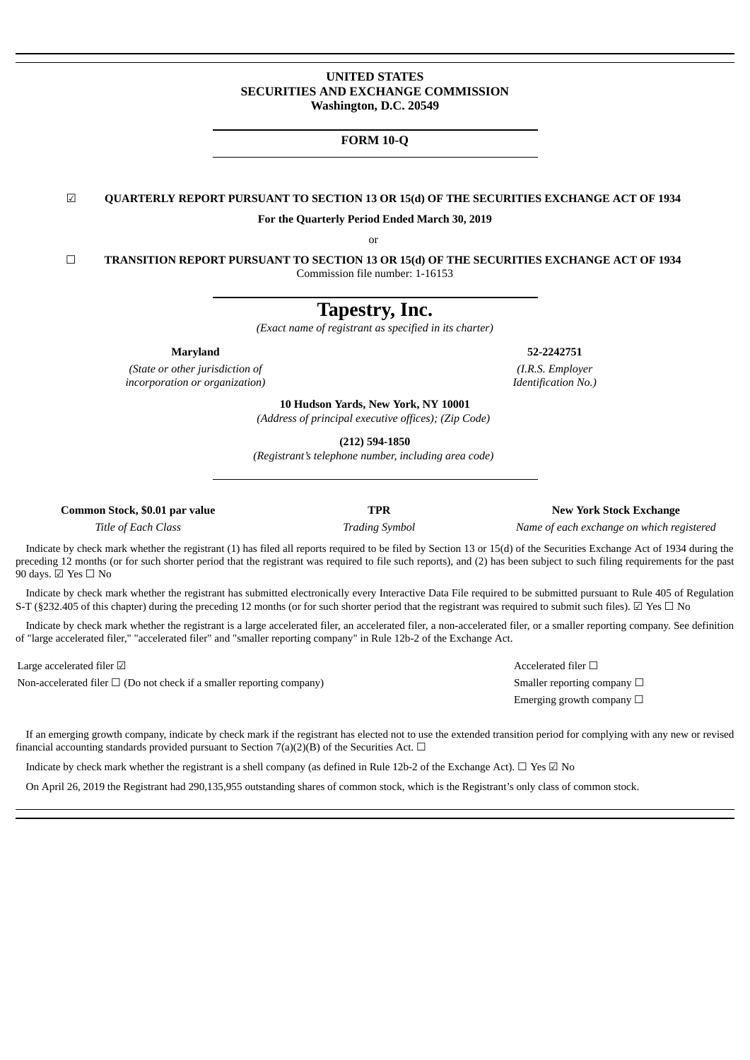## **UNITED STATES SECURITIES AND EXCHANGE COMMISSION Washington, D.C. 20549**

## **FORM 10-Q**

# ☑ **QUARTERLY REPORT PURSUANT TO SECTION 13 OR 15(d) OF THE SECURITIES EXCHANGE ACT OF 1934**

**For the Quarterly Period Ended March 30, 2019**

or

☐ **TRANSITION REPORT PURSUANT TO SECTION 13 OR 15(d) OF THE SECURITIES EXCHANGE ACT OF 1934** Commission file number: 1-16153

## **Tapestry, Inc.**

*(Exact name of registrant as specified in its charter)*

*(State or other jurisdiction of incorporation or organization)*

*(I.R.S. Employer Identification No.)*

**10 Hudson Yards, New York, NY 10001** *(Address of principal executive offices); (Zip Code)*

**(212) 594-1850**

*(Registrant's telephone number, including area code)*

**Common Stock, \$0.01 par value TPR New York Stock Exchange**

*Title of Each Class Trading Symbol Name of each exchange on which registered*

Indicate by check mark whether the registrant (1) has filed all reports required to be filed by Section 13 or 15(d) of the Securities Exchange Act of 1934 during the preceding 12 months (or for such shorter period that the registrant was required to file such reports), and (2) has been subject to such filing requirements for the past 90 days.  $\Box$  Yes  $\Box$  No

Indicate by check mark whether the registrant has submitted electronically every Interactive Data File required to be submitted pursuant to Rule 405 of Regulation S-T (§232.405 of this chapter) during the preceding 12 months (or for such shorter period that the registrant was required to submit such files).  $□$  Yes  $□$  No

Indicate by check mark whether the registrant is a large accelerated filer, an accelerated filer, a non-accelerated filer, or a smaller reporting company. See definition of "large accelerated filer," "accelerated filer" and "smaller reporting company" in Rule 12b-2 of the Exchange Act.

Large accelerated filer ☑  $\Box$ 

Non-accelerated filer □ (Do not check if a smaller reporting company) Smaller reporting company □

Emerging growth company  $\Box$ 

If an emerging growth company, indicate by check mark if the registrant has elected not to use the extended transition period for complying with any new or revised financial accounting standards provided pursuant to Section 7(a)(2)(B) of the Securities Act.  $\Box$ 

Indicate by check mark whether the registrant is a shell company (as defined in Rule 12b-2 of the Exchange Act). ☐ Yes ☑ No

On April 26, 2019 the Registrant had 290,135,955 outstanding shares of common stock, which is the Registrant's only class of common stock.

**Maryland 52-2242751**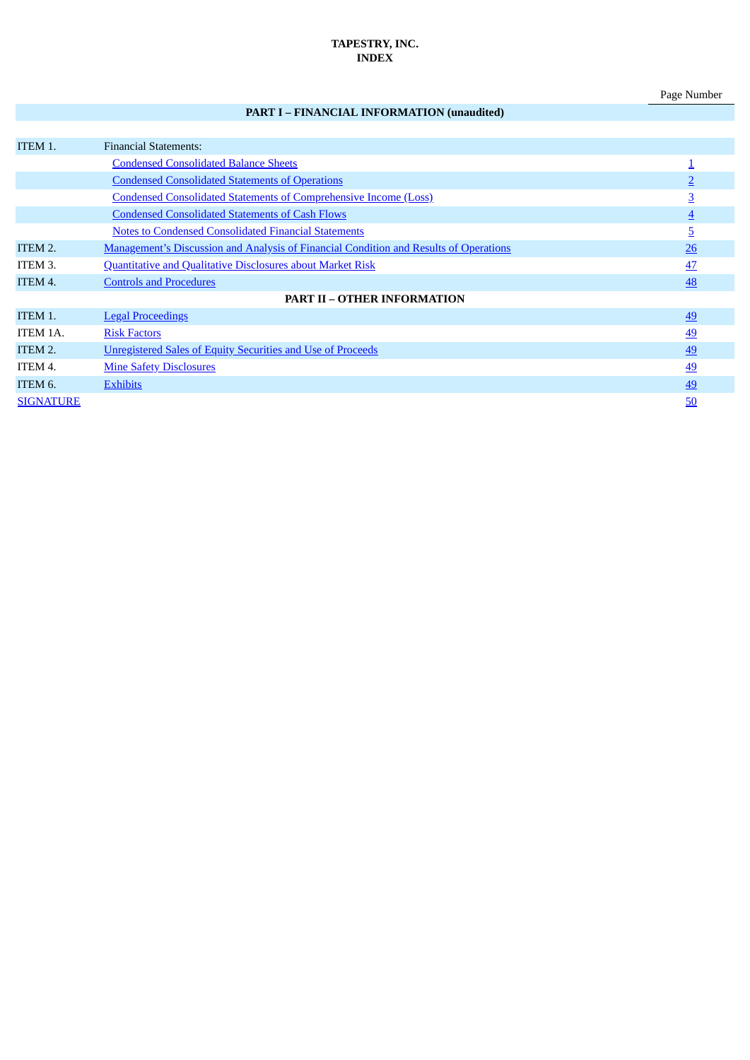## **TAPESTRY, INC. INDEX**

Page Number

## **PART I – FINANCIAL INFORMATION (unaudited)**

| ITEM 1.          | <b>Financial Statements:</b>                                                          |                |
|------------------|---------------------------------------------------------------------------------------|----------------|
|                  | <b>Condensed Consolidated Balance Sheets</b>                                          |                |
|                  | <b>Condensed Consolidated Statements of Operations</b>                                | $\overline{2}$ |
|                  | <b>Condensed Consolidated Statements of Comprehensive Income (Loss)</b>               |                |
|                  | <b>Condensed Consolidated Statements of Cash Flows</b>                                | $\overline{4}$ |
|                  | <b>Notes to Condensed Consolidated Financial Statements</b>                           | $\overline{5}$ |
| ITEM 2.          | Management's Discussion and Analysis of Financial Condition and Results of Operations | 26             |
| ITEM 3.          | <b>Quantitative and Qualitative Disclosures about Market Risk</b>                     | <u>47</u>      |
| ITEM 4.          | <b>Controls and Procedures</b>                                                        | 48             |
|                  | <b>PART II - OTHER INFORMATION</b>                                                    |                |
| ITEM 1.          | <b>Legal Proceedings</b>                                                              | <u>49</u>      |
| ITEM 1A.         | <b>Risk Factors</b>                                                                   | 49             |
| ITEM 2.          | Unregistered Sales of Equity Securities and Use of Proceeds                           | 49             |
| ITEM 4.          | <b>Mine Safety Disclosures</b>                                                        | <u>49</u>      |
| ITEM 6.          | <b>Exhibits</b>                                                                       | <u>49</u>      |
| <b>SIGNATURE</b> |                                                                                       | 50             |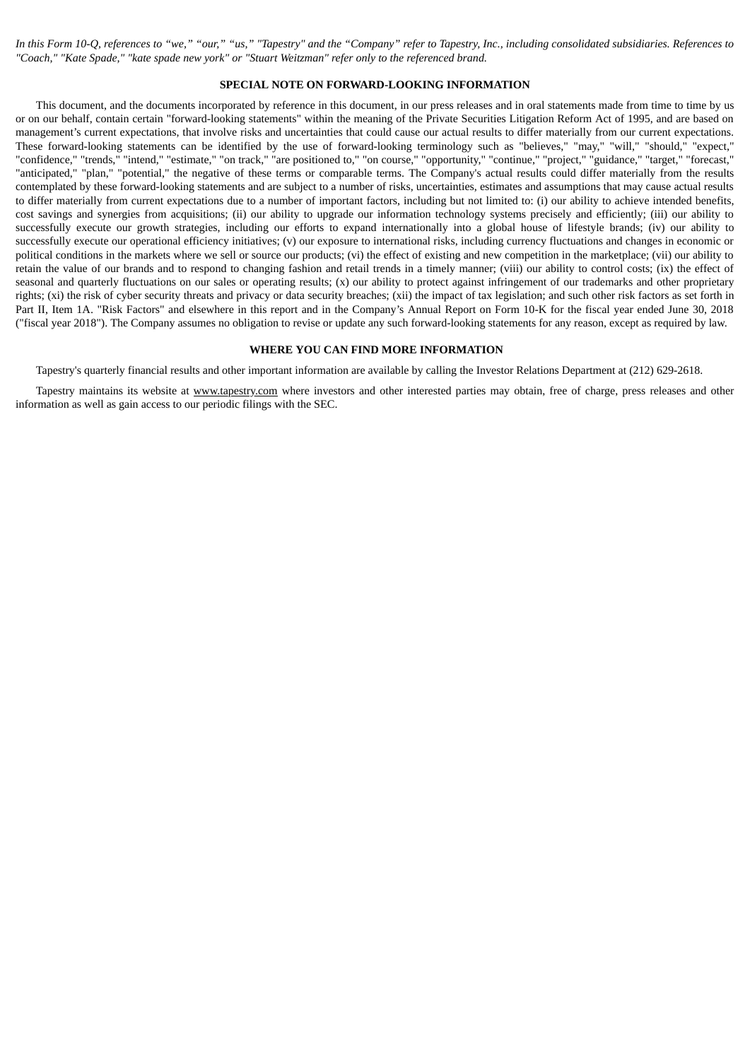In this Form 10-Q, references to "we," "our," "us," "Tapestry" and the "Company" refer to Tapestry, Inc., including consolidated subsidiaries. References to *"Coach," "Kate Spade," "kate spade new york" or "Stuart Weitzman" refer only to the referenced brand.*

### **SPECIAL NOTE ON FORWARD-LOOKING INFORMATION**

This document, and the documents incorporated by reference in this document, in our press releases and in oral statements made from time to time by us or on our behalf, contain certain "forward-looking statements" within the meaning of the Private Securities Litigation Reform Act of 1995, and are based on management's current expectations, that involve risks and uncertainties that could cause our actual results to differ materially from our current expectations. These forward-looking statements can be identified by the use of forward-looking terminology such as "believes," "may," "will," "should," "expect," "confidence," "trends," "intend," "estimate," "on track," "are positioned to," "on course," "opportunity," "continue," "project," "guidance," "target," "forecast," "anticipated," "plan," "potential," the negative of these terms or comparable terms. The Company's actual results could differ materially from the results contemplated by these forward-looking statements and are subject to a number of risks, uncertainties, estimates and assumptions that may cause actual results to differ materially from current expectations due to a number of important factors, including but not limited to: (i) our ability to achieve intended benefits, cost savings and synergies from acquisitions; (ii) our ability to upgrade our information technology systems precisely and efficiently; (iii) our ability to successfully execute our growth strategies, including our efforts to expand internationally into a global house of lifestyle brands; (iv) our ability to successfully execute our operational efficiency initiatives; (v) our exposure to international risks, including currency fluctuations and changes in economic or political conditions in the markets where we sell or source our products; (vi) the effect of existing and new competition in the marketplace; (vii) our ability to retain the value of our brands and to respond to changing fashion and retail trends in a timely manner; (viii) our ability to control costs; (ix) the effect of seasonal and quarterly fluctuations on our sales or operating results; (x) our ability to protect against infringement of our trademarks and other proprietary rights; (xi) the risk of cyber security threats and privacy or data security breaches; (xii) the impact of tax legislation; and such other risk factors as set forth in Part II, Item 1A. "Risk Factors" and elsewhere in this report and in the Company's Annual Report on Form 10-K for the fiscal year ended June 30, 2018 ("fiscal year 2018"). The Company assumes no obligation to revise or update any such forward-looking statements for any reason, except as required by law.

## **WHERE YOU CAN FIND MORE INFORMATION**

Tapestry's quarterly financial results and other important information are available by calling the Investor Relations Department at (212) 629-2618.

Tapestry maintains its website at www.tapestry.com where investors and other interested parties may obtain, free of charge, press releases and other information as well as gain access to our periodic filings with the SEC.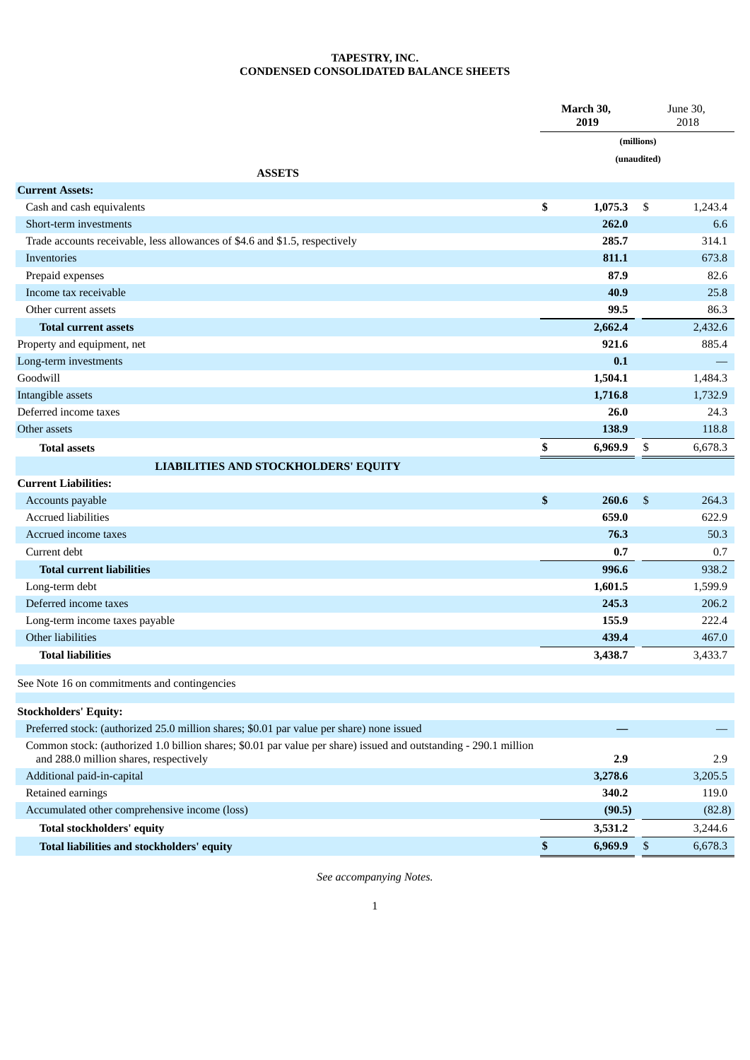## **TAPESTRY, INC. CONDENSED CONSOLIDATED BALANCE SHEETS**

<span id="page-3-0"></span>

|                                                                                                                                                            |      | March 30,<br>2019 |                           | June 30,<br>2018 |
|------------------------------------------------------------------------------------------------------------------------------------------------------------|------|-------------------|---------------------------|------------------|
|                                                                                                                                                            |      |                   | (millions)                |                  |
|                                                                                                                                                            |      |                   | (unaudited)               |                  |
| <b>ASSETS</b>                                                                                                                                              |      |                   |                           |                  |
| <b>Current Assets:</b>                                                                                                                                     |      |                   |                           |                  |
| Cash and cash equivalents                                                                                                                                  | \$   | 1,075.3           | \$                        | 1,243.4          |
| Short-term investments                                                                                                                                     |      | 262.0             |                           | 6.6              |
| Trade accounts receivable, less allowances of \$4.6 and \$1.5, respectively                                                                                |      | 285.7             |                           | 314.1            |
| Inventories                                                                                                                                                |      | 811.1             |                           | 673.8            |
| Prepaid expenses                                                                                                                                           |      | 87.9              |                           | 82.6             |
| Income tax receivable                                                                                                                                      |      | 40.9              |                           | 25.8             |
| Other current assets                                                                                                                                       |      | 99.5              |                           | 86.3             |
| <b>Total current assets</b>                                                                                                                                |      | 2,662.4           |                           | 2,432.6          |
| Property and equipment, net                                                                                                                                |      | 921.6             |                           | 885.4            |
| Long-term investments                                                                                                                                      |      | 0.1               |                           |                  |
| Goodwill                                                                                                                                                   |      | 1,504.1           |                           | 1,484.3          |
| Intangible assets                                                                                                                                          |      | 1,716.8           |                           | 1,732.9          |
| Deferred income taxes                                                                                                                                      |      | 26.0              |                           | 24.3             |
| Other assets                                                                                                                                               |      | 138.9             |                           | 118.8            |
| <b>Total assets</b>                                                                                                                                        | \$   | 6,969.9           | \$                        | 6,678.3          |
| LIABILITIES AND STOCKHOLDERS' EQUITY                                                                                                                       |      |                   |                           |                  |
| <b>Current Liabilities:</b>                                                                                                                                |      |                   |                           |                  |
| Accounts payable                                                                                                                                           | \$   | 260.6             | $\boldsymbol{\mathsf{S}}$ | 264.3            |
| <b>Accrued liabilities</b>                                                                                                                                 |      | 659.0             |                           | 622.9            |
| Accrued income taxes                                                                                                                                       |      | 76.3              |                           | 50.3             |
| Current debt                                                                                                                                               |      | 0.7               |                           | 0.7              |
| <b>Total current liabilities</b>                                                                                                                           |      | 996.6             |                           | 938.2            |
| Long-term debt                                                                                                                                             |      | 1,601.5           |                           | 1,599.9          |
| Deferred income taxes                                                                                                                                      |      | 245.3             |                           | 206.2            |
| Long-term income taxes payable                                                                                                                             |      | 155.9             |                           | 222.4            |
| Other liabilities                                                                                                                                          |      | 439.4             |                           | 467.0            |
| <b>Total liabilities</b>                                                                                                                                   |      | 3,438.7           |                           | 3,433.7          |
| See Note 16 on commitments and contingencies                                                                                                               |      |                   |                           |                  |
| <b>Stockholders' Equity:</b>                                                                                                                               |      |                   |                           |                  |
| Preferred stock: (authorized 25.0 million shares; \$0.01 par value per share) none issued                                                                  |      |                   |                           |                  |
| Common stock: (authorized 1.0 billion shares; \$0.01 par value per share) issued and outstanding - 290.1 million<br>and 288.0 million shares, respectively |      | 2.9               |                           | 2.9              |
| Additional paid-in-capital                                                                                                                                 |      | 3,278.6           |                           | 3,205.5          |
| Retained earnings                                                                                                                                          |      | 340.2             |                           | 119.0            |
| Accumulated other comprehensive income (loss)                                                                                                              |      | (90.5)            |                           | (82.8)           |
| <b>Total stockholders' equity</b>                                                                                                                          |      | 3,531.2           |                           | 3,244.6          |
| <b>Total liabilities and stockholders' equity</b>                                                                                                          | - \$ | 6,969.9           | $\boldsymbol{\mathsf{S}}$ | 6,678.3          |

*See accompanying Notes.*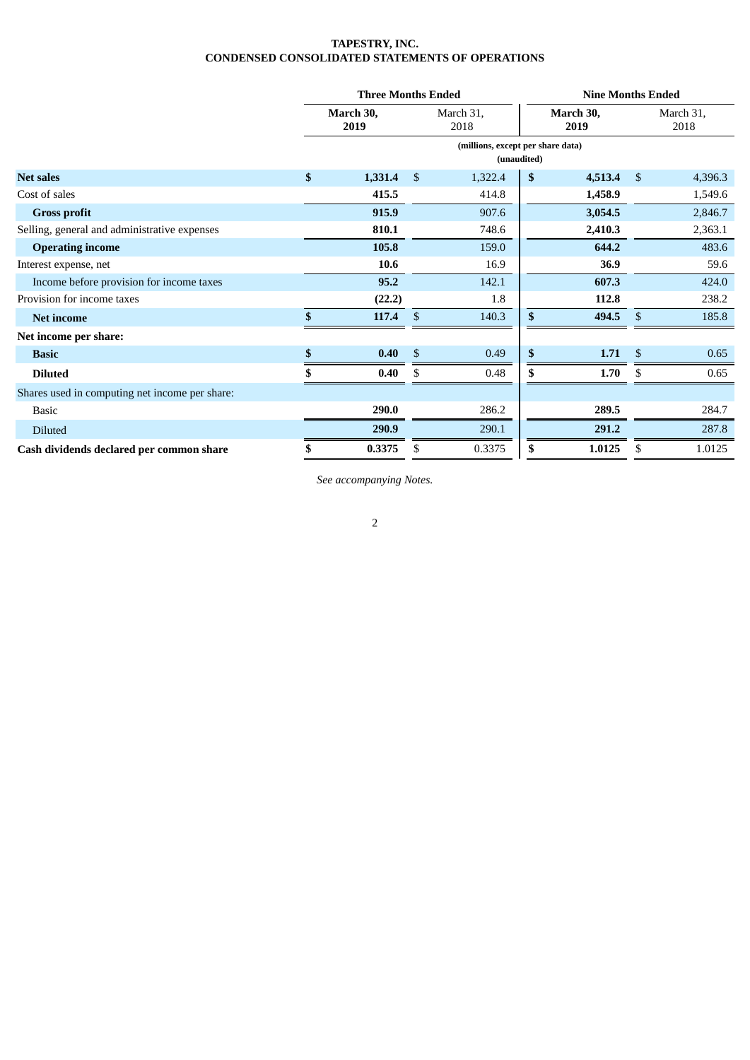## **TAPESTRY, INC. CONDENSED CONSOLIDATED STATEMENTS OF OPERATIONS**

<span id="page-4-0"></span>

|                                                |                                                  | <b>Three Months Ended</b> |                   |         | <b>Nine Months Ended</b> |         |     |                   |  |  |  |  |  |
|------------------------------------------------|--------------------------------------------------|---------------------------|-------------------|---------|--------------------------|---------|-----|-------------------|--|--|--|--|--|
|                                                |                                                  | March 30,<br>2019         | March 31,<br>2018 |         | March 30,<br>2019        |         |     | March 31,<br>2018 |  |  |  |  |  |
|                                                | (millions, except per share data)<br>(unaudited) |                           |                   |         |                          |         |     |                   |  |  |  |  |  |
| <b>Net sales</b>                               | \$                                               | 1,331.4                   | \$                | 1,322.4 | $\mathbf{s}$             | 4,513.4 | \$  | 4,396.3           |  |  |  |  |  |
| Cost of sales                                  |                                                  | 415.5                     |                   | 414.8   |                          | 1,458.9 |     | 1,549.6           |  |  |  |  |  |
| <b>Gross profit</b>                            |                                                  | 915.9                     |                   | 907.6   |                          | 3,054.5 |     | 2,846.7           |  |  |  |  |  |
| Selling, general and administrative expenses   |                                                  | 810.1                     |                   | 748.6   |                          | 2,410.3 |     | 2,363.1           |  |  |  |  |  |
| <b>Operating income</b>                        |                                                  | 105.8                     |                   | 159.0   |                          | 644.2   |     | 483.6             |  |  |  |  |  |
| Interest expense, net                          |                                                  | 10.6                      |                   | 16.9    |                          | 36.9    |     | 59.6              |  |  |  |  |  |
| Income before provision for income taxes       |                                                  | 95.2                      |                   | 142.1   |                          | 607.3   |     | 424.0             |  |  |  |  |  |
| Provision for income taxes                     |                                                  | (22.2)                    |                   | 1.8     |                          | 112.8   |     | 238.2             |  |  |  |  |  |
| <b>Net income</b>                              | \$                                               | 117.4                     | \$                | 140.3   | \$                       | 494.5   | \$  | 185.8             |  |  |  |  |  |
| Net income per share:                          |                                                  |                           |                   |         |                          |         |     |                   |  |  |  |  |  |
| <b>Basic</b>                                   | \$                                               | 0.40                      | \$                | 0.49    | \$                       | 1.71    | -S  | 0.65              |  |  |  |  |  |
| <b>Diluted</b>                                 | S                                                | 0.40                      | S                 | 0.48    |                          | 1.70    | \$. | 0.65              |  |  |  |  |  |
| Shares used in computing net income per share: |                                                  |                           |                   |         |                          |         |     |                   |  |  |  |  |  |
| <b>Basic</b>                                   |                                                  | 290.0                     |                   | 286.2   |                          | 289.5   |     | 284.7             |  |  |  |  |  |
| <b>Diluted</b>                                 |                                                  | 290.9                     |                   | 290.1   |                          | 291.2   |     | 287.8             |  |  |  |  |  |
| Cash dividends declared per common share       | \$                                               | 0.3375                    | \$                | 0.3375  | \$                       | 1.0125  | \$  | 1.0125            |  |  |  |  |  |

*See accompanying Notes.*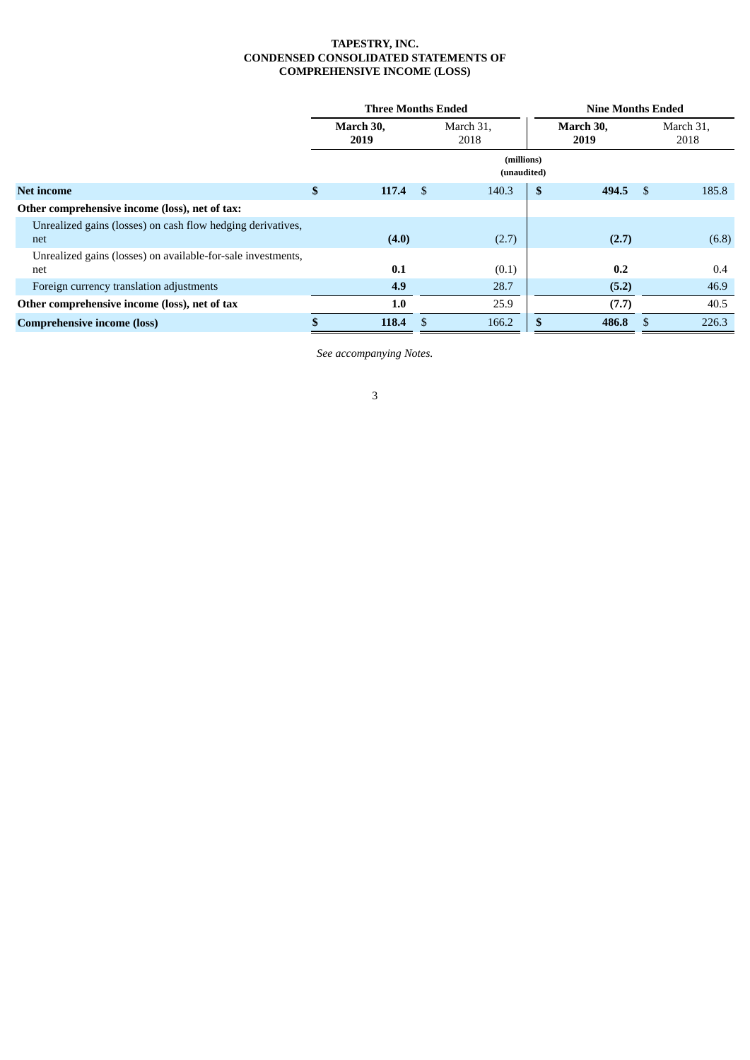## **TAPESTRY, INC. CONDENSED CONSOLIDATED STATEMENTS OF COMPREHENSIVE INCOME (LOSS)**

<span id="page-5-0"></span>

|                                                              | <b>Three Months Ended</b> |                   |                           | <b>Nine Months Ended</b>  |                   |               |                   |  |  |
|--------------------------------------------------------------|---------------------------|-------------------|---------------------------|---------------------------|-------------------|---------------|-------------------|--|--|
|                                                              | March 30.<br>2019         | March 31.<br>2018 |                           |                           | March 30,<br>2019 |               | March 31,<br>2018 |  |  |
|                                                              |                           |                   | (millions)<br>(unaudited) |                           |                   |               |                   |  |  |
| <b>Net income</b>                                            | \$<br>117.4               | -S                | 140.3                     | $\boldsymbol{\mathsf{s}}$ | 494.5             | <sup>\$</sup> | 185.8             |  |  |
| Other comprehensive income (loss), net of tax:               |                           |                   |                           |                           |                   |               |                   |  |  |
| Unrealized gains (losses) on cash flow hedging derivatives,  |                           |                   |                           |                           |                   |               |                   |  |  |
| net                                                          | (4.0)                     |                   | (2.7)                     |                           | (2.7)             |               | (6.8)             |  |  |
| Unrealized gains (losses) on available-for-sale investments, |                           |                   |                           |                           |                   |               |                   |  |  |
| net                                                          | 0.1                       |                   | (0.1)                     |                           | 0.2               |               | $0.4\,$           |  |  |
| Foreign currency translation adjustments                     | 4.9                       |                   | 28.7                      |                           | (5.2)             |               | 46.9              |  |  |
| Other comprehensive income (loss), net of tax                | 1.0                       |                   | 25.9                      |                           | (7.7)             |               | 40.5              |  |  |
| Comprehensive income (loss)                                  | 118.4                     | \$.               | 166.2                     | \$                        | 486.8             | \$.           | 226.3             |  |  |

*See accompanying Notes.*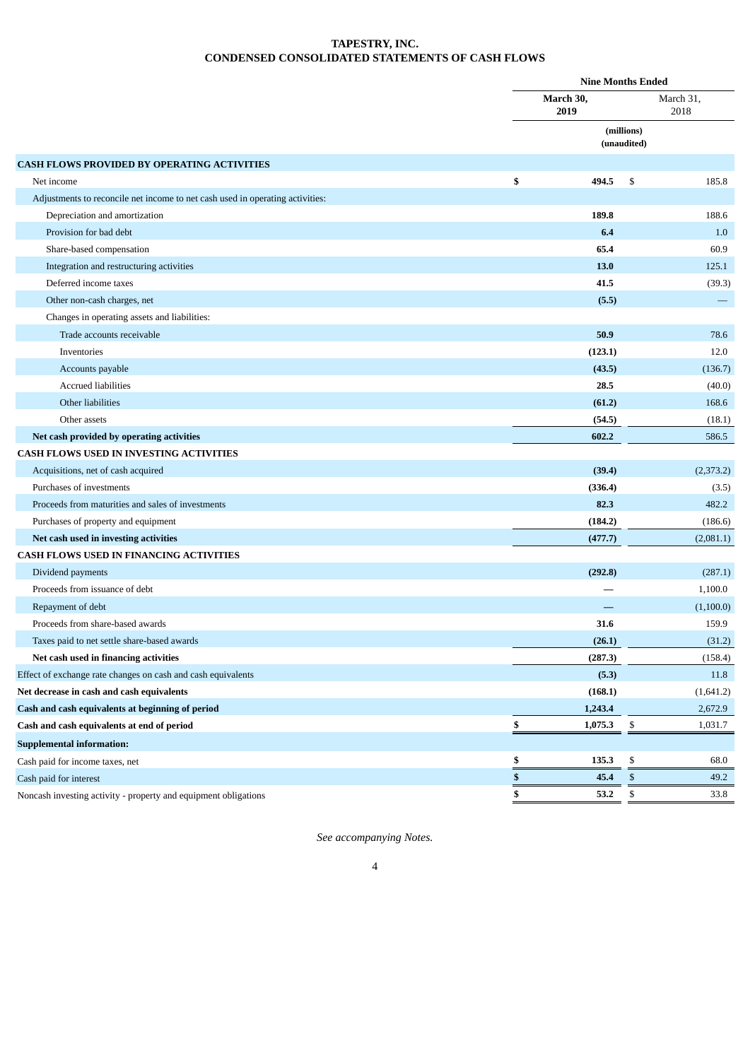## **TAPESTRY, INC. CONDENSED CONSOLIDATED STATEMENTS OF CASH FLOWS**

<span id="page-6-0"></span>

|                                                                               |                   | <b>Nine Months Ended</b>  |                   |  |  |  |
|-------------------------------------------------------------------------------|-------------------|---------------------------|-------------------|--|--|--|
|                                                                               | March 30,<br>2019 |                           | March 31,<br>2018 |  |  |  |
|                                                                               |                   | (millions)<br>(unaudited) |                   |  |  |  |
| <b>CASH FLOWS PROVIDED BY OPERATING ACTIVITIES</b>                            |                   |                           |                   |  |  |  |
| Net income                                                                    | \$                | \$<br>494.5               | 185.8             |  |  |  |
| Adjustments to reconcile net income to net cash used in operating activities: |                   |                           |                   |  |  |  |
| Depreciation and amortization                                                 |                   | 189.8                     | 188.6             |  |  |  |
| Provision for bad debt                                                        |                   | 6.4                       | 1.0               |  |  |  |
| Share-based compensation                                                      |                   | 65.4                      | 60.9              |  |  |  |
| Integration and restructuring activities                                      |                   | 13.0                      | 125.1             |  |  |  |
| Deferred income taxes                                                         |                   | 41.5                      | (39.3)            |  |  |  |
| Other non-cash charges, net                                                   |                   | (5.5)                     |                   |  |  |  |
| Changes in operating assets and liabilities:                                  |                   |                           |                   |  |  |  |
| Trade accounts receivable                                                     |                   | 50.9                      | 78.6              |  |  |  |
| Inventories                                                                   |                   | (123.1)                   | 12.0              |  |  |  |
| Accounts payable                                                              |                   | (43.5)                    | (136.7)           |  |  |  |
| Accrued liabilities                                                           |                   | 28.5                      | (40.0)            |  |  |  |
| Other liabilities                                                             |                   | (61.2)                    | 168.6             |  |  |  |
| Other assets                                                                  |                   | (54.5)                    | (18.1)            |  |  |  |
| Net cash provided by operating activities                                     |                   | 602.2                     | 586.5             |  |  |  |
| <b>CASH FLOWS USED IN INVESTING ACTIVITIES</b>                                |                   |                           |                   |  |  |  |
| Acquisitions, net of cash acquired                                            |                   | (39.4)                    | (2,373.2)         |  |  |  |
| Purchases of investments                                                      |                   | (336.4)                   | (3.5)             |  |  |  |
| Proceeds from maturities and sales of investments                             |                   | 82.3                      | 482.2             |  |  |  |
| Purchases of property and equipment                                           |                   | (184.2)                   | (186.6)           |  |  |  |
| Net cash used in investing activities                                         |                   | (477.7)                   | (2,081.1)         |  |  |  |
| CASH FLOWS USED IN FINANCING ACTIVITIES                                       |                   |                           |                   |  |  |  |
| Dividend payments                                                             |                   | (292.8)                   | (287.1)           |  |  |  |
| Proceeds from issuance of debt                                                |                   |                           | 1,100.0           |  |  |  |
| Repayment of debt                                                             |                   |                           | (1,100.0)         |  |  |  |
| Proceeds from share-based awards                                              |                   | 31.6                      | 159.9             |  |  |  |
| Taxes paid to net settle share-based awards                                   |                   | (26.1)                    | (31.2)            |  |  |  |
| Net cash used in financing activities                                         |                   | (287.3)                   | (158.4)           |  |  |  |
| Effect of exchange rate changes on cash and cash equivalents                  |                   | (5.3)                     | 11.8              |  |  |  |
| Net decrease in cash and cash equivalents                                     |                   | (168.1)                   | (1,641.2)         |  |  |  |
| Cash and cash equivalents at beginning of period                              |                   | 1,243.4                   | 2,672.9           |  |  |  |
| Cash and cash equivalents at end of period                                    | \$                | \$<br>1,075.3             | 1,031.7           |  |  |  |
| <b>Supplemental information:</b>                                              |                   |                           |                   |  |  |  |
| Cash paid for income taxes, net                                               | \$                | \$<br>135.3               | 68.0              |  |  |  |
| Cash paid for interest                                                        | \$                | $\$$<br>45.4              | 49.2              |  |  |  |
| Noncash investing activity - property and equipment obligations               | \$                | $\frac{\$}{}$<br>53.2     | 33.8              |  |  |  |

*See accompanying Notes.*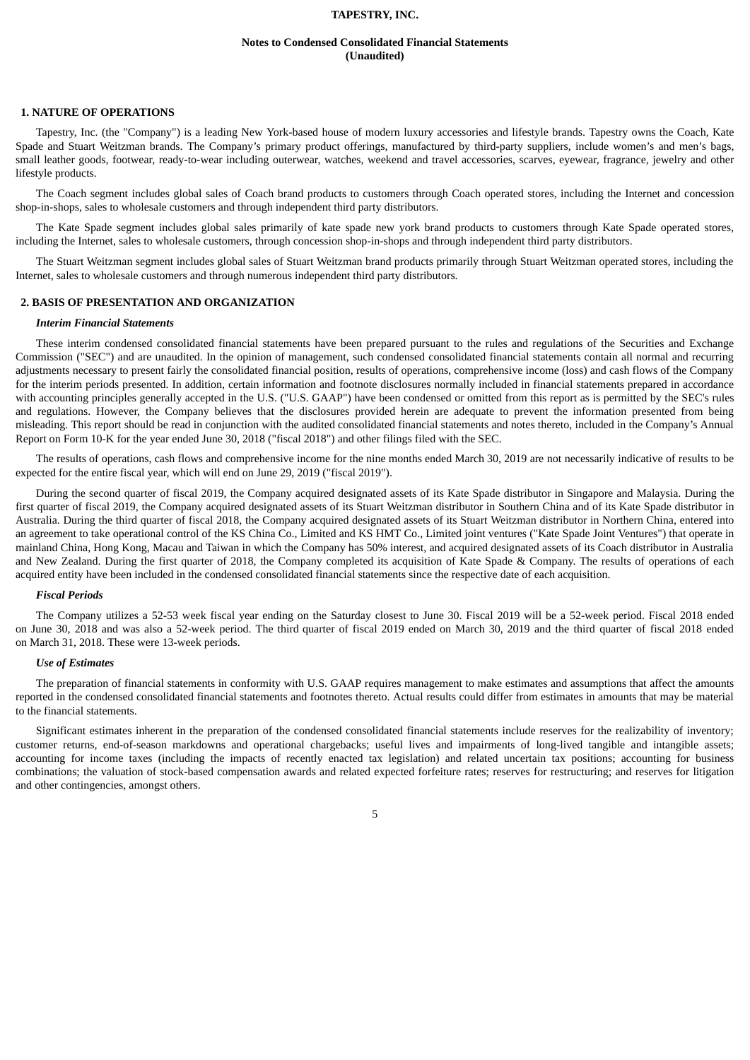## **Notes to Condensed Consolidated Financial Statements (Unaudited)**

#### <span id="page-7-0"></span>**1. NATURE OF OPERATIONS**

Tapestry, Inc. (the "Company") is a leading New York-based house of modern luxury accessories and lifestyle brands. Tapestry owns the Coach, Kate Spade and Stuart Weitzman brands. The Company's primary product offerings, manufactured by third-party suppliers, include women's and men's bags, small leather goods, footwear, ready-to-wear including outerwear, watches, weekend and travel accessories, scarves, eyewear, fragrance, jewelry and other lifestyle products.

The Coach segment includes global sales of Coach brand products to customers through Coach operated stores, including the Internet and concession shop-in-shops, sales to wholesale customers and through independent third party distributors.

The Kate Spade segment includes global sales primarily of kate spade new york brand products to customers through Kate Spade operated stores, including the Internet, sales to wholesale customers, through concession shop-in-shops and through independent third party distributors.

The Stuart Weitzman segment includes global sales of Stuart Weitzman brand products primarily through Stuart Weitzman operated stores, including the Internet, sales to wholesale customers and through numerous independent third party distributors.

### **2. BASIS OF PRESENTATION AND ORGANIZATION**

### *Interim Financial Statements*

These interim condensed consolidated financial statements have been prepared pursuant to the rules and regulations of the Securities and Exchange Commission ("SEC") and are unaudited. In the opinion of management, such condensed consolidated financial statements contain all normal and recurring adjustments necessary to present fairly the consolidated financial position, results of operations, comprehensive income (loss) and cash flows of the Company for the interim periods presented. In addition, certain information and footnote disclosures normally included in financial statements prepared in accordance with accounting principles generally accepted in the U.S. ("U.S. GAAP") have been condensed or omitted from this report as is permitted by the SEC's rules and regulations. However, the Company believes that the disclosures provided herein are adequate to prevent the information presented from being misleading. This report should be read in conjunction with the audited consolidated financial statements and notes thereto, included in the Company's Annual Report on Form 10-K for the year ended June 30, 2018 ("fiscal 2018") and other filings filed with the SEC.

The results of operations, cash flows and comprehensive income for the nine months ended March 30, 2019 are not necessarily indicative of results to be expected for the entire fiscal year, which will end on June 29, 2019 ("fiscal 2019").

During the second quarter of fiscal 2019, the Company acquired designated assets of its Kate Spade distributor in Singapore and Malaysia. During the first quarter of fiscal 2019, the Company acquired designated assets of its Stuart Weitzman distributor in Southern China and of its Kate Spade distributor in Australia. During the third quarter of fiscal 2018, the Company acquired designated assets of its Stuart Weitzman distributor in Northern China, entered into an agreement to take operational control of the KS China Co., Limited and KS HMT Co., Limited joint ventures ("Kate Spade Joint Ventures") that operate in mainland China, Hong Kong, Macau and Taiwan in which the Company has 50% interest, and acquired designated assets of its Coach distributor in Australia and New Zealand. During the first quarter of 2018, the Company completed its acquisition of Kate Spade & Company. The results of operations of each acquired entity have been included in the condensed consolidated financial statements since the respective date of each acquisition.

### *Fiscal Periods*

The Company utilizes a 52-53 week fiscal year ending on the Saturday closest to June 30. Fiscal 2019 will be a 52-week period. Fiscal 2018 ended on June 30, 2018 and was also a 52-week period. The third quarter of fiscal 2019 ended on March 30, 2019 and the third quarter of fiscal 2018 ended on March 31, 2018. These were 13-week periods.

#### *Use of Estimates*

The preparation of financial statements in conformity with U.S. GAAP requires management to make estimates and assumptions that affect the amounts reported in the condensed consolidated financial statements and footnotes thereto. Actual results could differ from estimates in amounts that may be material to the financial statements.

Significant estimates inherent in the preparation of the condensed consolidated financial statements include reserves for the realizability of inventory; customer returns, end-of-season markdowns and operational chargebacks; useful lives and impairments of long-lived tangible and intangible assets; accounting for income taxes (including the impacts of recently enacted tax legislation) and related uncertain tax positions; accounting for business combinations; the valuation of stock-based compensation awards and related expected forfeiture rates; reserves for restructuring; and reserves for litigation and other contingencies, amongst others.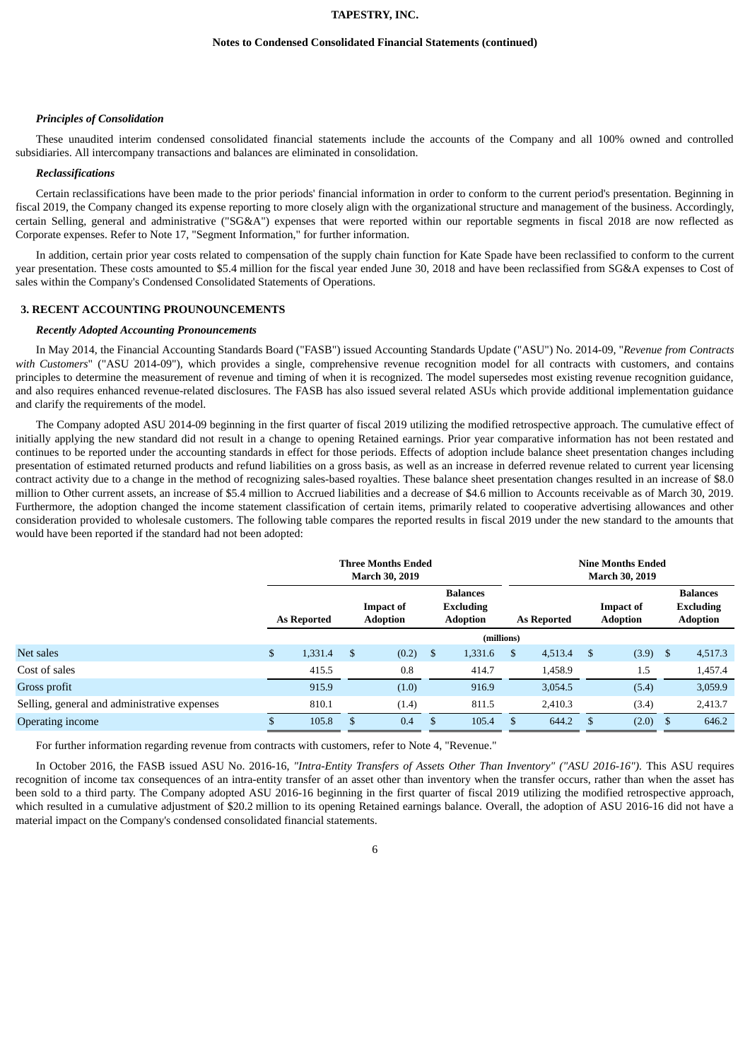#### **Notes to Condensed Consolidated Financial Statements (continued)**

#### *Principles of Consolidation*

These unaudited interim condensed consolidated financial statements include the accounts of the Company and all 100% owned and controlled subsidiaries. All intercompany transactions and balances are eliminated in consolidation.

### *Reclassifications*

Certain reclassifications have been made to the prior periods' financial information in order to conform to the current period's presentation. Beginning in fiscal 2019, the Company changed its expense reporting to more closely align with the organizational structure and management of the business. Accordingly, certain Selling, general and administrative ("SG&A") expenses that were reported within our reportable segments in fiscal 2018 are now reflected as Corporate expenses. Refer to Note 17, "Segment Information," for further information.

In addition, certain prior year costs related to compensation of the supply chain function for Kate Spade have been reclassified to conform to the current year presentation. These costs amounted to \$5.4 million for the fiscal year ended June 30, 2018 and have been reclassified from SG&A expenses to Cost of sales within the Company's Condensed Consolidated Statements of Operations.

## **3. RECENT ACCOUNTING PROUNOUNCEMENTS**

### *Recently Adopted Accounting Pronouncements*

In May 2014, the Financial Accounting Standards Board ("FASB") issued Accounting Standards Update ("ASU") No. 2014-09, "*Revenue from Contracts with Customers*" ("ASU 2014-09"), which provides a single, comprehensive revenue recognition model for all contracts with customers, and contains principles to determine the measurement of revenue and timing of when it is recognized. The model supersedes most existing revenue recognition guidance, and also requires enhanced revenue-related disclosures. The FASB has also issued several related ASUs which provide additional implementation guidance and clarify the requirements of the model.

The Company adopted ASU 2014-09 beginning in the first quarter of fiscal 2019 utilizing the modified retrospective approach. The cumulative effect of initially applying the new standard did not result in a change to opening Retained earnings. Prior year comparative information has not been restated and continues to be reported under the accounting standards in effect for those periods. Effects of adoption include balance sheet presentation changes including presentation of estimated returned products and refund liabilities on a gross basis, as well as an increase in deferred revenue related to current year licensing contract activity due to a change in the method of recognizing sales-based royalties. These balance sheet presentation changes resulted in an increase of \$8.0 million to Other current assets, an increase of \$5.4 million to Accrued liabilities and a decrease of \$4.6 million to Accounts receivable as of March 30, 2019. Furthermore, the adoption changed the income statement classification of certain items, primarily related to cooperative advertising allowances and other consideration provided to wholesale customers. The following table compares the reported results in fiscal 2019 under the new standard to the amounts that would have been reported if the standard had not been adopted:

|                                              |                    |         |     | <b>Three Months Ended</b><br><b>March 30, 2019</b> |                                     | <b>Nine Months Ended</b><br><b>March 30, 2019</b> |               |                                                        |                    |            |  |                                     |  |                                                        |
|----------------------------------------------|--------------------|---------|-----|----------------------------------------------------|-------------------------------------|---------------------------------------------------|---------------|--------------------------------------------------------|--------------------|------------|--|-------------------------------------|--|--------------------------------------------------------|
|                                              | <b>As Reported</b> |         |     |                                                    | <b>Impact of</b><br><b>Adoption</b> |                                                   |               | <b>Balances</b><br><b>Excluding</b><br><b>Adoption</b> | <b>As Reported</b> |            |  | <b>Impact of</b><br><b>Adoption</b> |  | <b>Balances</b><br><b>Excluding</b><br><b>Adoption</b> |
|                                              |                    |         |     |                                                    |                                     | (millions)                                        |               |                                                        |                    |            |  |                                     |  |                                                        |
| Net sales                                    | \$                 | 1,331.4 | \$  | (0.2)                                              | \$                                  | 1,331.6                                           | \$            | 4,513.4                                                | - \$               | $(3.9)$ \$ |  | 4,517.3                             |  |                                                        |
| Cost of sales                                |                    | 415.5   |     | 0.8                                                |                                     | 414.7                                             |               | 1,458.9                                                |                    | 1.5        |  | 1,457.4                             |  |                                                        |
| Gross profit                                 |                    | 915.9   |     | (1.0)                                              |                                     | 916.9                                             |               | 3,054.5                                                |                    | (5.4)      |  | 3,059.9                             |  |                                                        |
| Selling, general and administrative expenses |                    | 810.1   |     | (1.4)                                              |                                     | 811.5                                             |               | 2,410.3                                                |                    | (3.4)      |  | 2,413.7                             |  |                                                        |
| Operating income                             |                    | 105.8   | \$. | 0.4                                                | \$                                  | 105.4                                             | <sup>\$</sup> | 644.2                                                  | $\mathsf{S}$       | $(2.0)$ \$ |  | 646.2                               |  |                                                        |

For further information regarding revenue from contracts with customers, refer to Note 4, "Revenue."

In October 2016, the FASB issued ASU No. 2016-16, *"Intra-Entity Transfers of Assets Other Than Inventory" ("ASU 2016-16").* This ASU requires recognition of income tax consequences of an intra-entity transfer of an asset other than inventory when the transfer occurs, rather than when the asset has been sold to a third party. The Company adopted ASU 2016-16 beginning in the first quarter of fiscal 2019 utilizing the modified retrospective approach, which resulted in a cumulative adjustment of \$20.2 million to its opening Retained earnings balance. Overall, the adoption of ASU 2016-16 did not have a material impact on the Company's condensed consolidated financial statements.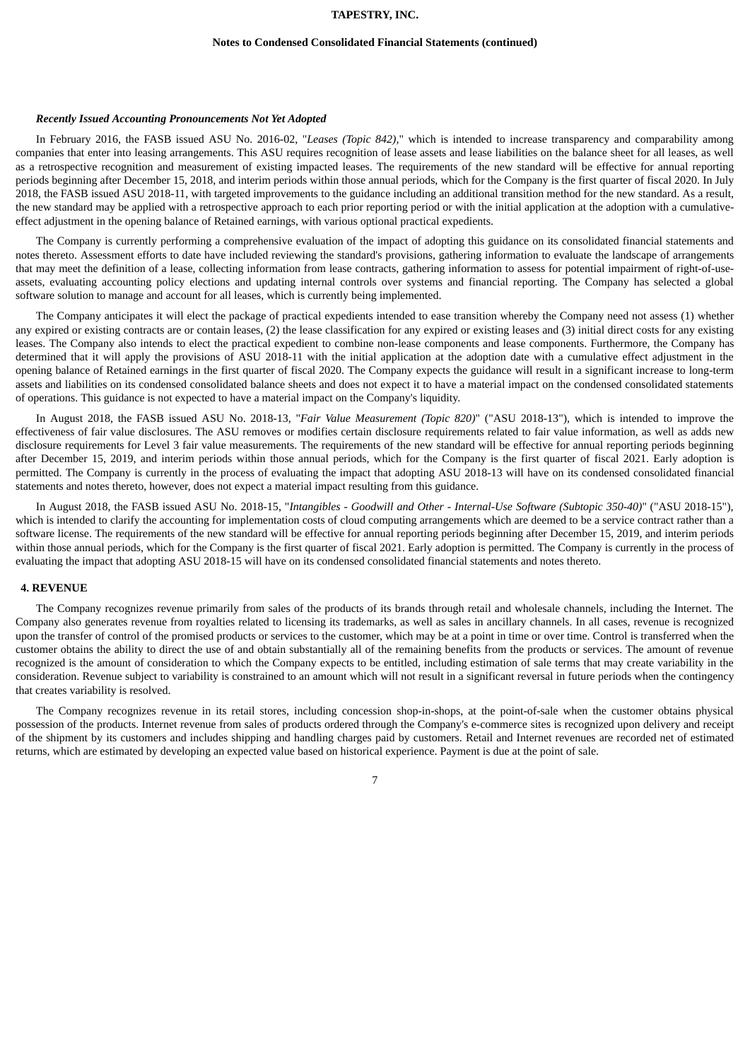#### **Notes to Condensed Consolidated Financial Statements (continued)**

#### *Recently Issued Accounting Pronouncements Not Yet Adopted*

In February 2016, the FASB issued ASU No. 2016-02, "*Leases (Topic 842),*" which is intended to increase transparency and comparability among companies that enter into leasing arrangements. This ASU requires recognition of lease assets and lease liabilities on the balance sheet for all leases, as well as a retrospective recognition and measurement of existing impacted leases. The requirements of the new standard will be effective for annual reporting periods beginning after December 15, 2018, and interim periods within those annual periods, which for the Company is the first quarter of fiscal 2020. In July 2018, the FASB issued ASU 2018-11, with targeted improvements to the guidance including an additional transition method for the new standard. As a result, the new standard may be applied with a retrospective approach to each prior reporting period or with the initial application at the adoption with a cumulativeeffect adjustment in the opening balance of Retained earnings, with various optional practical expedients.

The Company is currently performing a comprehensive evaluation of the impact of adopting this guidance on its consolidated financial statements and notes thereto. Assessment efforts to date have included reviewing the standard's provisions, gathering information to evaluate the landscape of arrangements that may meet the definition of a lease, collecting information from lease contracts, gathering information to assess for potential impairment of right-of-useassets, evaluating accounting policy elections and updating internal controls over systems and financial reporting. The Company has selected a global software solution to manage and account for all leases, which is currently being implemented.

The Company anticipates it will elect the package of practical expedients intended to ease transition whereby the Company need not assess (1) whether any expired or existing contracts are or contain leases, (2) the lease classification for any expired or existing leases and (3) initial direct costs for any existing leases. The Company also intends to elect the practical expedient to combine non-lease components and lease components. Furthermore, the Company has determined that it will apply the provisions of ASU 2018-11 with the initial application at the adoption date with a cumulative effect adjustment in the opening balance of Retained earnings in the first quarter of fiscal 2020. The Company expects the guidance will result in a significant increase to long-term assets and liabilities on its condensed consolidated balance sheets and does not expect it to have a material impact on the condensed consolidated statements of operations. This guidance is not expected to have a material impact on the Company's liquidity.

In August 2018, the FASB issued ASU No. 2018-13, "*Fair Value Measurement (Topic 820)*" ("ASU 2018-13"), which is intended to improve the effectiveness of fair value disclosures. The ASU removes or modifies certain disclosure requirements related to fair value information, as well as adds new disclosure requirements for Level 3 fair value measurements. The requirements of the new standard will be effective for annual reporting periods beginning after December 15, 2019, and interim periods within those annual periods, which for the Company is the first quarter of fiscal 2021. Early adoption is permitted. The Company is currently in the process of evaluating the impact that adopting ASU 2018-13 will have on its condensed consolidated financial statements and notes thereto, however, does not expect a material impact resulting from this guidance.

In August 2018, the FASB issued ASU No. 2018-15, "*Intangibles - Goodwill and Other - Internal-Use Software (Subtopic 350-40)*" ("ASU 2018-15"), which is intended to clarify the accounting for implementation costs of cloud computing arrangements which are deemed to be a service contract rather than a software license. The requirements of the new standard will be effective for annual reporting periods beginning after December 15, 2019, and interim periods within those annual periods, which for the Company is the first quarter of fiscal 2021. Early adoption is permitted. The Company is currently in the process of evaluating the impact that adopting ASU 2018-15 will have on its condensed consolidated financial statements and notes thereto.

### **4. REVENUE**

The Company recognizes revenue primarily from sales of the products of its brands through retail and wholesale channels, including the Internet. The Company also generates revenue from royalties related to licensing its trademarks, as well as sales in ancillary channels. In all cases, revenue is recognized upon the transfer of control of the promised products or services to the customer, which may be at a point in time or over time. Control is transferred when the customer obtains the ability to direct the use of and obtain substantially all of the remaining benefits from the products or services. The amount of revenue recognized is the amount of consideration to which the Company expects to be entitled, including estimation of sale terms that may create variability in the consideration. Revenue subject to variability is constrained to an amount which will not result in a significant reversal in future periods when the contingency that creates variability is resolved.

The Company recognizes revenue in its retail stores, including concession shop-in-shops, at the point-of-sale when the customer obtains physical possession of the products. Internet revenue from sales of products ordered through the Company's e-commerce sites is recognized upon delivery and receipt of the shipment by its customers and includes shipping and handling charges paid by customers. Retail and Internet revenues are recorded net of estimated returns, which are estimated by developing an expected value based on historical experience. Payment is due at the point of sale.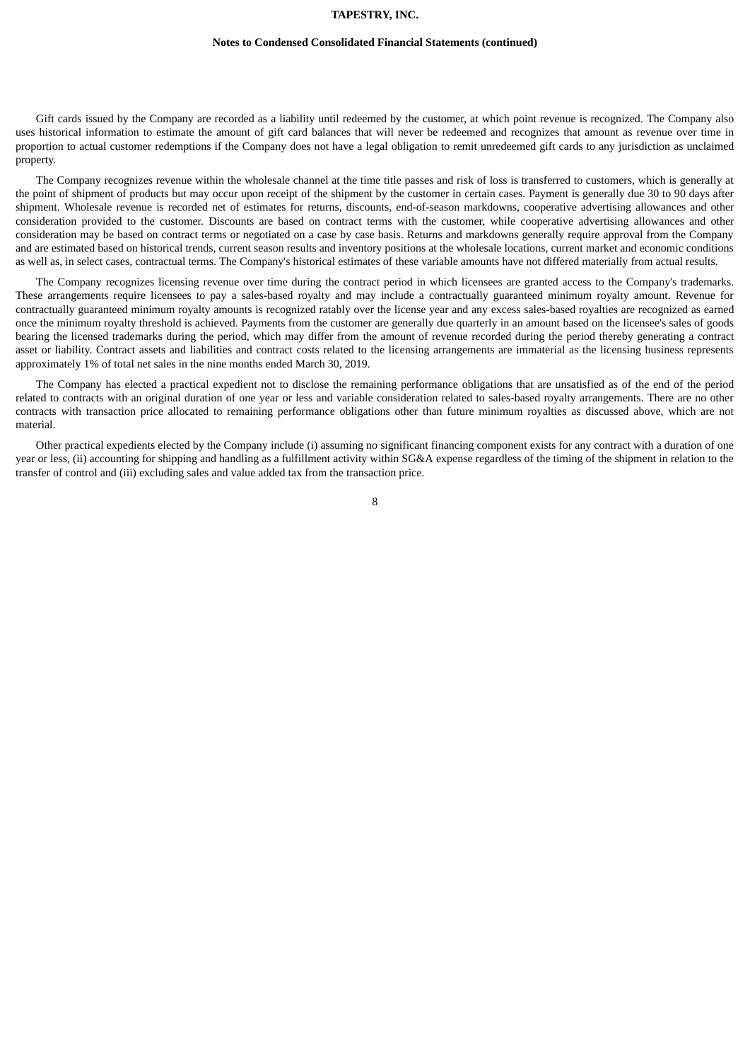#### **Notes to Condensed Consolidated Financial Statements (continued)**

Gift cards issued by the Company are recorded as a liability until redeemed by the customer, at which point revenue is recognized. The Company also uses historical information to estimate the amount of gift card balances that will never be redeemed and recognizes that amount as revenue over time in proportion to actual customer redemptions if the Company does not have a legal obligation to remit unredeemed gift cards to any jurisdiction as unclaimed property.

The Company recognizes revenue within the wholesale channel at the time title passes and risk of loss is transferred to customers, which is generally at the point of shipment of products but may occur upon receipt of the shipment by the customer in certain cases. Payment is generally due 30 to 90 days after shipment. Wholesale revenue is recorded net of estimates for returns, discounts, end-of-season markdowns, cooperative advertising allowances and other consideration provided to the customer. Discounts are based on contract terms with the customer, while cooperative advertising allowances and other consideration may be based on contract terms or negotiated on a case by case basis. Returns and markdowns generally require approval from the Company and are estimated based on historical trends, current season results and inventory positions at the wholesale locations, current market and economic conditions as well as, in select cases, contractual terms. The Company's historical estimates of these variable amounts have not differed materially from actual results.

The Company recognizes licensing revenue over time during the contract period in which licensees are granted access to the Company's trademarks. These arrangements require licensees to pay a sales-based royalty and may include a contractually guaranteed minimum royalty amount. Revenue for contractually guaranteed minimum royalty amounts is recognized ratably over the license year and any excess sales-based royalties are recognized as earned once the minimum royalty threshold is achieved. Payments from the customer are generally due quarterly in an amount based on the licensee's sales of goods bearing the licensed trademarks during the period, which may differ from the amount of revenue recorded during the period thereby generating a contract asset or liability. Contract assets and liabilities and contract costs related to the licensing arrangements are immaterial as the licensing business represents approximately 1% of total net sales in the nine months ended March 30, 2019.

The Company has elected a practical expedient not to disclose the remaining performance obligations that are unsatisfied as of the end of the period related to contracts with an original duration of one year or less and variable consideration related to sales-based royalty arrangements. There are no other contracts with transaction price allocated to remaining performance obligations other than future minimum royalties as discussed above, which are not material.

Other practical expedients elected by the Company include (i) assuming no significant financing component exists for any contract with a duration of one year or less, (ii) accounting for shipping and handling as a fulfillment activity within SG&A expense regardless of the timing of the shipment in relation to the transfer of control and (iii) excluding sales and value added tax from the transaction price.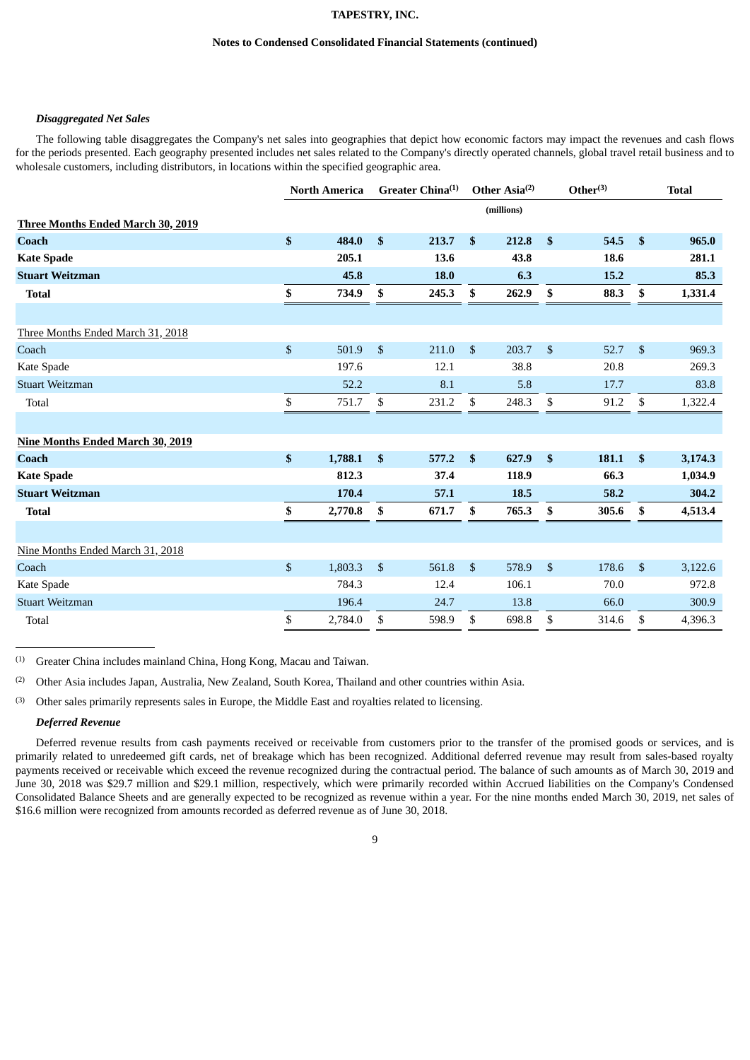### **Notes to Condensed Consolidated Financial Statements (continued)**

#### *Disaggregated Net Sales*

The following table disaggregates the Company's net sales into geographies that depict how economic factors may impact the revenues and cash flows for the periods presented. Each geography presented includes net sales related to the Company's directly operated channels, global travel retail business and to wholesale customers, including distributors, in locations within the specified geographic area.

|                                          |                           | <b>North America</b> |              | Greater China <sup>(1)</sup> |                           | Other Asia $^{(2)}$ |                           | Other <sup>(3)</sup> |                | <b>Total</b> |
|------------------------------------------|---------------------------|----------------------|--------------|------------------------------|---------------------------|---------------------|---------------------------|----------------------|----------------|--------------|
|                                          |                           |                      |              |                              |                           | (millions)          |                           |                      |                |              |
| <b>Three Months Ended March 30, 2019</b> |                           |                      |              |                              |                           |                     |                           |                      |                |              |
| <b>Coach</b>                             | \$                        | 484.0                | $\mathbf{s}$ | 213.7                        | $\mathbf{s}$              | 212.8               | $\mathbf{s}$              | 54.5                 | $\mathbf{s}$   | 965.0        |
| <b>Kate Spade</b>                        |                           | 205.1                |              | 13.6                         |                           | 43.8                |                           | 18.6                 |                | 281.1        |
| <b>Stuart Weitzman</b>                   |                           | 45.8                 |              | <b>18.0</b>                  |                           | 6.3                 |                           | 15.2                 |                | 85.3         |
| <b>Total</b>                             | \$                        | 734.9                | \$           | 245.3                        | \$                        | 262.9               | \$                        | 88.3                 | \$             | 1,331.4      |
|                                          |                           |                      |              |                              |                           |                     |                           |                      |                |              |
| Three Months Ended March 31, 2018        |                           |                      |              |                              |                           |                     |                           |                      |                |              |
| Coach                                    | \$                        | 501.9                | \$           | 211.0                        | $\mathbb{S}$              | 203.7               | $\boldsymbol{\mathsf{S}}$ | 52.7                 | $\mathbb{S}$   | 969.3        |
| Kate Spade                               |                           | 197.6                |              | 12.1                         |                           | 38.8                |                           | 20.8                 |                | 269.3        |
| <b>Stuart Weitzman</b>                   |                           | 52.2                 |              | 8.1                          |                           | 5.8                 |                           | 17.7                 |                | 83.8         |
| Total                                    | \$                        | 751.7                | \$           | 231.2                        | \$                        | 248.3               | \$                        | 91.2                 | \$             | 1,322.4      |
|                                          |                           |                      |              |                              |                           |                     |                           |                      |                |              |
| <b>Nine Months Ended March 30, 2019</b>  |                           |                      |              |                              |                           |                     |                           |                      |                |              |
| <b>Coach</b>                             | $\boldsymbol{\mathsf{S}}$ | 1,788.1              | \$           | 577.2                        | $\boldsymbol{\mathsf{s}}$ | 627.9               | $\mathbf{s}$              | 181.1                | \$             | 3,174.3      |
| <b>Kate Spade</b>                        |                           | 812.3                |              | 37.4                         |                           | 118.9               |                           | 66.3                 |                | 1,034.9      |
| <b>Stuart Weitzman</b>                   |                           | 170.4                |              | 57.1                         |                           | 18.5                |                           | 58.2                 |                | 304.2        |
| <b>Total</b>                             | \$                        | 2,770.8              | \$           | 671.7                        | \$                        | 765.3               | \$                        | 305.6                | \$             | 4,513.4      |
|                                          |                           |                      |              |                              |                           |                     |                           |                      |                |              |
| Nine Months Ended March 31, 2018         |                           |                      |              |                              |                           |                     |                           |                      |                |              |
| Coach                                    | $\mathbb{S}$              | 1,803.3              | $\mathbb{S}$ | 561.8                        | $\mathbb{S}$              | 578.9               | $\mathbb{S}$              | 178.6                | $\mathfrak{S}$ | 3,122.6      |
| Kate Spade                               |                           | 784.3                |              | 12.4                         |                           | 106.1               |                           | 70.0                 |                | 972.8        |
| <b>Stuart Weitzman</b>                   |                           | 196.4                |              | 24.7                         |                           | 13.8                |                           | 66.0                 |                | 300.9        |
| Total                                    | \$                        | 2,784.0              | \$           | 598.9                        | \$                        | 698.8               | \$                        | 314.6                | \$             | 4,396.3      |

(1) Greater China includes mainland China, Hong Kong, Macau and Taiwan.

(2) Other Asia includes Japan, Australia, New Zealand, South Korea, Thailand and other countries within Asia.

(3) Other sales primarily represents sales in Europe, the Middle East and royalties related to licensing.

## *Deferred Revenue*

Deferred revenue results from cash payments received or receivable from customers prior to the transfer of the promised goods or services, and is primarily related to unredeemed gift cards, net of breakage which has been recognized. Additional deferred revenue may result from sales-based royalty payments received or receivable which exceed the revenue recognized during the contractual period. The balance of such amounts as of March 30, 2019 and June 30, 2018 was \$29.7 million and \$29.1 million, respectively, which were primarily recorded within Accrued liabilities on the Company's Condensed Consolidated Balance Sheets and are generally expected to be recognized as revenue within a year. For the nine months ended March 30, 2019, net sales of \$16.6 million were recognized from amounts recorded as deferred revenue as of June 30, 2018.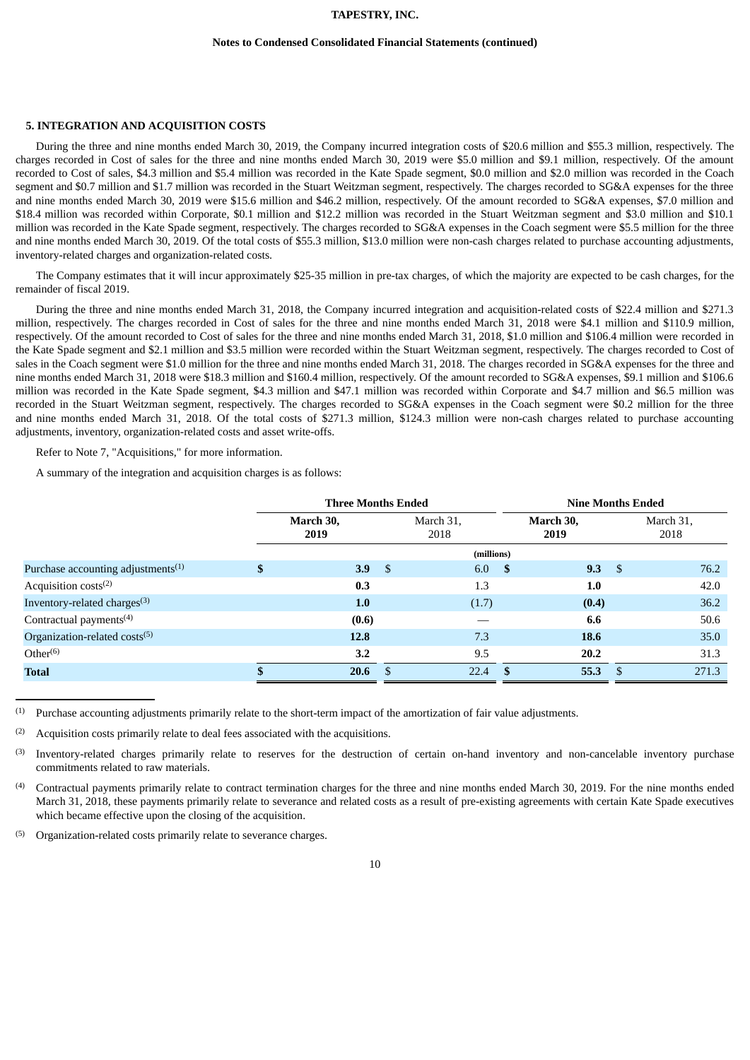#### **Notes to Condensed Consolidated Financial Statements (continued)**

## **5. INTEGRATION AND ACQUISITION COSTS**

During the three and nine months ended March 30, 2019, the Company incurred integration costs of \$20.6 million and \$55.3 million, respectively. The charges recorded in Cost of sales for the three and nine months ended March 30, 2019 were \$5.0 million and \$9.1 million, respectively. Of the amount recorded to Cost of sales, \$4.3 million and \$5.4 million was recorded in the Kate Spade segment, \$0.0 million and \$2.0 million was recorded in the Coach segment and \$0.7 million and \$1.7 million was recorded in the Stuart Weitzman segment, respectively. The charges recorded to SG&A expenses for the three and nine months ended March 30, 2019 were \$15.6 million and \$46.2 million, respectively. Of the amount recorded to SG&A expenses, \$7.0 million and \$18.4 million was recorded within Corporate, \$0.1 million and \$12.2 million was recorded in the Stuart Weitzman segment and \$3.0 million and \$10.1 million was recorded in the Kate Spade segment, respectively. The charges recorded to SG&A expenses in the Coach segment were \$5.5 million for the three and nine months ended March 30, 2019. Of the total costs of \$55.3 million, \$13.0 million were non-cash charges related to purchase accounting adjustments, inventory-related charges and organization-related costs.

The Company estimates that it will incur approximately \$25-35 million in pre-tax charges, of which the majority are expected to be cash charges, for the remainder of fiscal 2019.

During the three and nine months ended March 31, 2018, the Company incurred integration and acquisition-related costs of \$22.4 million and \$271.3 million, respectively. The charges recorded in Cost of sales for the three and nine months ended March 31, 2018 were \$4.1 million and \$110.9 million, respectively. Of the amount recorded to Cost of sales for the three and nine months ended March 31, 2018, \$1.0 million and \$106.4 million were recorded in the Kate Spade segment and \$2.1 million and \$3.5 million were recorded within the Stuart Weitzman segment, respectively. The charges recorded to Cost of sales in the Coach segment were \$1.0 million for the three and nine months ended March 31, 2018. The charges recorded in SG&A expenses for the three and nine months ended March 31, 2018 were \$18.3 million and \$160.4 million, respectively. Of the amount recorded to SG&A expenses, \$9.1 million and \$106.6 million was recorded in the Kate Spade segment, \$4.3 million and \$47.1 million was recorded within Corporate and \$4.7 million and \$6.5 million was recorded in the Stuart Weitzman segment, respectively. The charges recorded to SG&A expenses in the Coach segment were \$0.2 million for the three and nine months ended March 31, 2018. Of the total costs of \$271.3 million, \$124.3 million were non-cash charges related to purchase accounting adjustments, inventory, organization-related costs and asset write-offs.

Refer to Note 7, "Acquisitions," for more information.

A summary of the integration and acquisition charges is as follows:

|                                                |                   | <b>Three Months Ended</b> |      | <b>Nine Months Ended</b> |     |                   |                   |       |  |  |
|------------------------------------------------|-------------------|---------------------------|------|--------------------------|-----|-------------------|-------------------|-------|--|--|
|                                                | March 30,<br>2019 |                           |      | March 31,<br>2018        |     | March 30,<br>2019 | March 31,<br>2018 |       |  |  |
|                                                |                   |                           |      | (millions)               |     |                   |                   |       |  |  |
| Purchase accounting adjustments <sup>(1)</sup> | \$                | 3.9                       | - \$ | 6.0                      | -\$ | 9.3               | - \$              | 76.2  |  |  |
| Acquisition costs <sup>(2)</sup>               |                   | 0.3                       |      | 1.3                      |     | 1.0               |                   | 42.0  |  |  |
| Inventory-related charges $(3)$                |                   | 1.0                       |      | (1.7)                    |     | (0.4)             |                   | 36.2  |  |  |
| Contractual payments $(4)$                     |                   | (0.6)                     |      |                          |     | 6.6               |                   | 50.6  |  |  |
| Organization-related costs <sup>(5)</sup>      |                   | 12.8                      |      | 7.3                      |     | 18.6              |                   | 35.0  |  |  |
| Other <sup>(6)</sup>                           |                   | 3.2                       |      | 9.5                      |     | 20.2              |                   | 31.3  |  |  |
| <b>Total</b>                                   |                   | 20.6                      | -\$  | 22.4                     |     | 55.3              |                   | 271.3 |  |  |

 $<sup>(1)</sup>$  Purchase accounting adjustments primarily relate to the short-term impact of the amortization of fair value adjustments.</sup>

(2) Acquisition costs primarily relate to deal fees associated with the acquisitions.

(3) Inventory-related charges primarily relate to reserves for the destruction of certain on-hand inventory and non-cancelable inventory purchase commitments related to raw materials.

(4) Contractual payments primarily relate to contract termination charges for the three and nine months ended March 30, 2019. For the nine months ended March 31, 2018, these payments primarily relate to severance and related costs as a result of pre-existing agreements with certain Kate Spade executives which became effective upon the closing of the acquisition.

(5) Organization-related costs primarily relate to severance charges.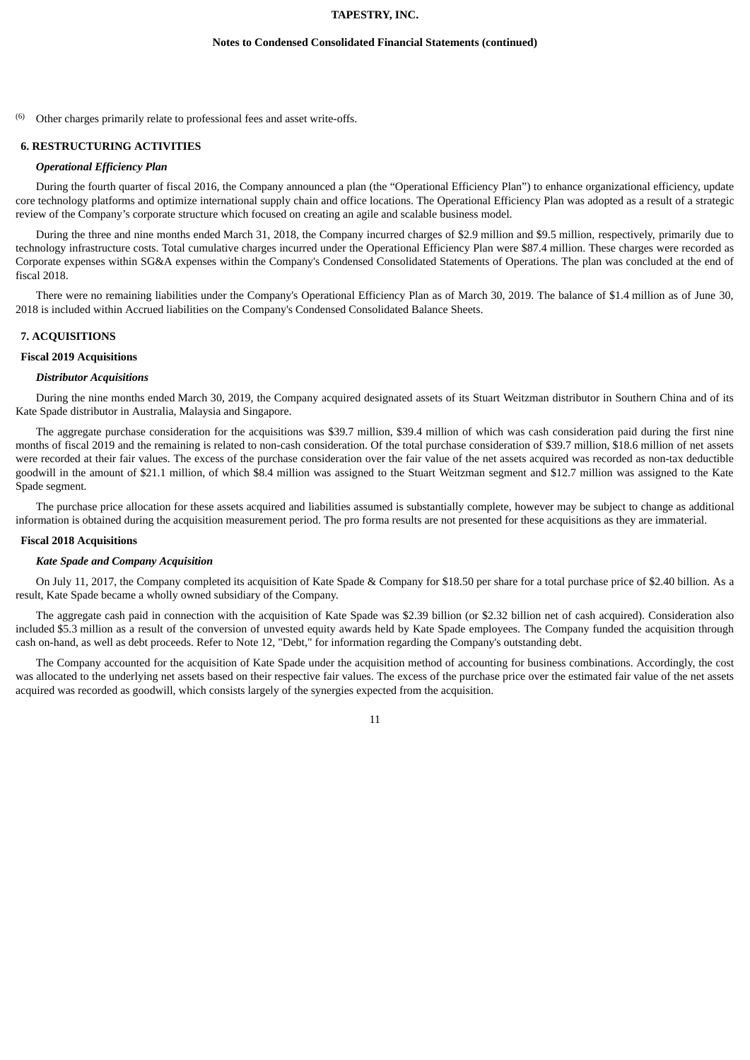#### **Notes to Condensed Consolidated Financial Statements (continued)**

(6) Other charges primarily relate to professional fees and asset write-offs.

## **6. RESTRUCTURING ACTIVITIES**

### *Operational Efficiency Plan*

During the fourth quarter of fiscal 2016, the Company announced a plan (the "Operational Efficiency Plan") to enhance organizational efficiency, update core technology platforms and optimize international supply chain and office locations. The Operational Efficiency Plan was adopted as a result of a strategic review of the Company's corporate structure which focused on creating an agile and scalable business model.

During the three and nine months ended March 31, 2018, the Company incurred charges of \$2.9 million and \$9.5 million, respectively, primarily due to technology infrastructure costs. Total cumulative charges incurred under the Operational Efficiency Plan were \$87.4 million. These charges were recorded as Corporate expenses within SG&A expenses within the Company's Condensed Consolidated Statements of Operations. The plan was concluded at the end of fiscal 2018.

There were no remaining liabilities under the Company's Operational Efficiency Plan as of March 30, 2019. The balance of \$1.4 million as of June 30, 2018 is included within Accrued liabilities on the Company's Condensed Consolidated Balance Sheets.

### **7. ACQUISITIONS**

## **Fiscal 2019 Acquisitions**

### *Distributor Acquisitions*

During the nine months ended March 30, 2019, the Company acquired designated assets of its Stuart Weitzman distributor in Southern China and of its Kate Spade distributor in Australia, Malaysia and Singapore.

The aggregate purchase consideration for the acquisitions was \$39.7 million, \$39.4 million of which was cash consideration paid during the first nine months of fiscal 2019 and the remaining is related to non-cash consideration. Of the total purchase consideration of \$39.7 million, \$18.6 million of net assets were recorded at their fair values. The excess of the purchase consideration over the fair value of the net assets acquired was recorded as non-tax deductible goodwill in the amount of \$21.1 million, of which \$8.4 million was assigned to the Stuart Weitzman segment and \$12.7 million was assigned to the Kate Spade segment.

The purchase price allocation for these assets acquired and liabilities assumed is substantially complete, however may be subject to change as additional information is obtained during the acquisition measurement period. The pro forma results are not presented for these acquisitions as they are immaterial.

#### **Fiscal 2018 Acquisitions**

#### *Kate Spade and Company Acquisition*

On July 11, 2017, the Company completed its acquisition of Kate Spade & Company for \$18.50 per share for a total purchase price of \$2.40 billion. As a result, Kate Spade became a wholly owned subsidiary of the Company.

The aggregate cash paid in connection with the acquisition of Kate Spade was \$2.39 billion (or \$2.32 billion net of cash acquired). Consideration also included \$5.3 million as a result of the conversion of unvested equity awards held by Kate Spade employees. The Company funded the acquisition through cash on-hand, as well as debt proceeds. Refer to Note 12, "Debt," for information regarding the Company's outstanding debt.

The Company accounted for the acquisition of Kate Spade under the acquisition method of accounting for business combinations. Accordingly, the cost was allocated to the underlying net assets based on their respective fair values. The excess of the purchase price over the estimated fair value of the net assets acquired was recorded as goodwill, which consists largely of the synergies expected from the acquisition.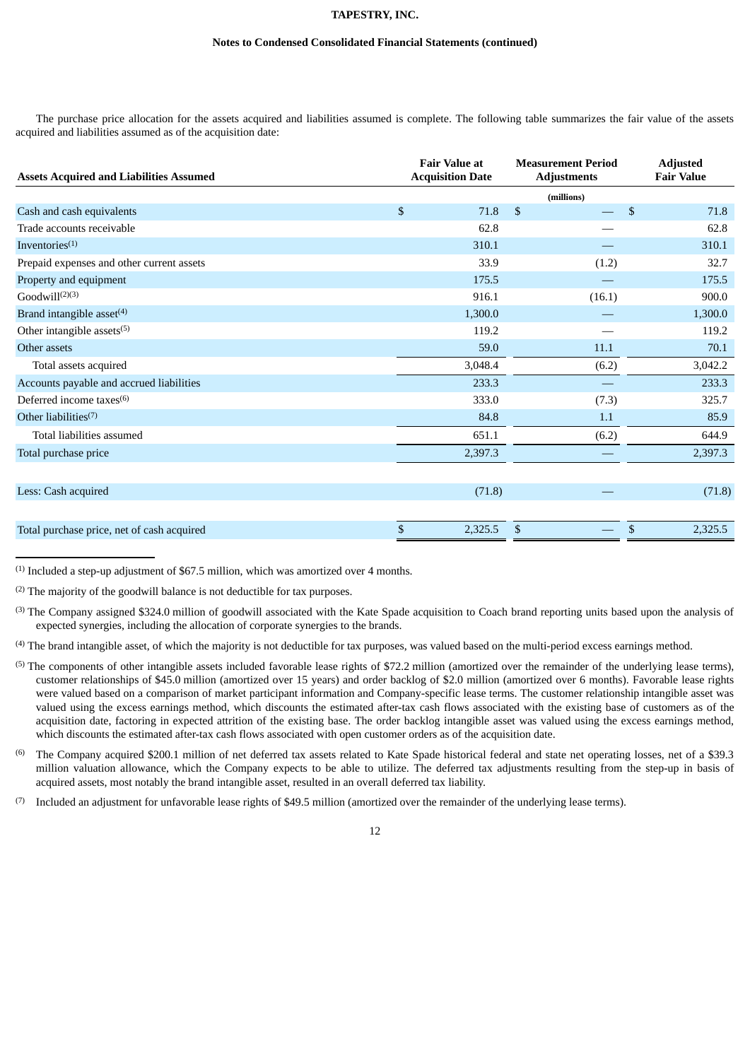## **Notes to Condensed Consolidated Financial Statements (continued)**

The purchase price allocation for the assets acquired and liabilities assumed is complete. The following table summarizes the fair value of the assets acquired and liabilities assumed as of the acquisition date:

| <b>Assets Acquired and Liabilities Assumed</b> | <b>Fair Value at</b><br><b>Acquisition Date</b> | <b>Measurement Period</b><br><b>Adjustments</b> | <b>Adjusted</b><br><b>Fair Value</b> |
|------------------------------------------------|-------------------------------------------------|-------------------------------------------------|--------------------------------------|
|                                                |                                                 | (millions)                                      |                                      |
| Cash and cash equivalents                      | \$<br>71.8                                      | $\mathfrak{S}$                                  | \$<br>71.8                           |
| Trade accounts receivable                      | 62.8                                            |                                                 | 62.8                                 |
| Inventories $(1)$                              | 310.1                                           |                                                 | 310.1                                |
| Prepaid expenses and other current assets      | 33.9                                            | (1.2)                                           | 32.7                                 |
| Property and equipment                         | 175.5                                           |                                                 | 175.5                                |
| Goodwill <sup>(2)(3)</sup>                     | 916.1                                           | (16.1)                                          | 900.0                                |
| Brand intangible asset <sup>(4)</sup>          | 1,300.0                                         |                                                 | 1,300.0                              |
| Other intangible assets $(5)$                  | 119.2                                           |                                                 | 119.2                                |
| Other assets                                   | 59.0                                            | 11.1                                            | 70.1                                 |
| Total assets acquired                          | 3,048.4                                         | (6.2)                                           | 3,042.2                              |
| Accounts payable and accrued liabilities       | 233.3                                           |                                                 | 233.3                                |
| Deferred income taxes $(6)$                    | 333.0                                           | (7.3)                                           | 325.7                                |
| Other liabilities <sup>(7)</sup>               | 84.8                                            | 1.1                                             | 85.9                                 |
| Total liabilities assumed                      | 651.1                                           | (6.2)                                           | 644.9                                |
| Total purchase price                           | 2,397.3                                         |                                                 | 2,397.3                              |
|                                                |                                                 |                                                 |                                      |
| Less: Cash acquired                            | (71.8)                                          |                                                 | (71.8)                               |
|                                                |                                                 |                                                 |                                      |
| Total purchase price, net of cash acquired     | \$<br>2,325.5                                   | \$                                              | \$<br>2,325.5                        |

 $<sup>(1)</sup>$  Included a step-up adjustment of \$67.5 million, which was amortized over 4 months.</sup>

<sup>(2)</sup> The majority of the goodwill balance is not deductible for tax purposes.

<sup>&</sup>lt;sup>(3)</sup> The Company assigned \$324.0 million of goodwill associated with the Kate Spade acquisition to Coach brand reporting units based upon the analysis of expected synergies, including the allocation of corporate synergies to the brands.

<sup>(4)</sup> The brand intangible asset, of which the majority is not deductible for tax purposes, was valued based on the multi-period excess earnings method.

<sup>(5)</sup> The components of other intangible assets included favorable lease rights of \$72.2 million (amortized over the remainder of the underlying lease terms), customer relationships of \$45.0 million (amortized over 15 years) and order backlog of \$2.0 million (amortized over 6 months). Favorable lease rights were valued based on a comparison of market participant information and Company-specific lease terms. The customer relationship intangible asset was valued using the excess earnings method, which discounts the estimated after-tax cash flows associated with the existing base of customers as of the acquisition date, factoring in expected attrition of the existing base. The order backlog intangible asset was valued using the excess earnings method, which discounts the estimated after-tax cash flows associated with open customer orders as of the acquisition date.

<sup>&</sup>lt;sup>(6)</sup> The Company acquired \$200.1 million of net deferred tax assets related to Kate Spade historical federal and state net operating losses, net of a \$39.3 million valuation allowance, which the Company expects to be able to utilize. The deferred tax adjustments resulting from the step-up in basis of acquired assets, most notably the brand intangible asset, resulted in an overall deferred tax liability.

 $(7)$  Included an adjustment for unfavorable lease rights of \$49.5 million (amortized over the remainder of the underlying lease terms).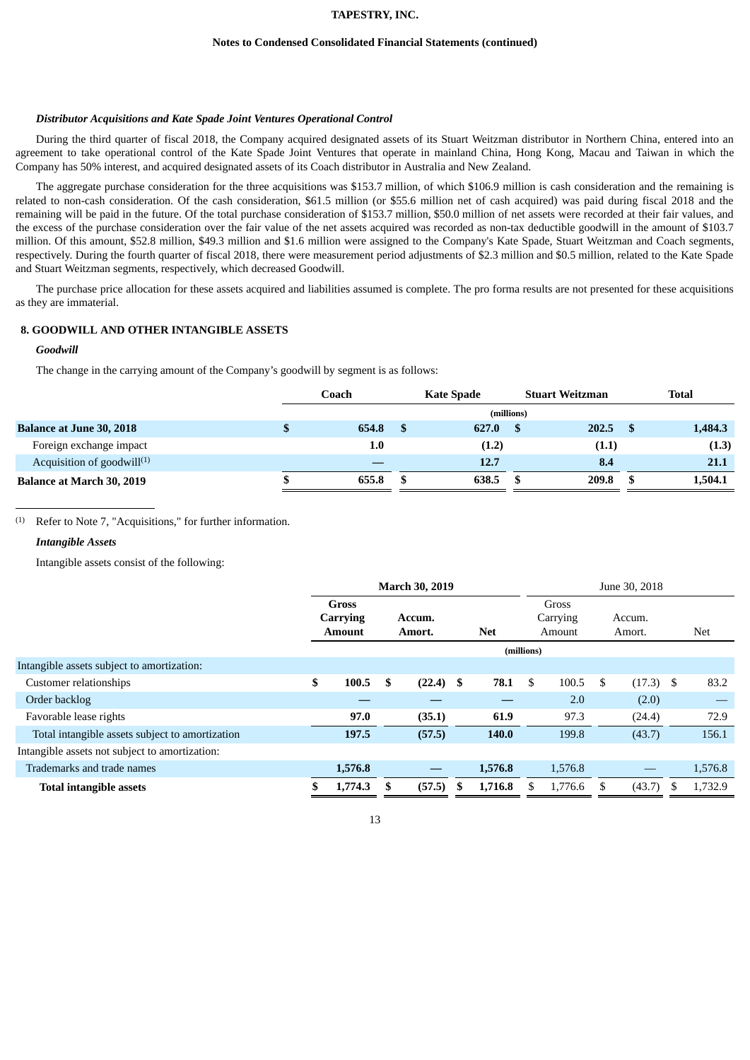#### **Notes to Condensed Consolidated Financial Statements (continued)**

#### *Distributor Acquisitions and Kate Spade Joint Ventures Operational Control*

During the third quarter of fiscal 2018, the Company acquired designated assets of its Stuart Weitzman distributor in Northern China, entered into an agreement to take operational control of the Kate Spade Joint Ventures that operate in mainland China, Hong Kong, Macau and Taiwan in which the Company has 50% interest, and acquired designated assets of its Coach distributor in Australia and New Zealand.

The aggregate purchase consideration for the three acquisitions was \$153.7 million, of which \$106.9 million is cash consideration and the remaining is related to non-cash consideration. Of the cash consideration, \$61.5 million (or \$55.6 million net of cash acquired) was paid during fiscal 2018 and the remaining will be paid in the future. Of the total purchase consideration of \$153.7 million, \$50.0 million of net assets were recorded at their fair values, and the excess of the purchase consideration over the fair value of the net assets acquired was recorded as non-tax deductible goodwill in the amount of \$103.7 million. Of this amount, \$52.8 million, \$49.3 million and \$1.6 million were assigned to the Company's Kate Spade, Stuart Weitzman and Coach segments, respectively. During the fourth quarter of fiscal 2018, there were measurement period adjustments of \$2.3 million and \$0.5 million, related to the Kate Spade and Stuart Weitzman segments, respectively, which decreased Goodwill.

The purchase price allocation for these assets acquired and liabilities assumed is complete. The pro forma results are not presented for these acquisitions as they are immaterial.

## **8. GOODWILL AND OTHER INTANGIBLE ASSETS**

## *Goodwill*

The change in the carrying amount of the Company's goodwill by segment is as follows:

|                                  | Coach      |       |  | <b>Kate Spade</b> |  | <b>Stuart Weitzman</b> |  | <b>Total</b> |  |
|----------------------------------|------------|-------|--|-------------------|--|------------------------|--|--------------|--|
|                                  | (millions) |       |  |                   |  |                        |  |              |  |
| <b>Balance at June 30, 2018</b>  |            | 654.8 |  | 627.0             |  | 202.5                  |  | 1,484.3      |  |
| Foreign exchange impact          |            | 1.0   |  | (1.2)             |  | (1.1)                  |  | (1.3)        |  |
| Acquisition of goodwill $(1)$    |            |       |  | 12.7              |  | 8.4                    |  | 21.1         |  |
| <b>Balance at March 30, 2019</b> |            | 655.8 |  | 638.5             |  | 209.8                  |  | 1,504.1      |  |
|                                  |            |       |  |                   |  |                        |  |              |  |

(1) Refer to Note 7, "Acquisitions," for further information.

## *Intangible Assets*

Intangible assets consist of the following:

|                                                 | <b>March 30, 2019</b>              |         |                  |             |  |            |    | June 30, 2018               |     |                  |      |         |  |  |
|-------------------------------------------------|------------------------------------|---------|------------------|-------------|--|------------|----|-----------------------------|-----|------------------|------|---------|--|--|
|                                                 | Gross<br>Carrying<br><b>Amount</b> |         | Accum.<br>Amort. |             |  | <b>Net</b> |    | Gross<br>Carrying<br>Amount |     | Accum.<br>Amort. |      | Net     |  |  |
|                                                 | (millions)                         |         |                  |             |  |            |    |                             |     |                  |      |         |  |  |
| Intangible assets subject to amortization:      |                                    |         |                  |             |  |            |    |                             |     |                  |      |         |  |  |
| Customer relationships                          | \$                                 | 100.5   | S                | $(22.4)$ \$ |  | 78.1       | \$ | 100.5                       | \$. | $(17.3)$ \$      |      | 83.2    |  |  |
| Order backlog                                   |                                    |         |                  |             |  |            |    | 2.0                         |     | (2.0)            |      |         |  |  |
| Favorable lease rights                          |                                    | 97.0    |                  | (35.1)      |  | 61.9       |    | 97.3                        |     | (24.4)           |      | 72.9    |  |  |
| Total intangible assets subject to amortization |                                    | 197.5   |                  | (57.5)      |  | 140.0      |    | 199.8                       |     | (43.7)           |      | 156.1   |  |  |
| Intangible assets not subject to amortization:  |                                    |         |                  |             |  |            |    |                             |     |                  |      |         |  |  |
| Trademarks and trade names                      |                                    | 1,576.8 |                  |             |  | 1,576.8    |    | 1,576.8                     |     |                  |      | 1,576.8 |  |  |
| <b>Total intangible assets</b>                  |                                    | 1,774.3 |                  | (57.5)      |  | 1,716.8    |    | 1,776.6                     |     | (43.7)           | - \$ | 1,732.9 |  |  |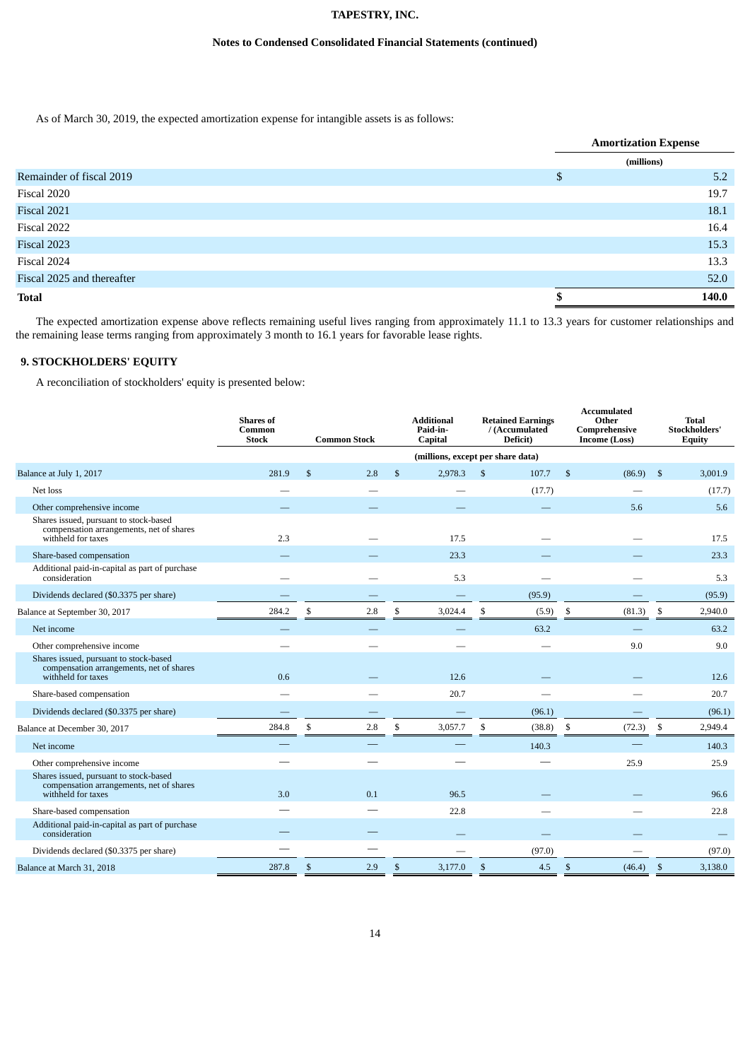### **Notes to Condensed Consolidated Financial Statements (continued)**

As of March 30, 2019, the expected amortization expense for intangible assets is as follows:

|                            | <b>Amortization Expense</b> |            |  |
|----------------------------|-----------------------------|------------|--|
|                            |                             | (millions) |  |
| Remainder of fiscal 2019   | \$                          | 5.2        |  |
| Fiscal 2020                |                             | 19.7       |  |
| Fiscal 2021                |                             | 18.1       |  |
| Fiscal 2022                |                             | 16.4       |  |
| Fiscal 2023                |                             | 15.3       |  |
| Fiscal 2024                |                             | 13.3       |  |
| Fiscal 2025 and thereafter |                             | 52.0       |  |
| <b>Total</b>               |                             | 140.0      |  |

The expected amortization expense above reflects remaining useful lives ranging from approximately 11.1 to 13.3 years for customer relationships and the remaining lease terms ranging from approximately 3 month to 16.1 years for favorable lease rights.

## **9. STOCKHOLDERS' EQUITY**

A reconciliation of stockholders' equity is presented below:

|                                                                                                          | <b>Shares</b> of<br>Common<br><b>Stock</b> |              | <b>Common Stock</b> |              | <b>Additional</b><br>Paid-in-<br>Capital | <b>Retained Earnings</b><br>/ (Accumulated<br>Deficit) |                | <b>Accumulated</b><br>Other<br>Comprehensive<br>Income (Loss) |                | <b>Total</b><br>Stockholders'<br><b>Equity</b> |
|----------------------------------------------------------------------------------------------------------|--------------------------------------------|--------------|---------------------|--------------|------------------------------------------|--------------------------------------------------------|----------------|---------------------------------------------------------------|----------------|------------------------------------------------|
|                                                                                                          |                                            |              |                     |              |                                          | (millions, except per share data)                      |                |                                                               |                |                                                |
| Balance at July 1, 2017                                                                                  | 281.9                                      | $\mathbf{s}$ | 2.8                 | $\mathbb{S}$ | 2,978.3                                  | 107.7<br>-\$                                           | $\mathfrak{S}$ | (86.9)                                                        | $\mathfrak{S}$ | 3,001.9                                        |
| Net loss                                                                                                 |                                            |              |                     |              |                                          | (17.7)                                                 |                |                                                               |                | (17.7)                                         |
| Other comprehensive income                                                                               |                                            |              |                     |              |                                          |                                                        |                | 5.6                                                           |                | 5.6                                            |
| Shares issued, pursuant to stock-based<br>compensation arrangements, net of shares<br>withheld for taxes | 2.3                                        |              |                     |              | 17.5                                     |                                                        |                |                                                               |                | 17.5                                           |
| Share-based compensation                                                                                 |                                            |              |                     |              | 23.3                                     |                                                        |                |                                                               |                | 23.3                                           |
| Additional paid-in-capital as part of purchase<br>consideration                                          |                                            |              |                     |              | 5.3                                      |                                                        |                |                                                               |                | 5.3                                            |
| Dividends declared (\$0.3375 per share)                                                                  |                                            |              |                     |              |                                          | (95.9)                                                 |                |                                                               |                | (95.9)                                         |
| Balance at September 30, 2017                                                                            | 284.2                                      | \$           | 2.8                 | \$           | 3,024.4                                  | \$<br>(5.9)                                            | \$             | (81.3)                                                        | \$             | 2,940.0                                        |
| Net income                                                                                               |                                            |              |                     |              |                                          | 63.2                                                   |                |                                                               |                | 63.2                                           |
| Other comprehensive income                                                                               |                                            |              |                     |              |                                          |                                                        |                | 9.0                                                           |                | 9.0                                            |
| Shares issued, pursuant to stock-based<br>compensation arrangements, net of shares<br>withheld for taxes | 0.6                                        |              |                     |              | 12.6                                     |                                                        |                |                                                               |                | 12.6                                           |
| Share-based compensation                                                                                 |                                            |              |                     |              | 20.7                                     |                                                        |                |                                                               |                | 20.7                                           |
| Dividends declared (\$0.3375 per share)                                                                  |                                            |              |                     |              |                                          | (96.1)                                                 |                |                                                               |                | (96.1)                                         |
| Balance at December 30, 2017                                                                             | 284.8                                      | \$           | 2.8                 | \$           | 3,057.7                                  | (38.8)<br>\$                                           | \$             | (72.3)                                                        | \$             | 2,949.4                                        |
| Net income                                                                                               |                                            |              |                     |              |                                          | 140.3                                                  |                |                                                               |                | 140.3                                          |
| Other comprehensive income                                                                               |                                            |              |                     |              |                                          |                                                        |                | 25.9                                                          |                | 25.9                                           |
| Shares issued, pursuant to stock-based<br>compensation arrangements, net of shares<br>withheld for taxes | 3.0                                        |              | 0.1                 |              | 96.5                                     |                                                        |                |                                                               |                | 96.6                                           |
| Share-based compensation                                                                                 |                                            |              |                     |              | 22.8                                     |                                                        |                |                                                               |                | 22.8                                           |
| Additional paid-in-capital as part of purchase<br>consideration                                          |                                            |              |                     |              |                                          |                                                        |                |                                                               |                |                                                |
| Dividends declared (\$0.3375 per share)                                                                  |                                            |              |                     |              |                                          | (97.0)                                                 |                |                                                               |                | (97.0)                                         |
| Balance at March 31, 2018                                                                                | 287.8                                      | \$           | 2.9                 | \$           | 3,177.0                                  | \$<br>4.5                                              | $\mathfrak{S}$ | (46.4)                                                        | $\mathfrak{S}$ | 3,138.0                                        |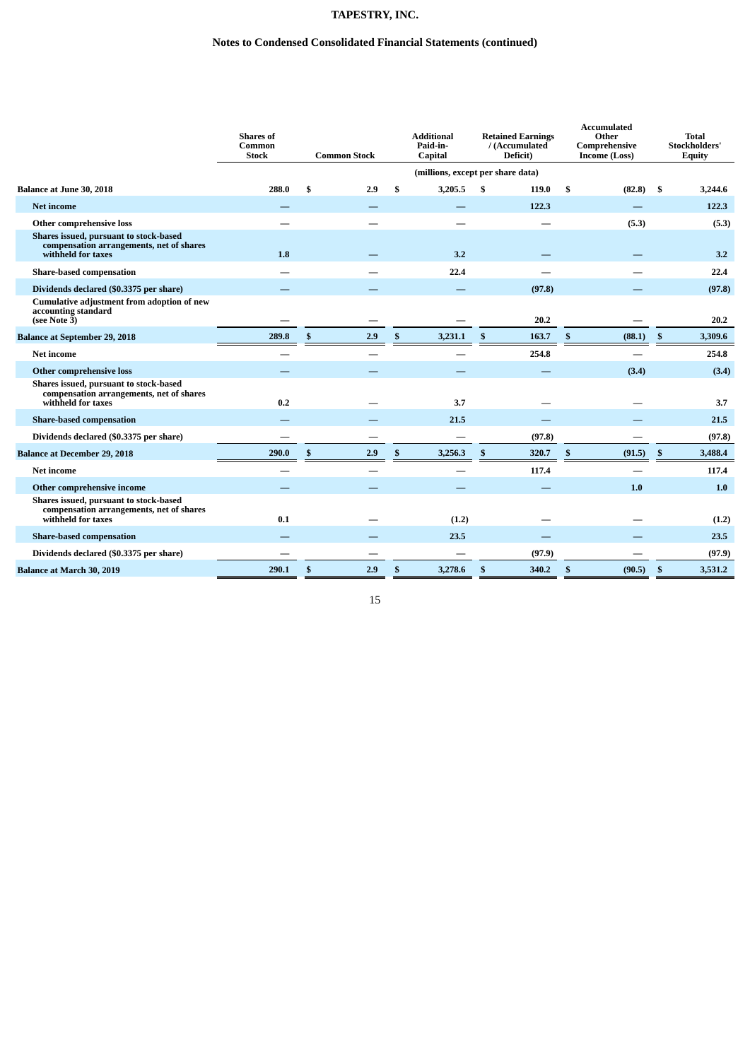## **Notes to Condensed Consolidated Financial Statements (continued)**

| (millions, except per share data)<br><b>Balance at June 30, 2018</b><br>288.0<br>2.9<br>\$<br>3,205.5<br>\$<br>119.0<br>S<br>(82.8)<br>3.244.6<br>S<br>-S<br>122.3<br>122.3<br><b>Net income</b><br>Other comprehensive loss<br>(5.3)<br>(5.3)<br>Shares issued, pursuant to stock-based<br>compensation arrangements, net of shares<br>withheld for taxes<br>3.2<br>1.8<br>3.2<br>22.4<br>22.4<br><b>Share-based compensation</b><br>(97.8)<br>(97.8)<br>Dividends declared (\$0.3375 per share)<br>Cumulative adjustment from adoption of new<br>accounting standard<br>(see Note 3)<br>20.2<br>20.2<br>\$<br>$\mathbf{s}$<br>289.8<br>\$<br>2.9<br>3,231.1<br>\$<br>163.7<br>(88.1)<br>$\boldsymbol{\mathsf{s}}$<br>3,309.6<br><b>Balance at September 29, 2018</b><br><b>Net income</b><br>254.8<br>254.8<br>Other comprehensive loss<br>(3.4)<br>(3.4)<br>Shares issued, pursuant to stock-based<br>compensation arrangements, net of shares<br>withheld for taxes<br>0.2<br>3.7<br>3.7<br>21.5<br>21.5<br><b>Share-based compensation</b><br>Dividends declared (\$0.3375 per share)<br>(97.8)<br>(97.8)<br>—<br>$\mathbf{s}$<br>2.9<br>$\mathbf{s}$<br>$\mathbf{s}$<br>290.0<br>3,256.3<br>$\mathbf{s}$<br>320.7<br>(91.5)<br>$\boldsymbol{\mathsf{s}}$<br>3,488.4<br><b>Balance at December 29, 2018</b><br>117.4<br>117.4<br><b>Net income</b><br>Other comprehensive income<br>1.0<br>1.0<br>Shares issued, pursuant to stock-based<br>compensation arrangements, net of shares<br>withheld for taxes<br>0.1<br>(1.2)<br>(1.2)<br>23.5<br>23.5<br><b>Share-based compensation</b><br>Dividends declared (\$0.3375 per share)<br>(97.9)<br>(97.9)<br>\$<br>290.1<br>\$<br>2.9<br>\$<br>$\mathbf{s}$<br>$\mathbf{s}$<br>3,278.6<br>340.2<br>(90.5)<br>3,531.2<br><b>Balance at March 30, 2019</b> | <b>Shares</b> of<br>Common<br><b>Stock</b> | <b>Common Stock</b> | <b>Additional</b><br>Paid-in-<br>Capital | <b>Retained Earnings</b><br>/(Accumulated<br>Deficit) | <b>Accumulated</b><br>Other<br>Comprehensive<br>Income (Loss) | <b>Total</b><br>Stockholders'<br>Equity |
|-----------------------------------------------------------------------------------------------------------------------------------------------------------------------------------------------------------------------------------------------------------------------------------------------------------------------------------------------------------------------------------------------------------------------------------------------------------------------------------------------------------------------------------------------------------------------------------------------------------------------------------------------------------------------------------------------------------------------------------------------------------------------------------------------------------------------------------------------------------------------------------------------------------------------------------------------------------------------------------------------------------------------------------------------------------------------------------------------------------------------------------------------------------------------------------------------------------------------------------------------------------------------------------------------------------------------------------------------------------------------------------------------------------------------------------------------------------------------------------------------------------------------------------------------------------------------------------------------------------------------------------------------------------------------------------------------------------------------------------------------------------------------------------------------------------|--------------------------------------------|---------------------|------------------------------------------|-------------------------------------------------------|---------------------------------------------------------------|-----------------------------------------|
|                                                                                                                                                                                                                                                                                                                                                                                                                                                                                                                                                                                                                                                                                                                                                                                                                                                                                                                                                                                                                                                                                                                                                                                                                                                                                                                                                                                                                                                                                                                                                                                                                                                                                                                                                                                                           |                                            |                     |                                          |                                                       |                                                               |                                         |
|                                                                                                                                                                                                                                                                                                                                                                                                                                                                                                                                                                                                                                                                                                                                                                                                                                                                                                                                                                                                                                                                                                                                                                                                                                                                                                                                                                                                                                                                                                                                                                                                                                                                                                                                                                                                           |                                            |                     |                                          |                                                       |                                                               |                                         |
|                                                                                                                                                                                                                                                                                                                                                                                                                                                                                                                                                                                                                                                                                                                                                                                                                                                                                                                                                                                                                                                                                                                                                                                                                                                                                                                                                                                                                                                                                                                                                                                                                                                                                                                                                                                                           |                                            |                     |                                          |                                                       |                                                               |                                         |
|                                                                                                                                                                                                                                                                                                                                                                                                                                                                                                                                                                                                                                                                                                                                                                                                                                                                                                                                                                                                                                                                                                                                                                                                                                                                                                                                                                                                                                                                                                                                                                                                                                                                                                                                                                                                           |                                            |                     |                                          |                                                       |                                                               |                                         |
|                                                                                                                                                                                                                                                                                                                                                                                                                                                                                                                                                                                                                                                                                                                                                                                                                                                                                                                                                                                                                                                                                                                                                                                                                                                                                                                                                                                                                                                                                                                                                                                                                                                                                                                                                                                                           |                                            |                     |                                          |                                                       |                                                               |                                         |
|                                                                                                                                                                                                                                                                                                                                                                                                                                                                                                                                                                                                                                                                                                                                                                                                                                                                                                                                                                                                                                                                                                                                                                                                                                                                                                                                                                                                                                                                                                                                                                                                                                                                                                                                                                                                           |                                            |                     |                                          |                                                       |                                                               |                                         |
|                                                                                                                                                                                                                                                                                                                                                                                                                                                                                                                                                                                                                                                                                                                                                                                                                                                                                                                                                                                                                                                                                                                                                                                                                                                                                                                                                                                                                                                                                                                                                                                                                                                                                                                                                                                                           |                                            |                     |                                          |                                                       |                                                               |                                         |
|                                                                                                                                                                                                                                                                                                                                                                                                                                                                                                                                                                                                                                                                                                                                                                                                                                                                                                                                                                                                                                                                                                                                                                                                                                                                                                                                                                                                                                                                                                                                                                                                                                                                                                                                                                                                           |                                            |                     |                                          |                                                       |                                                               |                                         |
|                                                                                                                                                                                                                                                                                                                                                                                                                                                                                                                                                                                                                                                                                                                                                                                                                                                                                                                                                                                                                                                                                                                                                                                                                                                                                                                                                                                                                                                                                                                                                                                                                                                                                                                                                                                                           |                                            |                     |                                          |                                                       |                                                               |                                         |
|                                                                                                                                                                                                                                                                                                                                                                                                                                                                                                                                                                                                                                                                                                                                                                                                                                                                                                                                                                                                                                                                                                                                                                                                                                                                                                                                                                                                                                                                                                                                                                                                                                                                                                                                                                                                           |                                            |                     |                                          |                                                       |                                                               |                                         |
|                                                                                                                                                                                                                                                                                                                                                                                                                                                                                                                                                                                                                                                                                                                                                                                                                                                                                                                                                                                                                                                                                                                                                                                                                                                                                                                                                                                                                                                                                                                                                                                                                                                                                                                                                                                                           |                                            |                     |                                          |                                                       |                                                               |                                         |
|                                                                                                                                                                                                                                                                                                                                                                                                                                                                                                                                                                                                                                                                                                                                                                                                                                                                                                                                                                                                                                                                                                                                                                                                                                                                                                                                                                                                                                                                                                                                                                                                                                                                                                                                                                                                           |                                            |                     |                                          |                                                       |                                                               |                                         |
|                                                                                                                                                                                                                                                                                                                                                                                                                                                                                                                                                                                                                                                                                                                                                                                                                                                                                                                                                                                                                                                                                                                                                                                                                                                                                                                                                                                                                                                                                                                                                                                                                                                                                                                                                                                                           |                                            |                     |                                          |                                                       |                                                               |                                         |
|                                                                                                                                                                                                                                                                                                                                                                                                                                                                                                                                                                                                                                                                                                                                                                                                                                                                                                                                                                                                                                                                                                                                                                                                                                                                                                                                                                                                                                                                                                                                                                                                                                                                                                                                                                                                           |                                            |                     |                                          |                                                       |                                                               |                                         |
|                                                                                                                                                                                                                                                                                                                                                                                                                                                                                                                                                                                                                                                                                                                                                                                                                                                                                                                                                                                                                                                                                                                                                                                                                                                                                                                                                                                                                                                                                                                                                                                                                                                                                                                                                                                                           |                                            |                     |                                          |                                                       |                                                               |                                         |
|                                                                                                                                                                                                                                                                                                                                                                                                                                                                                                                                                                                                                                                                                                                                                                                                                                                                                                                                                                                                                                                                                                                                                                                                                                                                                                                                                                                                                                                                                                                                                                                                                                                                                                                                                                                                           |                                            |                     |                                          |                                                       |                                                               |                                         |
|                                                                                                                                                                                                                                                                                                                                                                                                                                                                                                                                                                                                                                                                                                                                                                                                                                                                                                                                                                                                                                                                                                                                                                                                                                                                                                                                                                                                                                                                                                                                                                                                                                                                                                                                                                                                           |                                            |                     |                                          |                                                       |                                                               |                                         |
|                                                                                                                                                                                                                                                                                                                                                                                                                                                                                                                                                                                                                                                                                                                                                                                                                                                                                                                                                                                                                                                                                                                                                                                                                                                                                                                                                                                                                                                                                                                                                                                                                                                                                                                                                                                                           |                                            |                     |                                          |                                                       |                                                               |                                         |
|                                                                                                                                                                                                                                                                                                                                                                                                                                                                                                                                                                                                                                                                                                                                                                                                                                                                                                                                                                                                                                                                                                                                                                                                                                                                                                                                                                                                                                                                                                                                                                                                                                                                                                                                                                                                           |                                            |                     |                                          |                                                       |                                                               |                                         |
|                                                                                                                                                                                                                                                                                                                                                                                                                                                                                                                                                                                                                                                                                                                                                                                                                                                                                                                                                                                                                                                                                                                                                                                                                                                                                                                                                                                                                                                                                                                                                                                                                                                                                                                                                                                                           |                                            |                     |                                          |                                                       |                                                               |                                         |
|                                                                                                                                                                                                                                                                                                                                                                                                                                                                                                                                                                                                                                                                                                                                                                                                                                                                                                                                                                                                                                                                                                                                                                                                                                                                                                                                                                                                                                                                                                                                                                                                                                                                                                                                                                                                           |                                            |                     |                                          |                                                       |                                                               |                                         |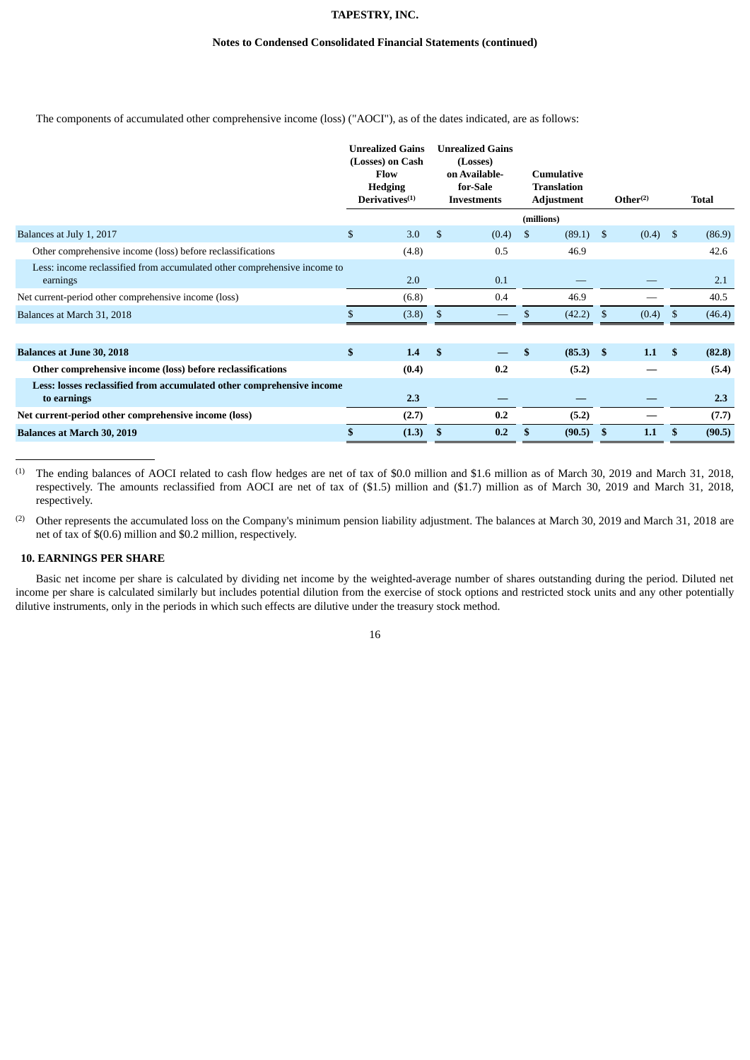### **Notes to Condensed Consolidated Financial Statements (continued)**

The components of accumulated other comprehensive income (loss) ("AOCI"), as of the dates indicated, are as follows:

|                                                                                      | <b>Unrealized Gains</b><br>(Losses) on Cash<br><b>Flow</b><br>Hedging<br>Derivatives <sup>(1)</sup> |       | <b>Unrealized Gains</b><br>(Losses)<br>on Available-<br>for-Sale<br>Investments | <b>Cumulative</b><br><b>Translation</b><br>Adjustment | Other <sup>(2)</sup> |              | <b>Total</b> |
|--------------------------------------------------------------------------------------|-----------------------------------------------------------------------------------------------------|-------|---------------------------------------------------------------------------------|-------------------------------------------------------|----------------------|--------------|--------------|
|                                                                                      |                                                                                                     |       |                                                                                 | (millions)                                            |                      |              |              |
| Balances at July 1, 2017                                                             | $\mathbb{S}$                                                                                        | 3.0   | \$<br>(0.4)                                                                     | \$<br>(89.1)                                          | $(0.4)$ \$<br>\$     |              | (86.9)       |
| Other comprehensive income (loss) before reclassifications                           |                                                                                                     | (4.8) | 0.5                                                                             | 46.9                                                  |                      |              | 42.6         |
| Less: income reclassified from accumulated other comprehensive income to<br>earnings |                                                                                                     | 2.0   | 0.1                                                                             |                                                       |                      |              | 2.1          |
| Net current-period other comprehensive income (loss)                                 |                                                                                                     | (6.8) | 0.4                                                                             | 46.9                                                  |                      |              | 40.5         |
| Balances at March 31, 2018                                                           |                                                                                                     | (3.8) | \$                                                                              | \$<br>(42.2)                                          | (0.4)<br>- \$        | \$           | (46.4)       |
|                                                                                      |                                                                                                     |       |                                                                                 |                                                       |                      |              |              |
| <b>Balances at June 30, 2018</b>                                                     | $\mathbf{s}$                                                                                        | 1.4   | - \$                                                                            | \$<br>$(85.3)$ \$                                     | 1.1                  | $\mathbf{s}$ | (82.8)       |
| Other comprehensive income (loss) before reclassifications                           |                                                                                                     | (0.4) | 0.2                                                                             | (5.2)                                                 |                      |              | (5.4)        |
| Less: losses reclassified from accumulated other comprehensive income<br>to earnings |                                                                                                     | 2.3   |                                                                                 |                                                       |                      |              | 2.3          |
| Net current-period other comprehensive income (loss)                                 |                                                                                                     | (2.7) | 0.2                                                                             | (5.2)                                                 |                      |              | (7.7)        |
| <b>Balances at March 30, 2019</b>                                                    |                                                                                                     | (1.3) | 0.2<br>S                                                                        | (90.5)                                                | 1.1<br>S             |              | (90.5)       |

(1) The ending balances of AOCI related to cash flow hedges are net of tax of \$0.0 million and \$1.6 million as of March 30, 2019 and March 31, 2018, respectively. The amounts reclassified from AOCI are net of tax of (\$1.5) million and (\$1.7) million as of March 30, 2019 and March 31, 2018, respectively.

<sup>(2)</sup> Other represents the accumulated loss on the Company's minimum pension liability adjustment. The balances at March 30, 2019 and March 31, 2018 are net of tax of \$(0.6) million and \$0.2 million, respectively.

## **10. EARNINGS PER SHARE**

Basic net income per share is calculated by dividing net income by the weighted-average number of shares outstanding during the period. Diluted net income per share is calculated similarly but includes potential dilution from the exercise of stock options and restricted stock units and any other potentially dilutive instruments, only in the periods in which such effects are dilutive under the treasury stock method.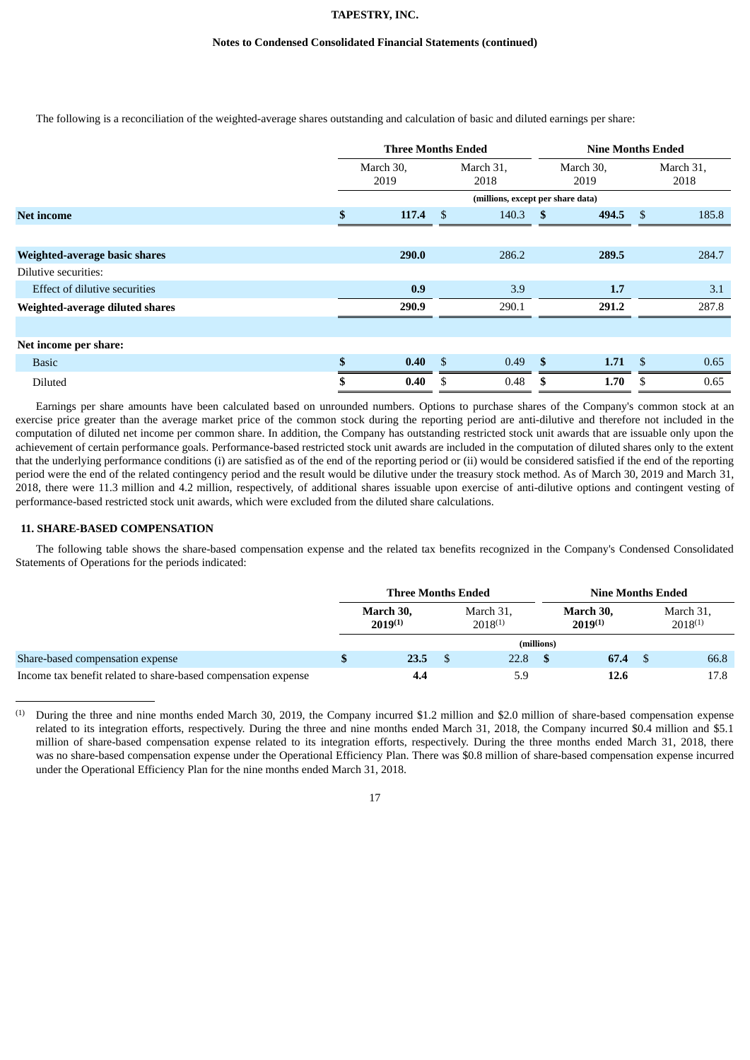#### **Notes to Condensed Consolidated Financial Statements (continued)**

The following is a reconciliation of the weighted-average shares outstanding and calculation of basic and diluted earnings per share:

|                                 |                                   | <b>Three Months Ended</b> |                    |       |                   |       | <b>Nine Months Ended</b> |                   |  |  |  |
|---------------------------------|-----------------------------------|---------------------------|--------------------|-------|-------------------|-------|--------------------------|-------------------|--|--|--|
|                                 |                                   | March 30,<br>2019         | March 31,<br>2018  |       | March 30,<br>2019 |       |                          | March 31,<br>2018 |  |  |  |
|                                 | (millions, except per share data) |                           |                    |       |                   |       |                          |                   |  |  |  |
| <b>Net income</b>               | \$                                | 117.4                     | -\$                | 140.3 | $\sim$ s          | 494.5 | \$                       | 185.8             |  |  |  |
|                                 |                                   |                           |                    |       |                   |       |                          |                   |  |  |  |
| Weighted-average basic shares   |                                   | 290.0                     |                    | 286.2 |                   | 289.5 |                          | 284.7             |  |  |  |
| Dilutive securities:            |                                   |                           |                    |       |                   |       |                          |                   |  |  |  |
| Effect of dilutive securities   |                                   | 0.9                       |                    | 3.9   |                   | 1.7   |                          | 3.1               |  |  |  |
| Weighted-average diluted shares |                                   | 290.9                     |                    | 290.1 |                   | 291.2 |                          | 287.8             |  |  |  |
|                                 |                                   |                           |                    |       |                   |       |                          |                   |  |  |  |
| Net income per share:           |                                   |                           |                    |       |                   |       |                          |                   |  |  |  |
| <b>Basic</b>                    | \$                                | 0.40                      | $\mathbf{\hat{S}}$ | 0.49  | $^{\circ}$        | 1.71  | \$                       | 0.65              |  |  |  |
| Diluted                         | \$                                | 0.40                      | \$                 | 0.48  | \$.               | 1.70  | \$                       | 0.65              |  |  |  |

Earnings per share amounts have been calculated based on unrounded numbers. Options to purchase shares of the Company's common stock at an exercise price greater than the average market price of the common stock during the reporting period are anti-dilutive and therefore not included in the computation of diluted net income per common share. In addition, the Company has outstanding restricted stock unit awards that are issuable only upon the achievement of certain performance goals. Performance-based restricted stock unit awards are included in the computation of diluted shares only to the extent that the underlying performance conditions (i) are satisfied as of the end of the reporting period or (ii) would be considered satisfied if the end of the reporting period were the end of the related contingency period and the result would be dilutive under the treasury stock method. As of March 30, 2019 and March 31, 2018, there were 11.3 million and 4.2 million, respectively, of additional shares issuable upon exercise of anti-dilutive options and contingent vesting of performance-based restricted stock unit awards, which were excluded from the diluted share calculations.

## **11. SHARE-BASED COMPENSATION**

The following table shows the share-based compensation expense and the related tax benefits recognized in the Company's Condensed Consolidated Statements of Operations for the periods indicated:

|                                                                | <b>Three Months Ended</b> |                           |      | <b>Nine Months Ended</b> |                           |  |                           |  |
|----------------------------------------------------------------|---------------------------|---------------------------|------|--------------------------|---------------------------|--|---------------------------|--|
|                                                                | March 30,<br>$2019^{(1)}$ | March 31.<br>$2018^{(1)}$ |      |                          | March 30,<br>$2019^{(1)}$ |  | March 31,<br>$2018^{(1)}$ |  |
|                                                                |                           |                           |      | (millions)               |                           |  |                           |  |
| Share-based compensation expense                               | 23.5                      |                           | 22.8 |                          | 67.4                      |  | 66.8                      |  |
| Income tax benefit related to share-based compensation expense | 4.4                       |                           | 5.9  |                          | 12.6                      |  | 17.8                      |  |

 $^{(1)}$  During the three and nine months ended March 30, 2019, the Company incurred \$1.2 million and \$2.0 million of share-based compensation expense related to its integration efforts, respectively. During the three and nine months ended March 31, 2018, the Company incurred \$0.4 million and \$5.1 million of share-based compensation expense related to its integration efforts, respectively. During the three months ended March 31, 2018, there was no share-based compensation expense under the Operational Efficiency Plan. There was \$0.8 million of share-based compensation expense incurred under the Operational Efficiency Plan for the nine months ended March 31, 2018.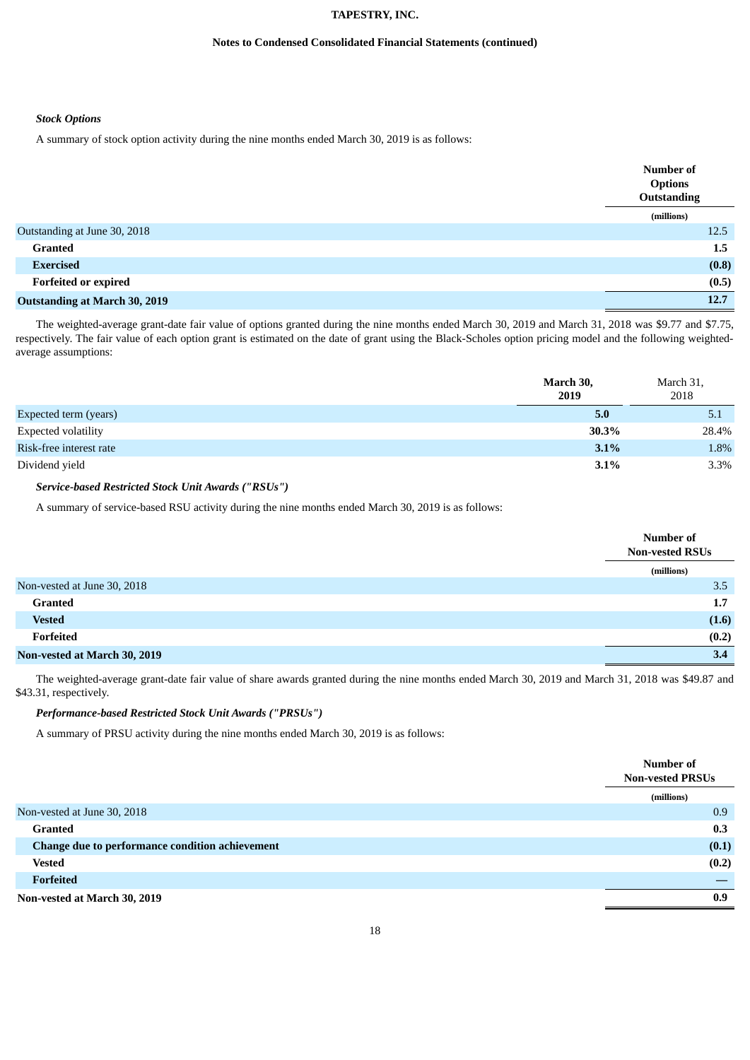## **Notes to Condensed Consolidated Financial Statements (continued)**

## *Stock Options*

A summary of stock option activity during the nine months ended March 30, 2019 is as follows:

|                                      | <b>Number of</b><br><b>Options</b><br><b>Outstanding</b> |
|--------------------------------------|----------------------------------------------------------|
|                                      | (millions)                                               |
| Outstanding at June 30, 2018         | 12.5                                                     |
| <b>Granted</b>                       | 1.5                                                      |
| <b>Exercised</b>                     | (0.8)                                                    |
| <b>Forfeited or expired</b>          | (0.5)                                                    |
| <b>Outstanding at March 30, 2019</b> | 12.7                                                     |

The weighted-average grant-date fair value of options granted during the nine months ended March 30, 2019 and March 31, 2018 was \$9.77 and \$7.75, respectively. The fair value of each option grant is estimated on the date of grant using the Black-Scholes option pricing model and the following weightedaverage assumptions:

|                            | March 30,<br>2019 | March 31,<br>2018 |
|----------------------------|-------------------|-------------------|
| Expected term (years)      | 5.0               | 5.1               |
| <b>Expected volatility</b> | 30.3%             | 28.4%             |
| Risk-free interest rate    | 3.1%              | 1.8%              |
| Dividend yield             | 3.1%              | 3.3%              |

## *Service-based Restricted Stock Unit Awards ("RSUs")*

A summary of service-based RSU activity during the nine months ended March 30, 2019 is as follows:

|                              | Number of<br><b>Non-vested RSUs</b> |
|------------------------------|-------------------------------------|
|                              | (millions)                          |
| Non-vested at June 30, 2018  | 3.5                                 |
| <b>Granted</b>               | 1.7                                 |
| <b>Vested</b>                | (1.6)                               |
| Forfeited                    | (0.2)                               |
| Non-vested at March 30, 2019 | 3.4                                 |

The weighted-average grant-date fair value of share awards granted during the nine months ended March 30, 2019 and March 31, 2018 was \$49.87 and \$43.31, respectively.

## *Performance-based Restricted Stock Unit Awards ("PRSUs")*

A summary of PRSU activity during the nine months ended March 30, 2019 is as follows:

|                                                 | Number of<br><b>Non-vested PRSUs</b> |
|-------------------------------------------------|--------------------------------------|
|                                                 | (millions)                           |
| Non-vested at June 30, 2018                     | 0.9                                  |
| Granted                                         | 0.3                                  |
| Change due to performance condition achievement | (0.1)                                |
| <b>Vested</b>                                   | (0.2)                                |
| Forfeited                                       |                                      |
| Non-vested at March 30, 2019                    | 0.9                                  |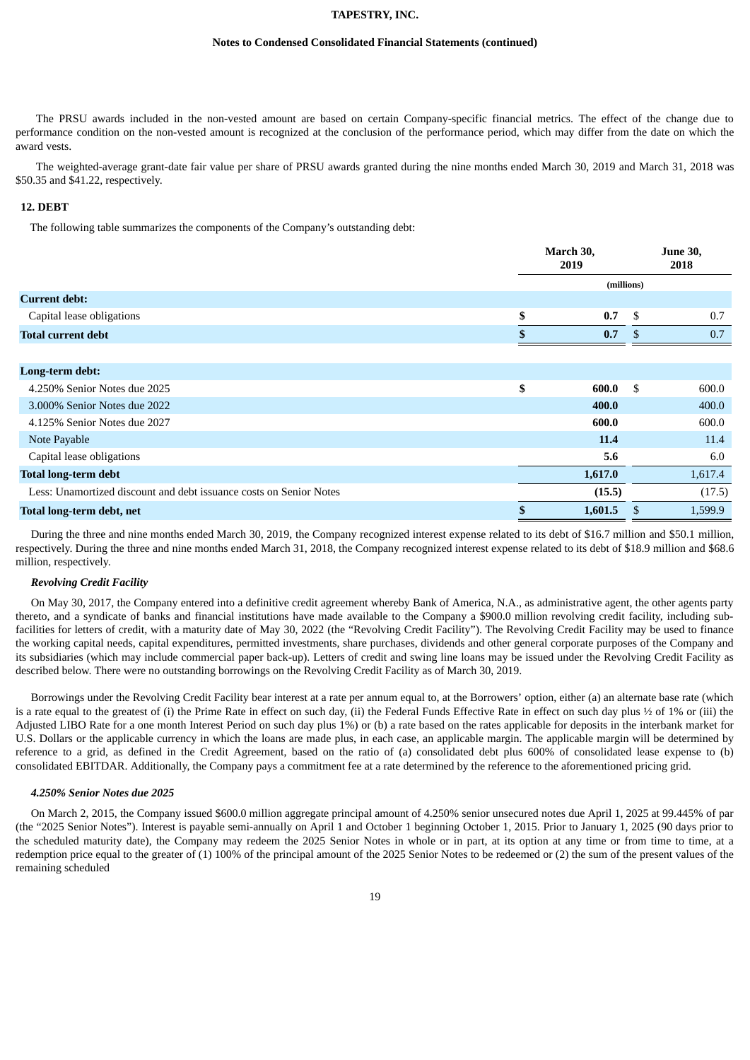#### **Notes to Condensed Consolidated Financial Statements (continued)**

The PRSU awards included in the non-vested amount are based on certain Company-specific financial metrics. The effect of the change due to performance condition on the non-vested amount is recognized at the conclusion of the performance period, which may differ from the date on which the award vests.

The weighted-average grant-date fair value per share of PRSU awards granted during the nine months ended March 30, 2019 and March 31, 2018 was \$50.35 and \$41.22, respectively.

#### **12. DEBT**

The following table summarizes the components of the Company's outstanding debt:

|                                                                    | March 30,<br>2019 |         |               | <b>June 30,</b><br>2018 |  |
|--------------------------------------------------------------------|-------------------|---------|---------------|-------------------------|--|
|                                                                    |                   |         | (millions)    |                         |  |
| <b>Current debt:</b>                                               |                   |         |               |                         |  |
| Capital lease obligations                                          | \$                | 0.7     | \$            | 0.7                     |  |
| <b>Total current debt</b>                                          |                   | 0.7     | <sup>\$</sup> | 0.7                     |  |
|                                                                    |                   |         |               |                         |  |
| Long-term debt:                                                    |                   |         |               |                         |  |
| 4.250% Senior Notes due 2025                                       | \$                | 600.0   | \$            | 600.0                   |  |
| 3.000% Senior Notes due 2022                                       |                   | 400.0   |               | 400.0                   |  |
| 4.125% Senior Notes due 2027                                       |                   | 600.0   |               | 600.0                   |  |
| Note Payable                                                       |                   | 11.4    |               | 11.4                    |  |
| Capital lease obligations                                          |                   | 5.6     |               | 6.0                     |  |
| <b>Total long-term debt</b>                                        |                   | 1,617.0 |               | 1,617.4                 |  |
| Less: Unamortized discount and debt issuance costs on Senior Notes |                   | (15.5)  |               | (17.5)                  |  |
| <b>Total long-term debt, net</b>                                   | \$                | 1,601.5 | \$.           | 1,599.9                 |  |

During the three and nine months ended March 30, 2019, the Company recognized interest expense related to its debt of \$16.7 million and \$50.1 million, respectively. During the three and nine months ended March 31, 2018, the Company recognized interest expense related to its debt of \$18.9 million and \$68.6 million, respectively.

#### *Revolving Credit Facility*

On May 30, 2017, the Company entered into a definitive credit agreement whereby Bank of America, N.A., as administrative agent, the other agents party thereto, and a syndicate of banks and financial institutions have made available to the Company a \$900.0 million revolving credit facility, including subfacilities for letters of credit, with a maturity date of May 30, 2022 (the "Revolving Credit Facility"). The Revolving Credit Facility may be used to finance the working capital needs, capital expenditures, permitted investments, share purchases, dividends and other general corporate purposes of the Company and its subsidiaries (which may include commercial paper back-up). Letters of credit and swing line loans may be issued under the Revolving Credit Facility as described below. There were no outstanding borrowings on the Revolving Credit Facility as of March 30, 2019.

Borrowings under the Revolving Credit Facility bear interest at a rate per annum equal to, at the Borrowers' option, either (a) an alternate base rate (which is a rate equal to the greatest of (i) the Prime Rate in effect on such day, (ii) the Federal Funds Effective Rate in effect on such day plus  $\frac{1}{2}$  of 1% or (iii) the Adjusted LIBO Rate for a one month Interest Period on such day plus 1%) or (b) a rate based on the rates applicable for deposits in the interbank market for U.S. Dollars or the applicable currency in which the loans are made plus, in each case, an applicable margin. The applicable margin will be determined by reference to a grid, as defined in the Credit Agreement, based on the ratio of (a) consolidated debt plus 600% of consolidated lease expense to (b) consolidated EBITDAR. Additionally, the Company pays a commitment fee at a rate determined by the reference to the aforementioned pricing grid.

#### *4.250% Senior Notes due 2025*

On March 2, 2015, the Company issued \$600.0 million aggregate principal amount of 4.250% senior unsecured notes due April 1, 2025 at 99.445% of par (the "2025 Senior Notes"). Interest is payable semi-annually on April 1 and October 1 beginning October 1, 2015. Prior to January 1, 2025 (90 days prior to the scheduled maturity date), the Company may redeem the 2025 Senior Notes in whole or in part, at its option at any time or from time to time, at a redemption price equal to the greater of (1) 100% of the principal amount of the 2025 Senior Notes to be redeemed or (2) the sum of the present values of the remaining scheduled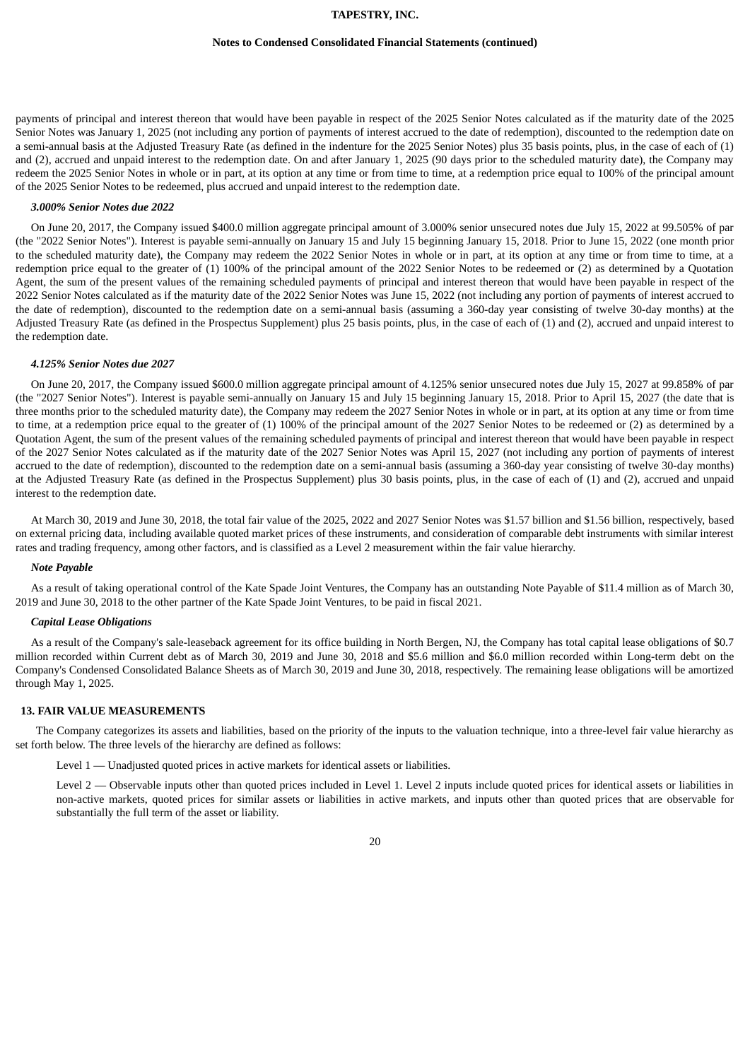#### **Notes to Condensed Consolidated Financial Statements (continued)**

payments of principal and interest thereon that would have been payable in respect of the 2025 Senior Notes calculated as if the maturity date of the 2025 Senior Notes was January 1, 2025 (not including any portion of payments of interest accrued to the date of redemption), discounted to the redemption date on a semi-annual basis at the Adjusted Treasury Rate (as defined in the indenture for the 2025 Senior Notes) plus 35 basis points, plus, in the case of each of (1) and (2), accrued and unpaid interest to the redemption date. On and after January 1, 2025 (90 days prior to the scheduled maturity date), the Company may redeem the 2025 Senior Notes in whole or in part, at its option at any time or from time to time, at a redemption price equal to 100% of the principal amount of the 2025 Senior Notes to be redeemed, plus accrued and unpaid interest to the redemption date.

#### *3.000% Senior Notes due 2022*

On June 20, 2017, the Company issued \$400.0 million aggregate principal amount of 3.000% senior unsecured notes due July 15, 2022 at 99.505% of par (the "2022 Senior Notes"). Interest is payable semi-annually on January 15 and July 15 beginning January 15, 2018. Prior to June 15, 2022 (one month prior to the scheduled maturity date), the Company may redeem the 2022 Senior Notes in whole or in part, at its option at any time or from time to time, at a redemption price equal to the greater of (1) 100% of the principal amount of the 2022 Senior Notes to be redeemed or (2) as determined by a Quotation Agent, the sum of the present values of the remaining scheduled payments of principal and interest thereon that would have been payable in respect of the 2022 Senior Notes calculated as if the maturity date of the 2022 Senior Notes was June 15, 2022 (not including any portion of payments of interest accrued to the date of redemption), discounted to the redemption date on a semi-annual basis (assuming a 360-day year consisting of twelve 30-day months) at the Adjusted Treasury Rate (as defined in the Prospectus Supplement) plus 25 basis points, plus, in the case of each of (1) and (2), accrued and unpaid interest to the redemption date.

#### *4.125% Senior Notes due 2027*

On June 20, 2017, the Company issued \$600.0 million aggregate principal amount of 4.125% senior unsecured notes due July 15, 2027 at 99.858% of par (the "2027 Senior Notes"). Interest is payable semi-annually on January 15 and July 15 beginning January 15, 2018. Prior to April 15, 2027 (the date that is three months prior to the scheduled maturity date), the Company may redeem the 2027 Senior Notes in whole or in part, at its option at any time or from time to time, at a redemption price equal to the greater of (1) 100% of the principal amount of the 2027 Senior Notes to be redeemed or (2) as determined by a Quotation Agent, the sum of the present values of the remaining scheduled payments of principal and interest thereon that would have been payable in respect of the 2027 Senior Notes calculated as if the maturity date of the 2027 Senior Notes was April 15, 2027 (not including any portion of payments of interest accrued to the date of redemption), discounted to the redemption date on a semi-annual basis (assuming a 360-day year consisting of twelve 30-day months) at the Adjusted Treasury Rate (as defined in the Prospectus Supplement) plus 30 basis points, plus, in the case of each of (1) and (2), accrued and unpaid interest to the redemption date.

At March 30, 2019 and June 30, 2018, the total fair value of the 2025, 2022 and 2027 Senior Notes was \$1.57 billion and \$1.56 billion, respectively, based on external pricing data, including available quoted market prices of these instruments, and consideration of comparable debt instruments with similar interest rates and trading frequency, among other factors, and is classified as a Level 2 measurement within the fair value hierarchy.

#### *Note Payable*

As a result of taking operational control of the Kate Spade Joint Ventures, the Company has an outstanding Note Payable of \$11.4 million as of March 30, 2019 and June 30, 2018 to the other partner of the Kate Spade Joint Ventures, to be paid in fiscal 2021.

#### *Capital Lease Obligations*

As a result of the Company's sale-leaseback agreement for its office building in North Bergen, NJ, the Company has total capital lease obligations of \$0.7 million recorded within Current debt as of March 30, 2019 and June 30, 2018 and \$5.6 million and \$6.0 million recorded within Long-term debt on the Company's Condensed Consolidated Balance Sheets as of March 30, 2019 and June 30, 2018, respectively. The remaining lease obligations will be amortized through May 1, 2025.

## **13. FAIR VALUE MEASUREMENTS**

The Company categorizes its assets and liabilities, based on the priority of the inputs to the valuation technique, into a three-level fair value hierarchy as set forth below. The three levels of the hierarchy are defined as follows:

Level 1 — Unadjusted quoted prices in active markets for identical assets or liabilities.

Level 2 — Observable inputs other than quoted prices included in Level 1. Level 2 inputs include quoted prices for identical assets or liabilities in non-active markets, quoted prices for similar assets or liabilities in active markets, and inputs other than quoted prices that are observable for substantially the full term of the asset or liability.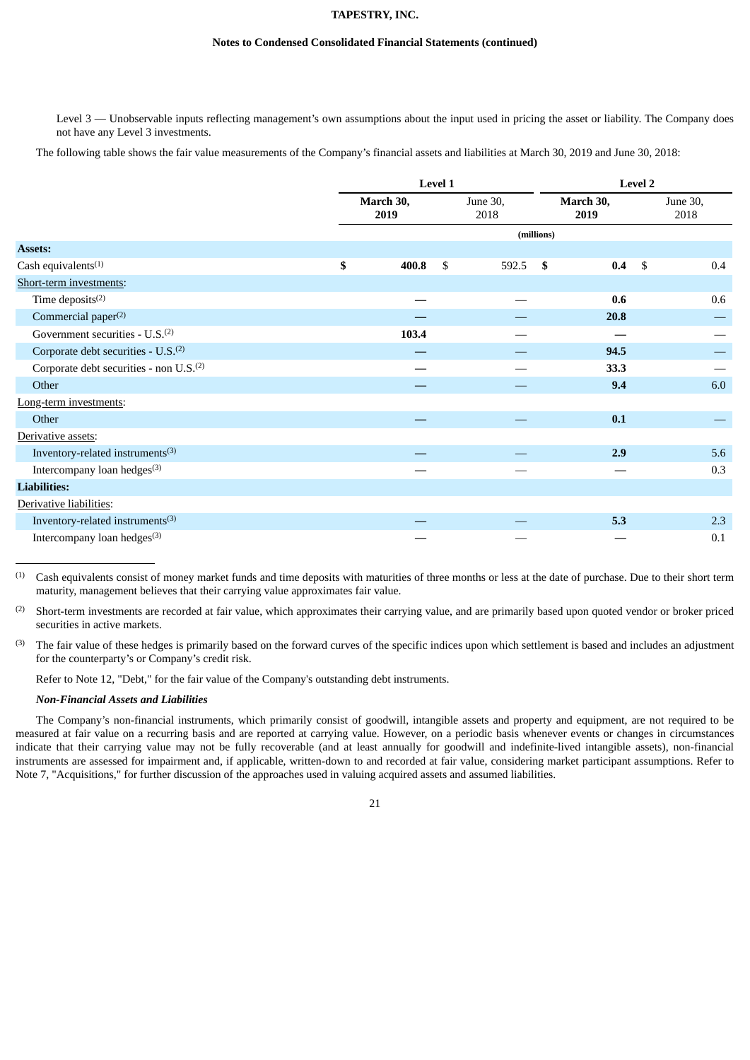### **Notes to Condensed Consolidated Financial Statements (continued)**

Level 3 — Unobservable inputs reflecting management's own assumptions about the input used in pricing the asset or liability. The Company does not have any Level 3 investments.

The following table shows the fair value measurements of the Company's financial assets and liabilities at March 30, 2019 and June 30, 2018:

|                                                     | <b>Level 2</b><br>Level 1 |    |                  |    |                   |    |                  |  |
|-----------------------------------------------------|---------------------------|----|------------------|----|-------------------|----|------------------|--|
|                                                     | March 30,<br>2019         |    | June 30,<br>2018 |    | March 30,<br>2019 |    | June 30,<br>2018 |  |
|                                                     | (millions)                |    |                  |    |                   |    |                  |  |
| <b>Assets:</b>                                      |                           |    |                  |    |                   |    |                  |  |
| Cash equivalents <sup>(1)</sup>                     | \$<br>400.8               | \$ | 592.5            | \$ | 0.4               | \$ | 0.4              |  |
| Short-term investments:                             |                           |    |                  |    |                   |    |                  |  |
| Time deposits <sup>(2)</sup>                        |                           |    |                  |    | 0.6               |    | 0.6              |  |
| Commercial paper <sup>(2)</sup>                     |                           |    |                  |    | 20.8              |    |                  |  |
| Government securities - U.S. <sup>(2)</sup>         | 103.4                     |    |                  |    |                   |    |                  |  |
| Corporate debt securities - U.S. <sup>(2)</sup>     |                           |    |                  |    | 94.5              |    |                  |  |
| Corporate debt securities - non U.S. <sup>(2)</sup> |                           |    |                  |    | 33.3              |    |                  |  |
| Other                                               |                           |    |                  |    | 9.4               |    | 6.0              |  |
| Long-term investments:                              |                           |    |                  |    |                   |    |                  |  |
| Other                                               |                           |    |                  |    | 0.1               |    |                  |  |
| Derivative assets:                                  |                           |    |                  |    |                   |    |                  |  |
| Inventory-related instruments <sup>(3)</sup>        |                           |    |                  |    | 2.9               |    | 5.6              |  |
| Intercompany loan hedges <sup>(3)</sup>             |                           |    |                  |    |                   |    | 0.3              |  |
| <b>Liabilities:</b>                                 |                           |    |                  |    |                   |    |                  |  |
| Derivative liabilities:                             |                           |    |                  |    |                   |    |                  |  |
| Inventory-related instruments <sup>(3)</sup>        |                           |    |                  |    | 5.3               |    | 2.3              |  |
| Intercompany loan hedges <sup>(3)</sup>             |                           |    |                  |    |                   |    | 0.1              |  |

<sup>(1)</sup> Cash equivalents consist of money market funds and time deposits with maturities of three months or less at the date of purchase. Due to their short term maturity, management believes that their carrying value approximates fair value.

Refer to Note 12, "Debt," for the fair value of the Company's outstanding debt instruments.

#### *Non-Financial Assets and Liabilities*

The Company's non-financial instruments, which primarily consist of goodwill, intangible assets and property and equipment, are not required to be measured at fair value on a recurring basis and are reported at carrying value. However, on a periodic basis whenever events or changes in circumstances indicate that their carrying value may not be fully recoverable (and at least annually for goodwill and indefinite-lived intangible assets), non-financial instruments are assessed for impairment and, if applicable, written-down to and recorded at fair value, considering market participant assumptions. Refer to Note 7, "Acquisitions," for further discussion of the approaches used in valuing acquired assets and assumed liabilities.

<sup>(2)</sup> Short-term investments are recorded at fair value, which approximates their carrying value, and are primarily based upon quoted vendor or broker priced securities in active markets.

<sup>(3)</sup> The fair value of these hedges is primarily based on the forward curves of the specific indices upon which settlement is based and includes an adjustment for the counterparty's or Company's credit risk.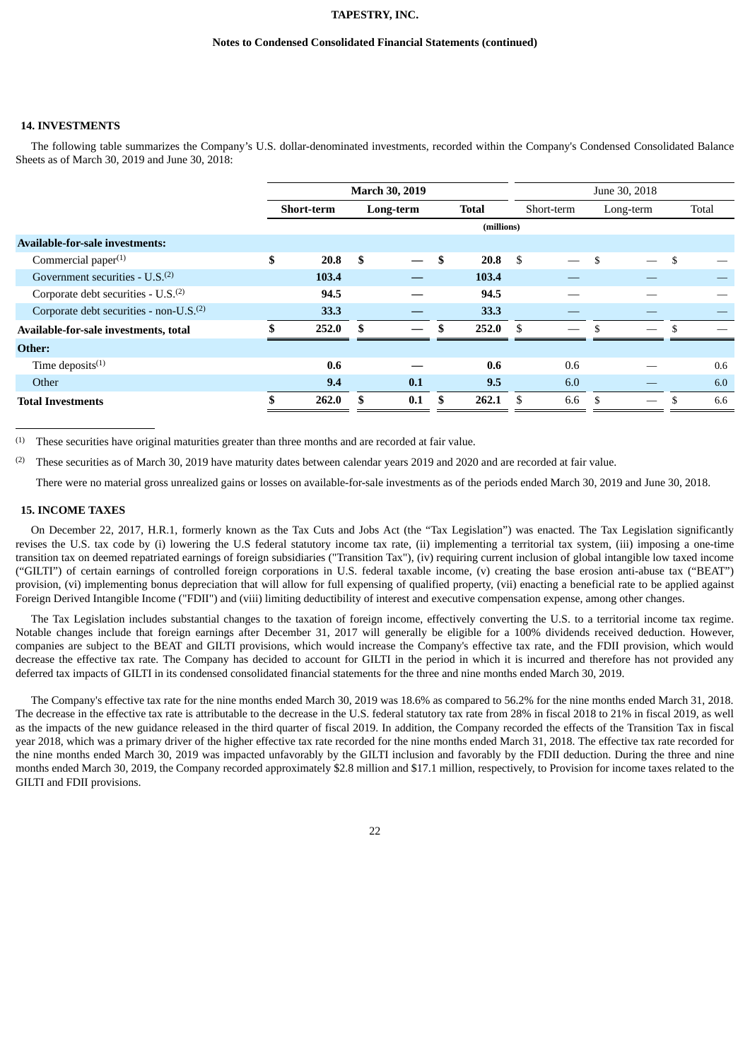#### **Notes to Condensed Consolidated Financial Statements (continued)**

## **14. INVESTMENTS**

The following table summarizes the Company's U.S. dollar-denominated investments, recorded within the Company's Condensed Consolidated Balance Sheets as of March 30, 2019 and June 30, 2018:

|                                                     |                   |    | <b>March 30, 2019</b> |              |      | June 30, 2018 |              |                          |    |       |  |
|-----------------------------------------------------|-------------------|----|-----------------------|--------------|------|---------------|--------------|--------------------------|----|-------|--|
|                                                     | <b>Short-term</b> |    | Long-term             | <b>Total</b> |      | Short-term    | Long-term    |                          |    | Total |  |
|                                                     |                   |    |                       | (millions)   |      |               |              |                          |    |       |  |
| <b>Available-for-sale investments:</b>              |                   |    |                       |              |      |               |              |                          |    |       |  |
| Commercial paper $(1)$                              | \$<br>20.8        | \$ |                       | \$<br>20.8   | - \$ |               | $\mathbf{s}$ | $\overline{\phantom{0}}$ | \$ |       |  |
| Government securities - $U.S.(2)$                   | 103.4             |    |                       | 103.4        |      |               |              |                          |    |       |  |
| Corporate debt securities - U.S. <sup>(2)</sup>     | 94.5              |    |                       | 94.5         |      |               |              |                          |    |       |  |
| Corporate debt securities - non-U.S. <sup>(2)</sup> | 33.3              |    |                       | 33.3         |      |               |              |                          |    |       |  |
| Available-for-sale investments, total               | 252.0             | £. |                       | 252.0        | - \$ |               |              |                          |    |       |  |
| Other:                                              |                   |    |                       |              |      |               |              |                          |    |       |  |
| Time deposits $(1)$                                 | 0.6               |    |                       | 0.6          |      | 0.6           |              |                          |    | 0.6   |  |
| Other                                               | 9.4               |    | 0.1                   | 9.5          |      | 6.0           |              |                          |    | 6.0   |  |
| <b>Total Investments</b>                            | \$<br>262.0       | \$ | 0.1                   | 262.1        | £.   | 6.6           |              |                          |    | 6.6   |  |

 $<sup>(1)</sup>$  These securities have original maturities greater than three months and are recorded at fair value.</sup>

 $^{(2)}$  These securities as of March 30, 2019 have maturity dates between calendar years 2019 and 2020 and are recorded at fair value.

There were no material gross unrealized gains or losses on available-for-sale investments as of the periods ended March 30, 2019 and June 30, 2018.

## **15. INCOME TAXES**

On December 22, 2017, H.R.1, formerly known as the Tax Cuts and Jobs Act (the "Tax Legislation") was enacted. The Tax Legislation significantly revises the U.S. tax code by (i) lowering the U.S federal statutory income tax rate, (ii) implementing a territorial tax system, (iii) imposing a one-time transition tax on deemed repatriated earnings of foreign subsidiaries ("Transition Tax"), (iv) requiring current inclusion of global intangible low taxed income ("GILTI") of certain earnings of controlled foreign corporations in U.S. federal taxable income, (v) creating the base erosion anti-abuse tax ("BEAT") provision, (vi) implementing bonus depreciation that will allow for full expensing of qualified property, (vii) enacting a beneficial rate to be applied against Foreign Derived Intangible Income ("FDII") and (viii) limiting deductibility of interest and executive compensation expense, among other changes.

The Tax Legislation includes substantial changes to the taxation of foreign income, effectively converting the U.S. to a territorial income tax regime. Notable changes include that foreign earnings after December 31, 2017 will generally be eligible for a 100% dividends received deduction. However, companies are subject to the BEAT and GILTI provisions, which would increase the Company's effective tax rate, and the FDII provision, which would decrease the effective tax rate. The Company has decided to account for GILTI in the period in which it is incurred and therefore has not provided any deferred tax impacts of GILTI in its condensed consolidated financial statements for the three and nine months ended March 30, 2019.

The Company's effective tax rate for the nine months ended March 30, 2019 was 18.6% as compared to 56.2% for the nine months ended March 31, 2018. The decrease in the effective tax rate is attributable to the decrease in the U.S. federal statutory tax rate from 28% in fiscal 2018 to 21% in fiscal 2019, as well as the impacts of the new guidance released in the third quarter of fiscal 2019. In addition, the Company recorded the effects of the Transition Tax in fiscal year 2018, which was a primary driver of the higher effective tax rate recorded for the nine months ended March 31, 2018. The effective tax rate recorded for the nine months ended March 30, 2019 was impacted unfavorably by the GILTI inclusion and favorably by the FDII deduction. During the three and nine months ended March 30, 2019, the Company recorded approximately \$2.8 million and \$17.1 million, respectively, to Provision for income taxes related to the GILTI and FDII provisions.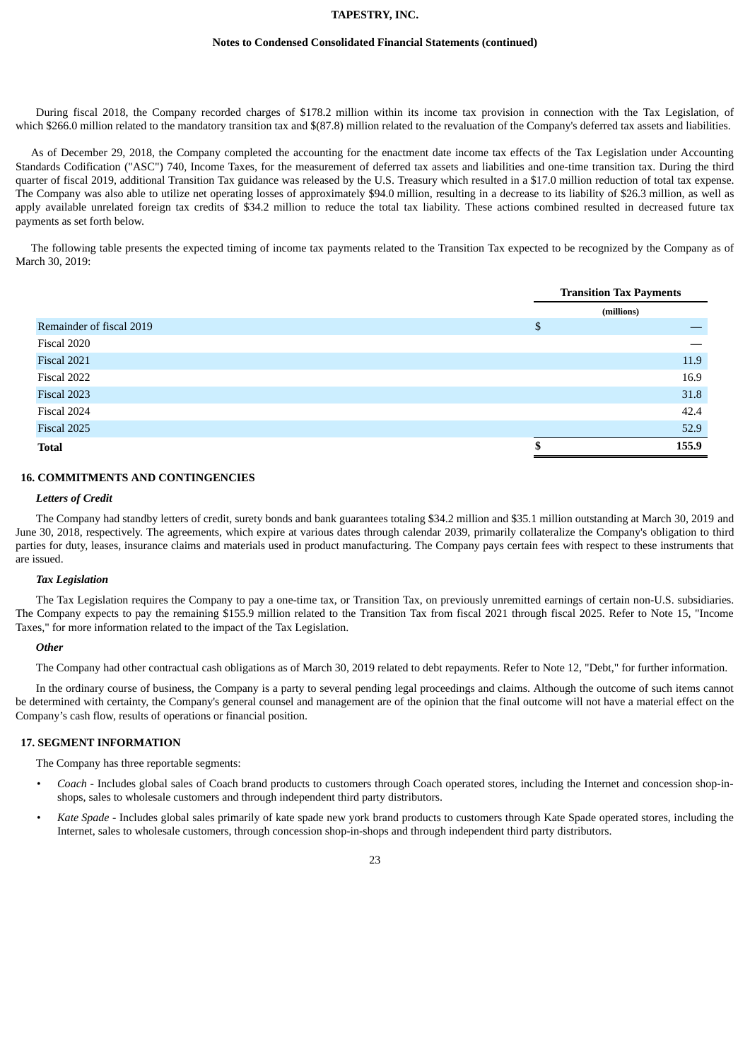### **Notes to Condensed Consolidated Financial Statements (continued)**

During fiscal 2018, the Company recorded charges of \$178.2 million within its income tax provision in connection with the Tax Legislation, of which \$266.0 million related to the mandatory transition tax and \$(87.8) million related to the revaluation of the Company's deferred tax assets and liabilities.

As of December 29, 2018, the Company completed the accounting for the enactment date income tax effects of the Tax Legislation under Accounting Standards Codification ("ASC") 740, Income Taxes, for the measurement of deferred tax assets and liabilities and one-time transition tax. During the third quarter of fiscal 2019, additional Transition Tax guidance was released by the U.S. Treasury which resulted in a \$17.0 million reduction of total tax expense. The Company was also able to utilize net operating losses of approximately \$94.0 million, resulting in a decrease to its liability of \$26.3 million, as well as apply available unrelated foreign tax credits of \$34.2 million to reduce the total tax liability. These actions combined resulted in decreased future tax payments as set forth below.

The following table presents the expected timing of income tax payments related to the Transition Tax expected to be recognized by the Company as of March 30, 2019:

| <b>Transition Tax Payments</b> |
|--------------------------------|
|                                |
|                                |
|                                |
| 11.9                           |
| 16.9                           |
| 31.8                           |
| 42.4                           |
| 52.9                           |
| 155.9                          |
|                                |

## **16. COMMITMENTS AND CONTINGENCIES**

#### *Letters of Credit*

The Company had standby letters of credit, surety bonds and bank guarantees totaling \$34.2 million and \$35.1 million outstanding at March 30, 2019 and June 30, 2018, respectively. The agreements, which expire at various dates through calendar 2039, primarily collateralize the Company's obligation to third parties for duty, leases, insurance claims and materials used in product manufacturing. The Company pays certain fees with respect to these instruments that are issued.

#### *Tax Legislation*

The Tax Legislation requires the Company to pay a one-time tax, or Transition Tax, on previously unremitted earnings of certain non-U.S. subsidiaries. The Company expects to pay the remaining \$155.9 million related to the Transition Tax from fiscal 2021 through fiscal 2025. Refer to Note 15, "Income Taxes," for more information related to the impact of the Tax Legislation.

#### *Other*

The Company had other contractual cash obligations as of March 30, 2019 related to debt repayments. Refer to Note 12, "Debt," for further information.

In the ordinary course of business, the Company is a party to several pending legal proceedings and claims. Although the outcome of such items cannot be determined with certainty, the Company's general counsel and management are of the opinion that the final outcome will not have a material effect on the Company's cash flow, results of operations or financial position.

### **17. SEGMENT INFORMATION**

The Company has three reportable segments:

- *Coach* Includes global sales of Coach brand products to customers through Coach operated stores, including the Internet and concession shop-inshops, sales to wholesale customers and through independent third party distributors.
- *Kate Spade* Includes global sales primarily of kate spade new york brand products to customers through Kate Spade operated stores, including the Internet, sales to wholesale customers, through concession shop-in-shops and through independent third party distributors.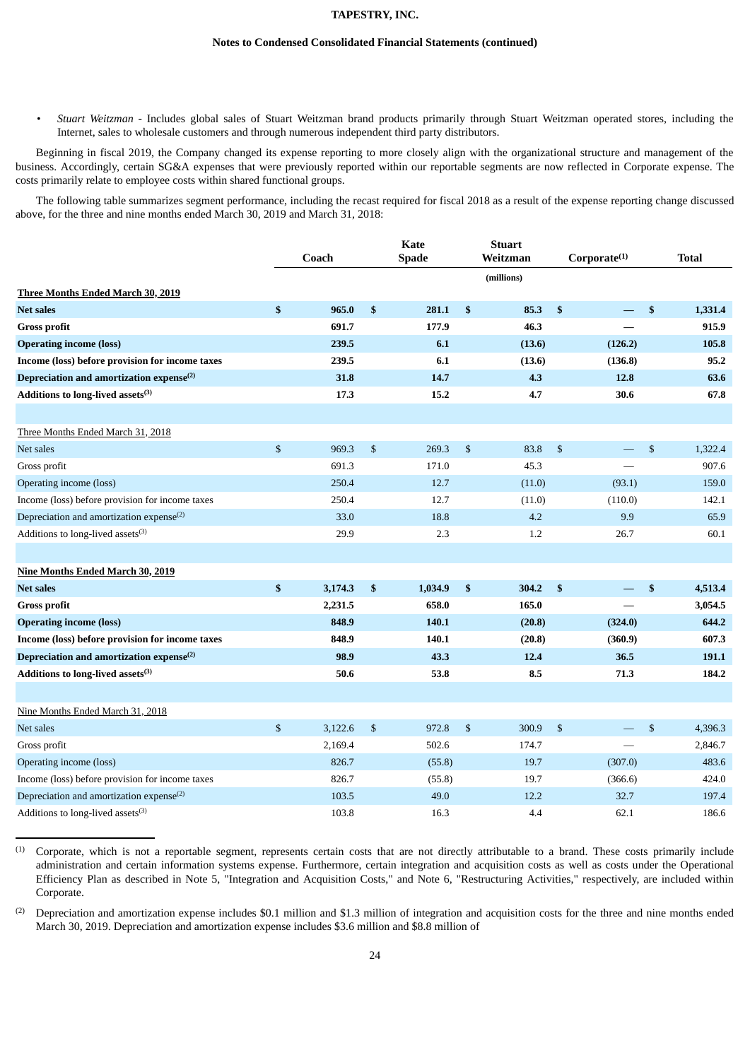### **Notes to Condensed Consolidated Financial Statements (continued)**

• *Stuart Weitzman -* Includes global sales of Stuart Weitzman brand products primarily through Stuart Weitzman operated stores, including the Internet, sales to wholesale customers and through numerous independent third party distributors.

Beginning in fiscal 2019, the Company changed its expense reporting to more closely align with the organizational structure and management of the business. Accordingly, certain SG&A expenses that were previously reported within our reportable segments are now reflected in Corporate expense. The costs primarily relate to employee costs within shared functional groups.

The following table summarizes segment performance, including the recast required for fiscal 2018 as a result of the expense reporting change discussed above, for the three and nine months ended March 30, 2019 and March 31, 2018:

|                                                      | Coach        |         | Kate<br><b>Spade</b> |         | <b>Stuart</b><br>Weitzman |                           | Corporate <sup>(1)</sup> |    | Total   |
|------------------------------------------------------|--------------|---------|----------------------|---------|---------------------------|---------------------------|--------------------------|----|---------|
|                                                      |              |         |                      |         | (millions)                |                           |                          |    |         |
| <u>Three Months Ended March 30, 2019</u>             |              |         |                      |         |                           |                           |                          |    |         |
| <b>Net sales</b>                                     | \$           | 965.0   | \$                   | 281.1   | \$<br>85.3                | $\boldsymbol{\mathsf{s}}$ |                          | \$ | 1,331.4 |
| <b>Gross profit</b>                                  |              | 691.7   |                      | 177.9   | 46.3                      |                           |                          |    | 915.9   |
| <b>Operating income (loss)</b>                       |              | 239.5   |                      | 6.1     | (13.6)                    |                           | (126.2)                  |    | 105.8   |
| Income (loss) before provision for income taxes      |              | 239.5   |                      | 6.1     | (13.6)                    |                           | (136.8)                  |    | 95.2    |
| Depreciation and amortization expense <sup>(2)</sup> |              | 31.8    |                      | 14.7    | 4.3                       |                           | 12.8                     |    | 63.6    |
| Additions to long-lived assets <sup>(3)</sup>        |              | 17.3    |                      | 15.2    | 4.7                       |                           | 30.6                     |    | 67.8    |
|                                                      |              |         |                      |         |                           |                           |                          |    |         |
| Three Months Ended March 31, 2018                    |              |         |                      |         |                           |                           |                          |    |         |
| Net sales                                            | $\mathbb{S}$ | 969.3   | $\mathbb{S}$         | 269.3   | \$<br>83.8                | $\mathbb{S}$              |                          | \$ | 1,322.4 |
| Gross profit                                         |              | 691.3   |                      | 171.0   | 45.3                      |                           |                          |    | 907.6   |
| Operating income (loss)                              |              | 250.4   |                      | 12.7    | (11.0)                    |                           | (93.1)                   |    | 159.0   |
| Income (loss) before provision for income taxes      |              | 250.4   |                      | 12.7    | (11.0)                    |                           | (110.0)                  |    | 142.1   |
| Depreciation and amortization expense <sup>(2)</sup> |              | 33.0    |                      | 18.8    | 4.2                       |                           | 9.9                      |    | 65.9    |
| Additions to long-lived assets <sup>(3)</sup>        |              | 29.9    |                      | 2.3     | 1.2                       |                           | 26.7                     |    | 60.1    |
|                                                      |              |         |                      |         |                           |                           |                          |    |         |
| Nine Months Ended March 30, 2019                     |              |         |                      |         |                           |                           |                          |    |         |
| <b>Net sales</b>                                     | \$           | 3,174.3 | \$                   | 1,034.9 | \$<br>304.2               | $\boldsymbol{\mathsf{s}}$ |                          | \$ | 4,513.4 |
| Gross profit                                         |              | 2,231.5 |                      | 658.0   | 165.0                     |                           |                          |    | 3,054.5 |
| <b>Operating income (loss)</b>                       |              | 848.9   |                      | 140.1   | (20.8)                    |                           | (324.0)                  |    | 644.2   |
| Income (loss) before provision for income taxes      |              | 848.9   |                      | 140.1   | (20.8)                    |                           | (360.9)                  |    | 607.3   |
| Depreciation and amortization expense <sup>(2)</sup> |              | 98.9    |                      | 43.3    | 12.4                      |                           | 36.5                     |    | 191.1   |
| Additions to long-lived assets <sup>(3)</sup>        |              | 50.6    |                      | 53.8    | 8.5                       |                           | 71.3                     |    | 184.2   |
|                                                      |              |         |                      |         |                           |                           |                          |    |         |
| Nine Months Ended March 31, 2018                     |              |         |                      |         |                           |                           |                          |    |         |
| Net sales                                            | $\,$         | 3,122.6 | $\mathfrak{S}$       | 972.8   | \$<br>300.9               | $\mathfrak{s}$            |                          | \$ | 4,396.3 |
| Gross profit                                         |              | 2,169.4 |                      | 502.6   | 174.7                     |                           |                          |    | 2,846.7 |
| Operating income (loss)                              |              | 826.7   |                      | (55.8)  | 19.7                      |                           | (307.0)                  |    | 483.6   |
| Income (loss) before provision for income taxes      |              | 826.7   |                      | (55.8)  | 19.7                      |                           | (366.6)                  |    | 424.0   |
| Depreciation and amortization expense <sup>(2)</sup> |              | 103.5   |                      | 49.0    | 12.2                      |                           | 32.7                     |    | 197.4   |
| Additions to long-lived assets <sup>(3)</sup>        |              | 103.8   |                      | 16.3    | 4.4                       |                           | 62.1                     |    | 186.6   |

<sup>&</sup>lt;sup>(1)</sup> Corporate, which is not a reportable segment, represents certain costs that are not directly attributable to a brand. These costs primarily include administration and certain information systems expense. Furthermore, certain integration and acquisition costs as well as costs under the Operational Efficiency Plan as described in Note 5, "Integration and Acquisition Costs," and Note 6, "Restructuring Activities," respectively, are included within Corporate.

<sup>(2)</sup> Depreciation and amortization expense includes \$0.1 million and \$1.3 million of integration and acquisition costs for the three and nine months ended March 30, 2019. Depreciation and amortization expense includes \$3.6 million and \$8.8 million of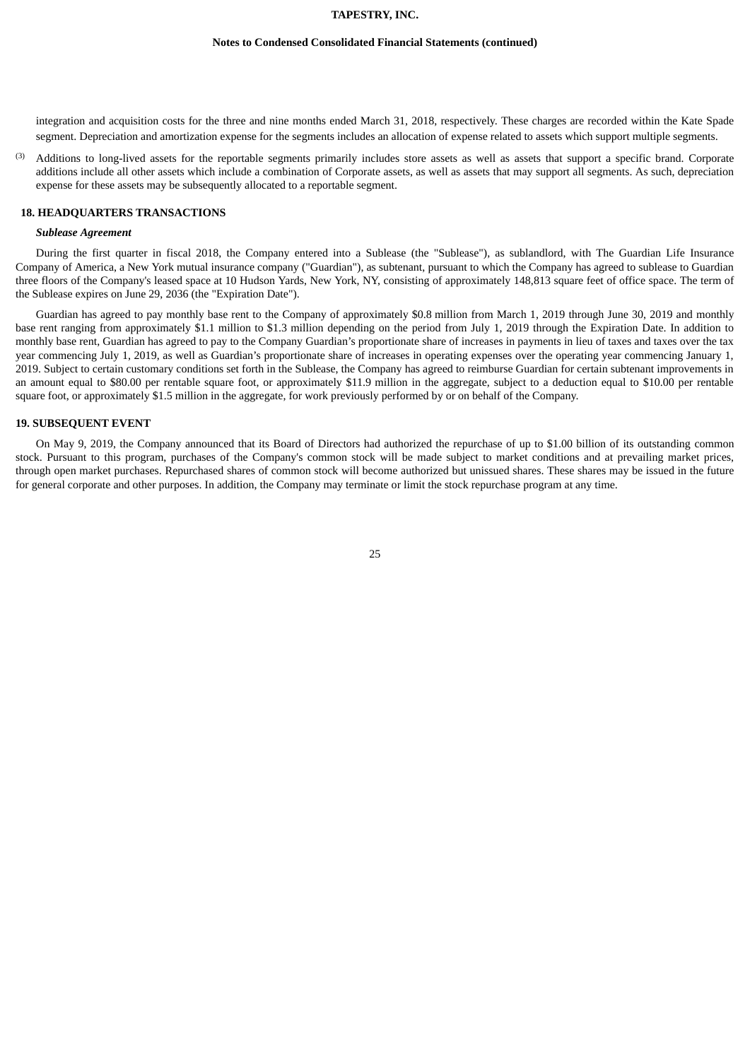#### **Notes to Condensed Consolidated Financial Statements (continued)**

integration and acquisition costs for the three and nine months ended March 31, 2018, respectively. These charges are recorded within the Kate Spade segment. Depreciation and amortization expense for the segments includes an allocation of expense related to assets which support multiple segments.

(3) Additions to long-lived assets for the reportable segments primarily includes store assets as well as assets that support a specific brand. Corporate additions include all other assets which include a combination of Corporate assets, as well as assets that may support all segments. As such, depreciation expense for these assets may be subsequently allocated to a reportable segment.

## **18. HEADQUARTERS TRANSACTIONS**

### *Sublease Agreement*

During the first quarter in fiscal 2018, the Company entered into a Sublease (the "Sublease"), as sublandlord, with The Guardian Life Insurance Company of America, a New York mutual insurance company ("Guardian"), as subtenant, pursuant to which the Company has agreed to sublease to Guardian three floors of the Company's leased space at 10 Hudson Yards, New York, NY, consisting of approximately 148,813 square feet of office space. The term of the Sublease expires on June 29, 2036 (the "Expiration Date").

Guardian has agreed to pay monthly base rent to the Company of approximately \$0.8 million from March 1, 2019 through June 30, 2019 and monthly base rent ranging from approximately \$1.1 million to \$1.3 million depending on the period from July 1, 2019 through the Expiration Date. In addition to monthly base rent, Guardian has agreed to pay to the Company Guardian's proportionate share of increases in payments in lieu of taxes and taxes over the tax year commencing July 1, 2019, as well as Guardian's proportionate share of increases in operating expenses over the operating year commencing January 1, 2019. Subject to certain customary conditions set forth in the Sublease, the Company has agreed to reimburse Guardian for certain subtenant improvements in an amount equal to \$80.00 per rentable square foot, or approximately \$11.9 million in the aggregate, subject to a deduction equal to \$10.00 per rentable square foot, or approximately \$1.5 million in the aggregate, for work previously performed by or on behalf of the Company.

#### **19. SUBSEQUENT EVENT**

On May 9, 2019, the Company announced that its Board of Directors had authorized the repurchase of up to \$1.00 billion of its outstanding common stock. Pursuant to this program, purchases of the Company's common stock will be made subject to market conditions and at prevailing market prices, through open market purchases. Repurchased shares of common stock will become authorized but unissued shares. These shares may be issued in the future for general corporate and other purposes. In addition, the Company may terminate or limit the stock repurchase program at any time.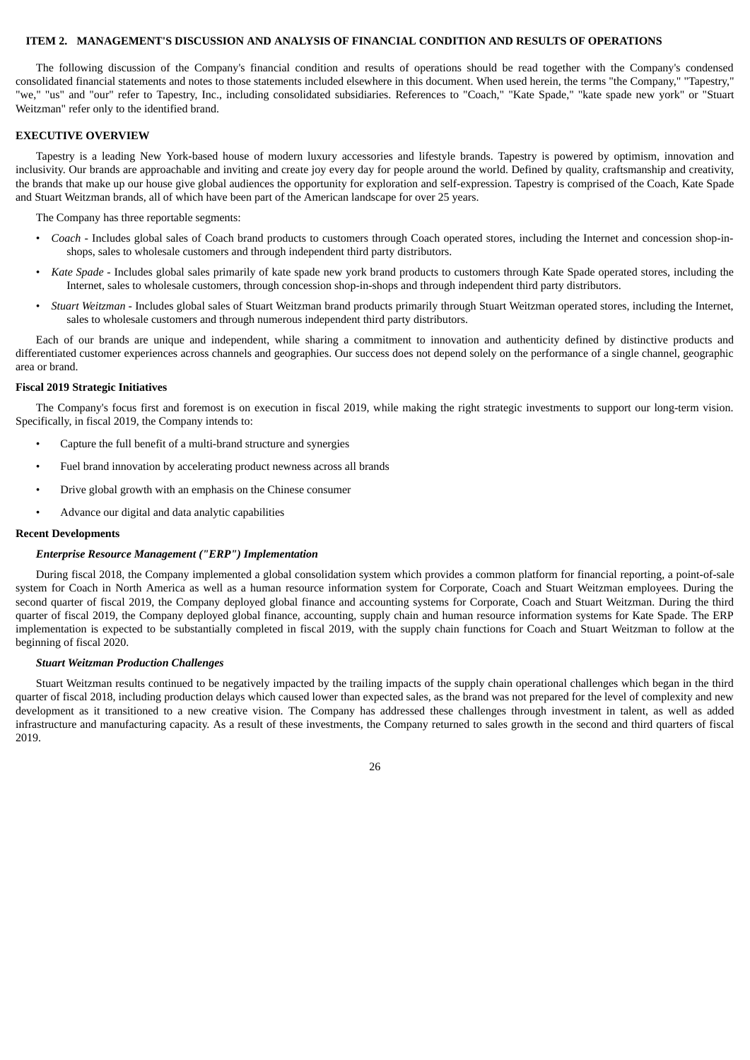## <span id="page-28-0"></span>**ITEM 2. MANAGEMENT'S DISCUSSION AND ANALYSIS OF FINANCIAL CONDITION AND RESULTS OF OPERATIONS**

The following discussion of the Company's financial condition and results of operations should be read together with the Company's condensed consolidated financial statements and notes to those statements included elsewhere in this document. When used herein, the terms "the Company," "Tapestry," "we," "us" and "our" refer to Tapestry, Inc., including consolidated subsidiaries. References to "Coach," "Kate Spade," "kate spade new york" or "Stuart Weitzman" refer only to the identified brand.

### **EXECUTIVE OVERVIEW**

Tapestry is a leading New York-based house of modern luxury accessories and lifestyle brands. Tapestry is powered by optimism, innovation and inclusivity. Our brands are approachable and inviting and create joy every day for people around the world. Defined by quality, craftsmanship and creativity, the brands that make up our house give global audiences the opportunity for exploration and self-expression. Tapestry is comprised of the Coach, Kate Spade and Stuart Weitzman brands, all of which have been part of the American landscape for over 25 years.

The Company has three reportable segments:

- *Coach -* Includes global sales of Coach brand products to customers through Coach operated stores, including the Internet and concession shop-inshops, sales to wholesale customers and through independent third party distributors.
- *Kate Spade* Includes global sales primarily of kate spade new york brand products to customers through Kate Spade operated stores, including the Internet, sales to wholesale customers, through concession shop-in-shops and through independent third party distributors.
- *Stuart Weitzman -* Includes global sales of Stuart Weitzman brand products primarily through Stuart Weitzman operated stores, including the Internet, sales to wholesale customers and through numerous independent third party distributors.

Each of our brands are unique and independent, while sharing a commitment to innovation and authenticity defined by distinctive products and differentiated customer experiences across channels and geographies. Our success does not depend solely on the performance of a single channel, geographic area or brand.

#### **Fiscal 2019 Strategic Initiatives**

The Company's focus first and foremost is on execution in fiscal 2019, while making the right strategic investments to support our long-term vision. Specifically, in fiscal 2019, the Company intends to:

- Capture the full benefit of a multi-brand structure and synergies
- Fuel brand innovation by accelerating product newness across all brands
- Drive global growth with an emphasis on the Chinese consumer
- Advance our digital and data analytic capabilities

## **Recent Developments**

#### *Enterprise Resource Management ("ERP") Implementation*

During fiscal 2018, the Company implemented a global consolidation system which provides a common platform for financial reporting, a point-of-sale system for Coach in North America as well as a human resource information system for Corporate, Coach and Stuart Weitzman employees. During the second quarter of fiscal 2019, the Company deployed global finance and accounting systems for Corporate, Coach and Stuart Weitzman. During the third quarter of fiscal 2019, the Company deployed global finance, accounting, supply chain and human resource information systems for Kate Spade. The ERP implementation is expected to be substantially completed in fiscal 2019, with the supply chain functions for Coach and Stuart Weitzman to follow at the beginning of fiscal 2020.

#### *Stuart Weitzman Production Challenges*

Stuart Weitzman results continued to be negatively impacted by the trailing impacts of the supply chain operational challenges which began in the third quarter of fiscal 2018, including production delays which caused lower than expected sales, as the brand was not prepared for the level of complexity and new development as it transitioned to a new creative vision. The Company has addressed these challenges through investment in talent, as well as added infrastructure and manufacturing capacity. As a result of these investments, the Company returned to sales growth in the second and third quarters of fiscal 2019.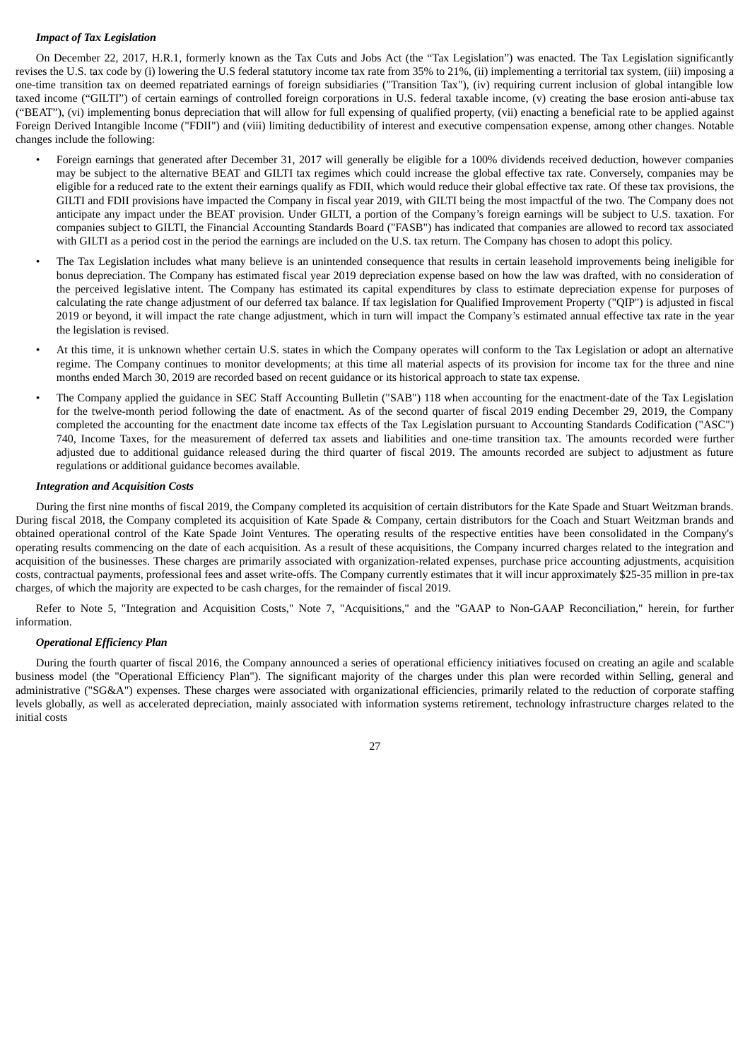#### *Impact of Tax Legislation*

On December 22, 2017, H.R.1, formerly known as the Tax Cuts and Jobs Act (the "Tax Legislation") was enacted. The Tax Legislation significantly revises the U.S. tax code by (i) lowering the U.S federal statutory income tax rate from 35% to 21%, (ii) implementing a territorial tax system, (iii) imposing a one-time transition tax on deemed repatriated earnings of foreign subsidiaries ("Transition Tax"), (iv) requiring current inclusion of global intangible low taxed income ("GILTI") of certain earnings of controlled foreign corporations in U.S. federal taxable income, (v) creating the base erosion anti-abuse tax ("BEAT"), (vi) implementing bonus depreciation that will allow for full expensing of qualified property, (vii) enacting a beneficial rate to be applied against Foreign Derived Intangible Income ("FDII") and (viii) limiting deductibility of interest and executive compensation expense, among other changes. Notable changes include the following:

- Foreign earnings that generated after December 31, 2017 will generally be eligible for a 100% dividends received deduction, however companies may be subject to the alternative BEAT and GILTI tax regimes which could increase the global effective tax rate. Conversely, companies may be eligible for a reduced rate to the extent their earnings qualify as FDII, which would reduce their global effective tax rate. Of these tax provisions, the GILTI and FDII provisions have impacted the Company in fiscal year 2019, with GILTI being the most impactful of the two. The Company does not anticipate any impact under the BEAT provision. Under GILTI, a portion of the Company's foreign earnings will be subject to U.S. taxation. For companies subject to GILTI, the Financial Accounting Standards Board ("FASB") has indicated that companies are allowed to record tax associated with GILTI as a period cost in the period the earnings are included on the U.S. tax return. The Company has chosen to adopt this policy.
- The Tax Legislation includes what many believe is an unintended consequence that results in certain leasehold improvements being ineligible for bonus depreciation. The Company has estimated fiscal year 2019 depreciation expense based on how the law was drafted, with no consideration of the perceived legislative intent. The Company has estimated its capital expenditures by class to estimate depreciation expense for purposes of calculating the rate change adjustment of our deferred tax balance. If tax legislation for Qualified Improvement Property ("QIP") is adjusted in fiscal 2019 or beyond, it will impact the rate change adjustment, which in turn will impact the Company's estimated annual effective tax rate in the year the legislation is revised.
- At this time, it is unknown whether certain U.S. states in which the Company operates will conform to the Tax Legislation or adopt an alternative regime. The Company continues to monitor developments; at this time all material aspects of its provision for income tax for the three and nine months ended March 30, 2019 are recorded based on recent guidance or its historical approach to state tax expense.
- The Company applied the guidance in SEC Staff Accounting Bulletin ("SAB") 118 when accounting for the enactment-date of the Tax Legislation for the twelve-month period following the date of enactment. As of the second quarter of fiscal 2019 ending December 29, 2019, the Company completed the accounting for the enactment date income tax effects of the Tax Legislation pursuant to Accounting Standards Codification ("ASC") 740, Income Taxes, for the measurement of deferred tax assets and liabilities and one-time transition tax. The amounts recorded were further adjusted due to additional guidance released during the third quarter of fiscal 2019. The amounts recorded are subject to adjustment as future regulations or additional guidance becomes available.

### *Integration and Acquisition Costs*

During the first nine months of fiscal 2019, the Company completed its acquisition of certain distributors for the Kate Spade and Stuart Weitzman brands. During fiscal 2018, the Company completed its acquisition of Kate Spade & Company, certain distributors for the Coach and Stuart Weitzman brands and obtained operational control of the Kate Spade Joint Ventures. The operating results of the respective entities have been consolidated in the Company's operating results commencing on the date of each acquisition. As a result of these acquisitions, the Company incurred charges related to the integration and acquisition of the businesses. These charges are primarily associated with organization-related expenses, purchase price accounting adjustments, acquisition costs, contractual payments, professional fees and asset write-offs. The Company currently estimates that it will incur approximately \$25-35 million in pre-tax charges, of which the majority are expected to be cash charges, for the remainder of fiscal 2019.

Refer to Note 5, "Integration and Acquisition Costs," Note 7, "Acquisitions," and the "GAAP to Non-GAAP Reconciliation," herein, for further information.

## *Operational Efficiency Plan*

During the fourth quarter of fiscal 2016, the Company announced a series of operational efficiency initiatives focused on creating an agile and scalable business model (the "Operational Efficiency Plan"). The significant majority of the charges under this plan were recorded within Selling, general and administrative ("SG&A") expenses. These charges were associated with organizational efficiencies, primarily related to the reduction of corporate staffing levels globally, as well as accelerated depreciation, mainly associated with information systems retirement, technology infrastructure charges related to the initial costs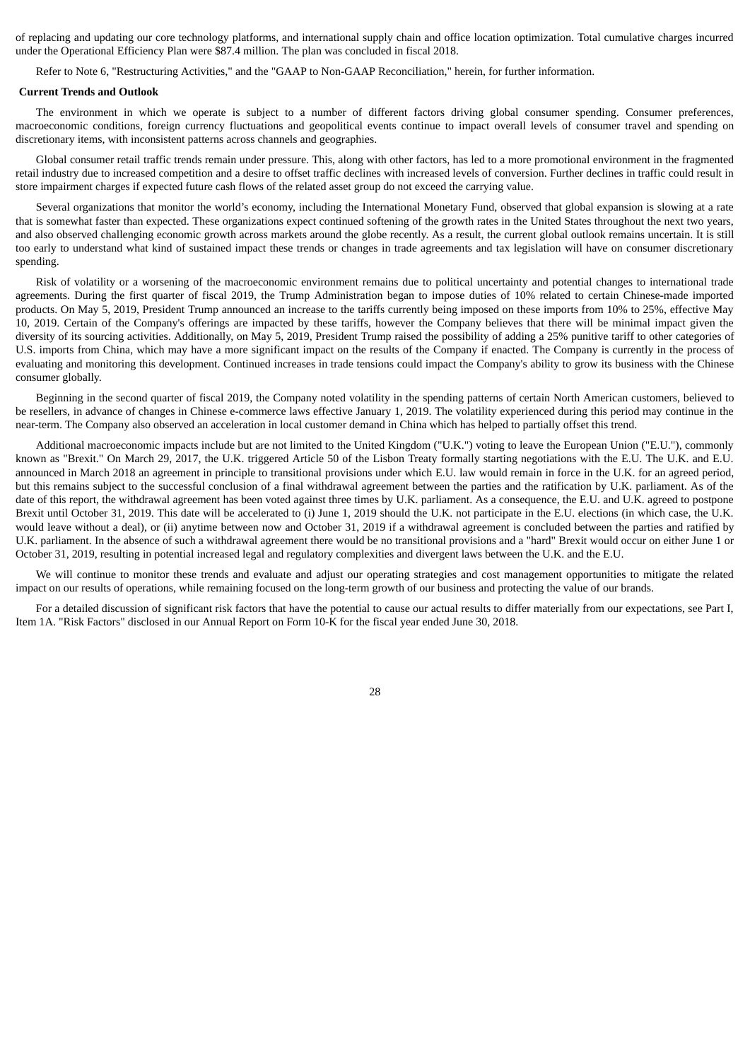of replacing and updating our core technology platforms, and international supply chain and office location optimization. Total cumulative charges incurred under the Operational Efficiency Plan were \$87.4 million. The plan was concluded in fiscal 2018.

Refer to Note 6, "Restructuring Activities," and the "GAAP to Non-GAAP Reconciliation," herein, for further information.

#### **Current Trends and Outlook**

The environment in which we operate is subject to a number of different factors driving global consumer spending. Consumer preferences, macroeconomic conditions, foreign currency fluctuations and geopolitical events continue to impact overall levels of consumer travel and spending on discretionary items, with inconsistent patterns across channels and geographies.

Global consumer retail traffic trends remain under pressure. This, along with other factors, has led to a more promotional environment in the fragmented retail industry due to increased competition and a desire to offset traffic declines with increased levels of conversion. Further declines in traffic could result in store impairment charges if expected future cash flows of the related asset group do not exceed the carrying value.

Several organizations that monitor the world's economy, including the International Monetary Fund, observed that global expansion is slowing at a rate that is somewhat faster than expected. These organizations expect continued softening of the growth rates in the United States throughout the next two years, and also observed challenging economic growth across markets around the globe recently. As a result, the current global outlook remains uncertain. It is still too early to understand what kind of sustained impact these trends or changes in trade agreements and tax legislation will have on consumer discretionary spending.

Risk of volatility or a worsening of the macroeconomic environment remains due to political uncertainty and potential changes to international trade agreements. During the first quarter of fiscal 2019, the Trump Administration began to impose duties of 10% related to certain Chinese-made imported products. On May 5, 2019, President Trump announced an increase to the tariffs currently being imposed on these imports from 10% to 25%, effective May 10, 2019. Certain of the Company's offerings are impacted by these tariffs, however the Company believes that there will be minimal impact given the diversity of its sourcing activities. Additionally, on May 5, 2019, President Trump raised the possibility of adding a 25% punitive tariff to other categories of U.S. imports from China, which may have a more significant impact on the results of the Company if enacted. The Company is currently in the process of evaluating and monitoring this development. Continued increases in trade tensions could impact the Company's ability to grow its business with the Chinese consumer globally.

Beginning in the second quarter of fiscal 2019, the Company noted volatility in the spending patterns of certain North American customers, believed to be resellers, in advance of changes in Chinese e-commerce laws effective January 1, 2019. The volatility experienced during this period may continue in the near-term. The Company also observed an acceleration in local customer demand in China which has helped to partially offset this trend.

Additional macroeconomic impacts include but are not limited to the United Kingdom ("U.K.") voting to leave the European Union ("E.U."), commonly known as "Brexit." On March 29, 2017, the U.K. triggered Article 50 of the Lisbon Treaty formally starting negotiations with the E.U. The U.K. and E.U. announced in March 2018 an agreement in principle to transitional provisions under which E.U. law would remain in force in the U.K. for an agreed period, but this remains subject to the successful conclusion of a final withdrawal agreement between the parties and the ratification by U.K. parliament. As of the date of this report, the withdrawal agreement has been voted against three times by U.K. parliament. As a consequence, the E.U. and U.K. agreed to postpone Brexit until October 31, 2019. This date will be accelerated to (i) June 1, 2019 should the U.K. not participate in the E.U. elections (in which case, the U.K. would leave without a deal), or (ii) anytime between now and October 31, 2019 if a withdrawal agreement is concluded between the parties and ratified by U.K. parliament. In the absence of such a withdrawal agreement there would be no transitional provisions and a "hard" Brexit would occur on either June 1 or October 31, 2019, resulting in potential increased legal and regulatory complexities and divergent laws between the U.K. and the E.U.

We will continue to monitor these trends and evaluate and adjust our operating strategies and cost management opportunities to mitigate the related impact on our results of operations, while remaining focused on the long-term growth of our business and protecting the value of our brands.

For a detailed discussion of significant risk factors that have the potential to cause our actual results to differ materially from our expectations, see Part I, Item 1A. "Risk Factors" disclosed in our Annual Report on Form 10-K for the fiscal year ended June 30, 2018.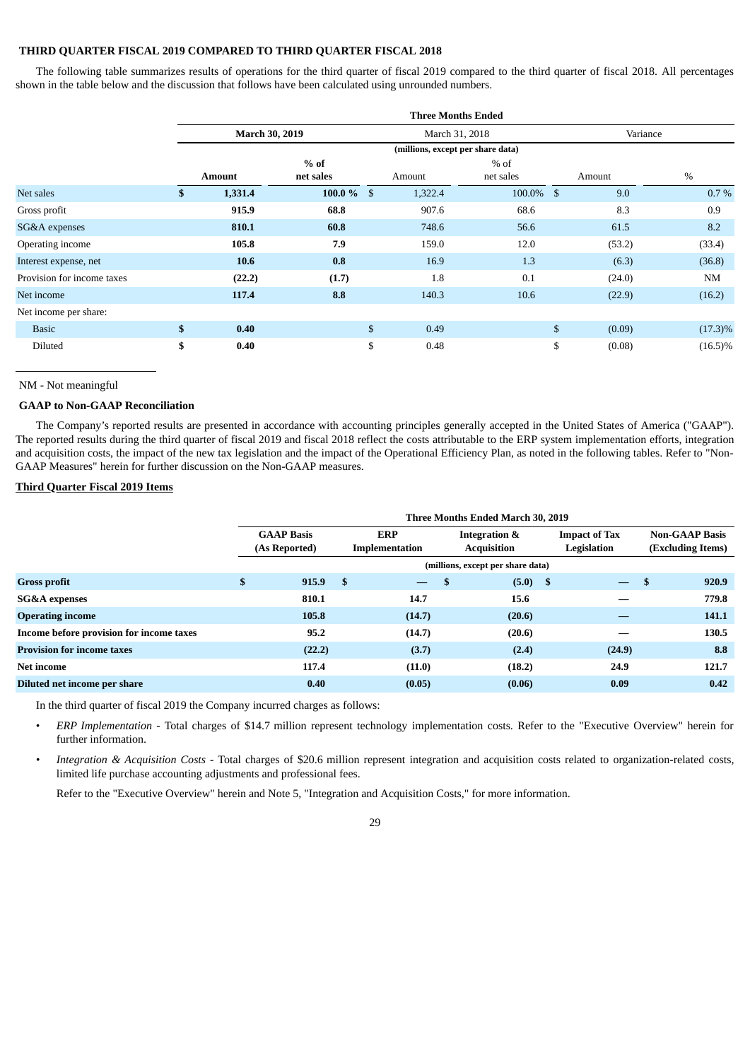## **THIRD QUARTER FISCAL 2019 COMPARED TO THIRD QUARTER FISCAL 2018**

The following table summarizes results of operations for the third quarter of fiscal 2019 compared to the third quarter of fiscal 2018. All percentages shown in the table below and the discussion that follows have been calculated using unrounded numbers.

|                            |              | <b>Three Months Ended</b> |               |              |         |                                   |          |        |            |  |  |  |  |  |
|----------------------------|--------------|---------------------------|---------------|--------------|---------|-----------------------------------|----------|--------|------------|--|--|--|--|--|
|                            |              | March 30, 2019            |               |              |         | March 31, 2018                    | Variance |        |            |  |  |  |  |  |
|                            |              |                           |               |              |         | (millions, except per share data) |          |        |            |  |  |  |  |  |
|                            |              |                           | $%$ of        |              |         | $%$ of                            |          |        |            |  |  |  |  |  |
|                            |              | <b>Amount</b>             | net sales     |              | Amount  | net sales                         |          | Amount | %          |  |  |  |  |  |
| Net sales                  | \$           | 1,331.4                   | $100.0 \%$ \$ |              | 1,322.4 | 100.0% \$                         |          | 9.0    | $0.7\%$    |  |  |  |  |  |
| Gross profit               |              | 915.9                     | 68.8          |              | 907.6   | 68.6                              |          | 8.3    | 0.9        |  |  |  |  |  |
| SG&A expenses              |              | 810.1                     | 60.8          |              | 748.6   | 56.6                              |          | 61.5   | 8.2        |  |  |  |  |  |
| Operating income           |              | 105.8                     | 7.9           |              | 159.0   | 12.0                              |          | (53.2) | (33.4)     |  |  |  |  |  |
| Interest expense, net      |              | 10.6                      | 0.8           |              | 16.9    | 1.3                               |          | (6.3)  | (36.8)     |  |  |  |  |  |
| Provision for income taxes |              | (22.2)                    | (1.7)         |              | 1.8     | 0.1                               |          | (24.0) | NM         |  |  |  |  |  |
| Net income                 |              | 117.4                     | 8.8           |              | 140.3   | 10.6                              |          | (22.9) | (16.2)     |  |  |  |  |  |
| Net income per share:      |              |                           |               |              |         |                                   |          |        |            |  |  |  |  |  |
| <b>Basic</b>               | $\mathbf{s}$ | 0.40                      |               | $\mathbb{S}$ | 0.49    |                                   | \$       | (0.09) | $(17.3)\%$ |  |  |  |  |  |
| Diluted                    | \$           | 0.40                      |               | \$           | 0.48    |                                   | \$       | (0.08) | $(16.5)\%$ |  |  |  |  |  |

NM - Not meaningful

## **GAAP to Non-GAAP Reconciliation**

The Company's reported results are presented in accordance with accounting principles generally accepted in the United States of America ("GAAP"). The reported results during the third quarter of fiscal 2019 and fiscal 2018 reflect the costs attributable to the ERP system implementation efforts, integration and acquisition costs, the impact of the new tax legislation and the impact of the Operational Efficiency Plan, as noted in the following tables. Refer to "Non-GAAP Measures" herein for further discussion on the Non-GAAP measures.

## **Third Quarter Fiscal 2019 Items**

|                                          | Three Months Ended March 30, 2019 |                                    |     |                              |      |                                                |  |                                     |                                            |       |  |  |
|------------------------------------------|-----------------------------------|------------------------------------|-----|------------------------------|------|------------------------------------------------|--|-------------------------------------|--------------------------------------------|-------|--|--|
|                                          |                                   | <b>GAAP Basis</b><br>(As Reported) |     | <b>ERP</b><br>Implementation |      | <b>Integration &amp;</b><br><b>Acquisition</b> |  | <b>Impact of Tax</b><br>Legislation | <b>Non-GAAP Basis</b><br>(Excluding Items) |       |  |  |
|                                          |                                   |                                    |     |                              |      | (millions, except per share data)              |  |                                     |                                            |       |  |  |
| <b>Gross profit</b>                      | \$                                | 915.9                              | -\$ | $\overline{\phantom{0}}$     | - \$ | $(5.0)$ \$                                     |  | $\overline{\phantom{m}}$            | - \$                                       | 920.9 |  |  |
| <b>SG&amp;A</b> expenses                 |                                   | 810.1                              |     | 14.7                         |      | 15.6                                           |  |                                     |                                            | 779.8 |  |  |
| <b>Operating income</b>                  |                                   | 105.8                              |     | (14.7)                       |      | (20.6)                                         |  |                                     |                                            | 141.1 |  |  |
| Income before provision for income taxes |                                   | 95.2                               |     | (14.7)                       |      | (20.6)                                         |  |                                     |                                            | 130.5 |  |  |
| <b>Provision for income taxes</b>        |                                   | (22.2)                             |     | (3.7)                        |      | (2.4)                                          |  | (24.9)                              |                                            | 8.8   |  |  |
| <b>Net income</b>                        |                                   | 117.4                              |     | (11.0)                       |      | (18.2)                                         |  | 24.9                                |                                            | 121.7 |  |  |
| Diluted net income per share             |                                   | 0.40                               |     | (0.05)                       |      | (0.06)                                         |  | 0.09                                |                                            | 0.42  |  |  |

In the third quarter of fiscal 2019 the Company incurred charges as follows:

• *ERP Implementation* - Total charges of \$14.7 million represent technology implementation costs. Refer to the "Executive Overview" herein for further information.

*• Integration & Acquisition Costs* - Total charges of \$20.6 million represent integration and acquisition costs related to organization-related costs, limited life purchase accounting adjustments and professional fees.

Refer to the "Executive Overview" herein and Note 5, "Integration and Acquisition Costs," for more information.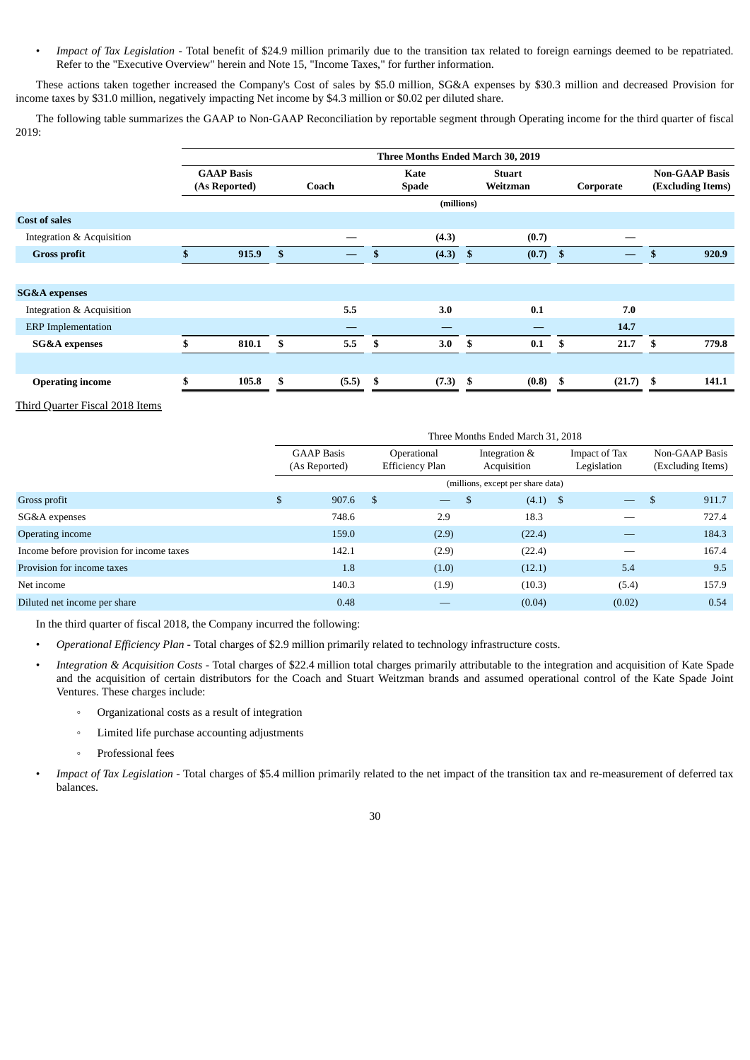• *Impact of Tax Legislation* - Total benefit of \$24.9 million primarily due to the transition tax related to foreign earnings deemed to be repatriated. Refer to the "Executive Overview" herein and Note 15, "Income Taxes," for further information.

These actions taken together increased the Company's Cost of sales by \$5.0 million, SG&A expenses by \$30.3 million and decreased Provision for income taxes by \$31.0 million, negatively impacting Net income by \$4.3 million or \$0.02 per diluted share.

The following table summarizes the GAAP to Non-GAAP Reconciliation by reportable segment through Operating income for the third quarter of fiscal 2019:

|                           |    | Three Months Ended March 30, 2019 |    |       |    |              |    |               |     |           |    |                       |  |
|---------------------------|----|-----------------------------------|----|-------|----|--------------|----|---------------|-----|-----------|----|-----------------------|--|
|                           |    | <b>GAAP Basis</b>                 |    |       |    | Kate         |    | <b>Stuart</b> |     |           |    | <b>Non-GAAP Basis</b> |  |
|                           |    | (As Reported)                     |    | Coach |    | <b>Spade</b> |    | Weitzman      |     | Corporate |    | (Excluding Items)     |  |
|                           |    |                                   |    |       |    | (millions)   |    |               |     |           |    |                       |  |
| <b>Cost of sales</b>      |    |                                   |    |       |    |              |    |               |     |           |    |                       |  |
| Integration & Acquisition |    |                                   |    |       |    | (4.3)        |    | (0.7)         |     |           |    |                       |  |
| <b>Gross profit</b>       | Эh | 915.9                             | \$ |       | \$ | (4.3)        | \$ | (0.7)         | \$  |           |    | 920.9                 |  |
|                           |    |                                   |    |       |    |              |    |               |     |           |    |                       |  |
| <b>SG&amp;A</b> expenses  |    |                                   |    |       |    |              |    |               |     |           |    |                       |  |
| Integration & Acquisition |    |                                   |    | 5.5   |    | 3.0          |    | 0.1           |     | 7.0       |    |                       |  |
| <b>ERP</b> Implementation |    |                                   |    |       |    |              |    |               |     | 14.7      |    |                       |  |
| <b>SG&amp;A</b> expenses  |    | 810.1                             | \$ | 5.5   | \$ | 3.0          | \$ | 0.1           | \$  | 21.7      | \$ | 779.8                 |  |
|                           |    |                                   |    |       |    |              |    |               |     |           |    |                       |  |
| <b>Operating income</b>   | \$ | 105.8                             | \$ | (5.5) | \$ | (7.3)        | \$ | (0.8)         | -\$ | (21.7)    | \$ | 141.1                 |  |
|                           |    |                                   |    |       |    |              |    |               |     |           |    |                       |  |

## Third Quarter Fiscal 2018 Items

|                                          | Three Months Ended March 31, 2018  |    |                                |    |                                   |  |                              |    |                                     |  |  |
|------------------------------------------|------------------------------------|----|--------------------------------|----|-----------------------------------|--|------------------------------|----|-------------------------------------|--|--|
|                                          | <b>GAAP Basis</b><br>(As Reported) |    | Operational<br>Efficiency Plan |    | Integration &<br>Acquisition      |  | Impact of Tax<br>Legislation |    | Non-GAAP Basis<br>(Excluding Items) |  |  |
|                                          |                                    |    |                                |    | (millions, except per share data) |  |                              |    |                                     |  |  |
| Gross profit                             | \$<br>907.6                        | \$ | $\overline{\phantom{m}}$       | \$ | $(4.1)$ \$                        |  | $\overline{\phantom{a}}$     | \$ | 911.7                               |  |  |
| SG&A expenses                            | 748.6                              |    | 2.9                            |    | 18.3                              |  |                              |    | 727.4                               |  |  |
| Operating income                         | 159.0                              |    | (2.9)                          |    | (22.4)                            |  |                              |    | 184.3                               |  |  |
| Income before provision for income taxes | 142.1                              |    | (2.9)                          |    | (22.4)                            |  |                              |    | 167.4                               |  |  |
| Provision for income taxes               | 1.8                                |    | (1.0)                          |    | (12.1)                            |  | 5.4                          |    | 9.5                                 |  |  |
| Net income                               | 140.3                              |    | (1.9)                          |    | (10.3)                            |  | (5.4)                        |    | 157.9                               |  |  |
| Diluted net income per share             | 0.48                               |    |                                |    | (0.04)                            |  | (0.02)                       |    | 0.54                                |  |  |
|                                          |                                    |    |                                |    |                                   |  |                              |    |                                     |  |  |

In the third quarter of fiscal 2018, the Company incurred the following:

- *Operational Efficiency Plan* Total charges of \$2.9 million primarily related to technology infrastructure costs.
- *Integration & Acquisition Costs* Total charges of \$22.4 million total charges primarily attributable to the integration and acquisition of Kate Spade and the acquisition of certain distributors for the Coach and Stuart Weitzman brands and assumed operational control of the Kate Spade Joint Ventures. These charges include:
	- Organizational costs as a result of integration
	- Limited life purchase accounting adjustments
	- Professional fees
- *Impact of Tax Legislation* Total charges of \$5.4 million primarily related to the net impact of the transition tax and re-measurement of deferred tax balances.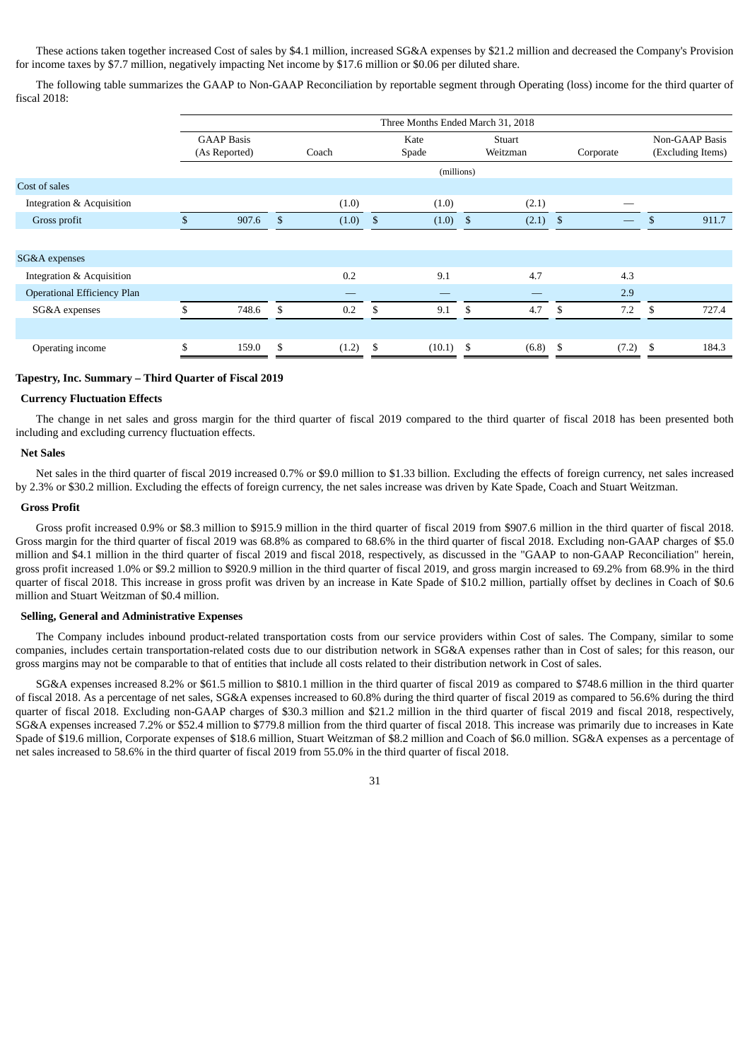These actions taken together increased Cost of sales by \$4.1 million, increased SG&A expenses by \$21.2 million and decreased the Company's Provision for income taxes by \$7.7 million, negatively impacting Net income by \$17.6 million or \$0.06 per diluted share.

The following table summarizes the GAAP to Non-GAAP Reconciliation by reportable segment through Operating (loss) income for the third quarter of fiscal 2018:

|                                    |     | Three Months Ended March 31, 2018 |    |       |    |             |    |          |     |           |     |                   |
|------------------------------------|-----|-----------------------------------|----|-------|----|-------------|----|----------|-----|-----------|-----|-------------------|
|                                    |     | <b>GAAP Basis</b>                 |    |       |    | Kate        |    | Stuart   |     |           |     | Non-GAAP Basis    |
|                                    |     | (As Reported)                     |    | Coach |    | Spade       |    | Weitzman |     | Corporate |     | (Excluding Items) |
|                                    |     |                                   |    |       |    | (millions)  |    |          |     |           |     |                   |
| Cost of sales                      |     |                                   |    |       |    |             |    |          |     |           |     |                   |
| Integration & Acquisition          |     |                                   |    | (1.0) |    | (1.0)       |    | (2.1)    |     |           |     |                   |
| Gross profit                       | \$. | 907.6                             | \$ | (1.0) | \$ | (1.0)       | \$ | (2.1)    | \$  |           | \$. | 911.7             |
|                                    |     |                                   |    |       |    |             |    |          |     |           |     |                   |
| SG&A expenses                      |     |                                   |    |       |    |             |    |          |     |           |     |                   |
| Integration & Acquisition          |     |                                   |    | 0.2   |    | 9.1         |    | 4.7      |     | 4.3       |     |                   |
| <b>Operational Efficiency Plan</b> |     |                                   |    |       |    |             |    |          |     | 2.9       |     |                   |
| SG&A expenses                      |     | 748.6                             | \$ | 0.2   | \$ | 9.1         | \$ | 4.7      | \$. | 7.2       | \$  | 727.4             |
|                                    |     |                                   |    |       |    |             |    |          |     |           |     |                   |
| Operating income                   | \$  | 159.0                             | \$ | (1.2) | \$ | $(10.1)$ \$ |    | (6.8)    | \$  | (7.2)     | \$  | 184.3             |

## **Tapestry, Inc. Summary – Third Quarter of Fiscal 2019**

### **Currency Fluctuation Effects**

The change in net sales and gross margin for the third quarter of fiscal 2019 compared to the third quarter of fiscal 2018 has been presented both including and excluding currency fluctuation effects.

#### **Net Sales**

Net sales in the third quarter of fiscal 2019 increased 0.7% or \$9.0 million to \$1.33 billion. Excluding the effects of foreign currency, net sales increased by 2.3% or \$30.2 million. Excluding the effects of foreign currency, the net sales increase was driven by Kate Spade, Coach and Stuart Weitzman.

### **Gross Profit**

Gross profit increased 0.9% or \$8.3 million to \$915.9 million in the third quarter of fiscal 2019 from \$907.6 million in the third quarter of fiscal 2018. Gross margin for the third quarter of fiscal 2019 was 68.8% as compared to 68.6% in the third quarter of fiscal 2018. Excluding non-GAAP charges of \$5.0 million and \$4.1 million in the third quarter of fiscal 2019 and fiscal 2018, respectively, as discussed in the "GAAP to non-GAAP Reconciliation" herein, gross profit increased 1.0% or \$9.2 million to \$920.9 million in the third quarter of fiscal 2019, and gross margin increased to 69.2% from 68.9% in the third quarter of fiscal 2018. This increase in gross profit was driven by an increase in Kate Spade of \$10.2 million, partially offset by declines in Coach of \$0.6 million and Stuart Weitzman of \$0.4 million.

### **Selling, General and Administrative Expenses**

The Company includes inbound product-related transportation costs from our service providers within Cost of sales. The Company, similar to some companies, includes certain transportation-related costs due to our distribution network in SG&A expenses rather than in Cost of sales; for this reason, our gross margins may not be comparable to that of entities that include all costs related to their distribution network in Cost of sales.

SG&A expenses increased 8.2% or \$61.5 million to \$810.1 million in the third quarter of fiscal 2019 as compared to \$748.6 million in the third quarter of fiscal 2018. As a percentage of net sales, SG&A expenses increased to 60.8% during the third quarter of fiscal 2019 as compared to 56.6% during the third quarter of fiscal 2018. Excluding non-GAAP charges of \$30.3 million and \$21.2 million in the third quarter of fiscal 2019 and fiscal 2018, respectively, SG&A expenses increased 7.2% or \$52.4 million to \$779.8 million from the third quarter of fiscal 2018. This increase was primarily due to increases in Kate Spade of \$19.6 million, Corporate expenses of \$18.6 million, Stuart Weitzman of \$8.2 million and Coach of \$6.0 million. SG&A expenses as a percentage of net sales increased to 58.6% in the third quarter of fiscal 2019 from 55.0% in the third quarter of fiscal 2018.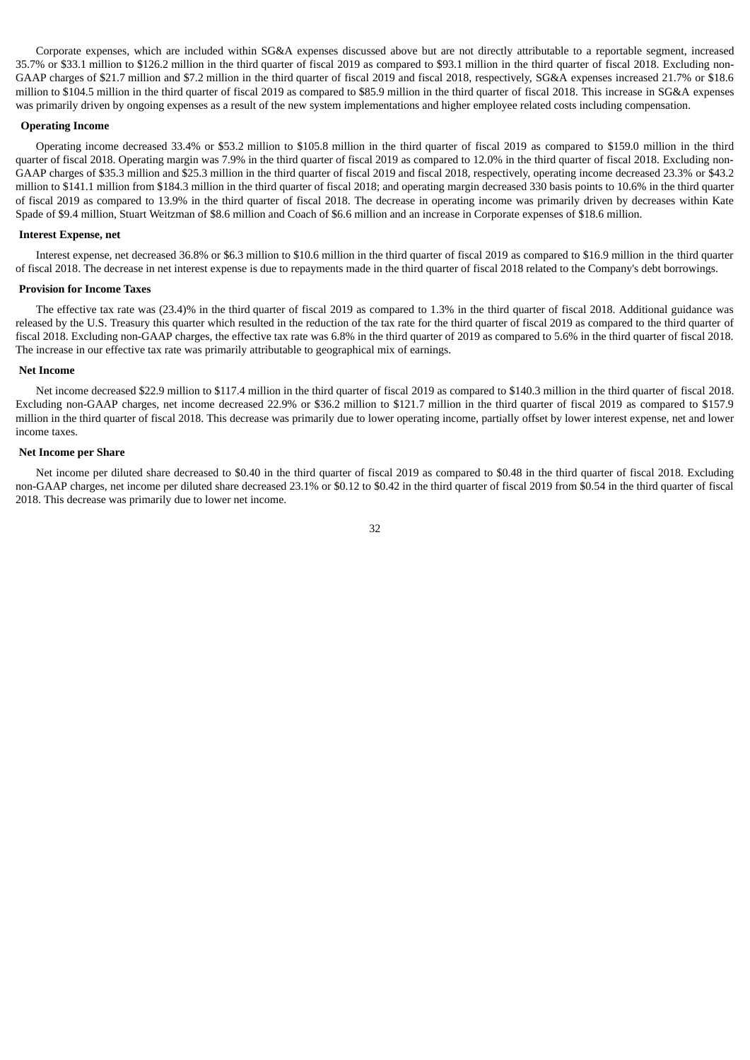Corporate expenses, which are included within SG&A expenses discussed above but are not directly attributable to a reportable segment, increased 35.7% or \$33.1 million to \$126.2 million in the third quarter of fiscal 2019 as compared to \$93.1 million in the third quarter of fiscal 2018. Excluding non-GAAP charges of \$21.7 million and \$7.2 million in the third quarter of fiscal 2019 and fiscal 2018, respectively, SG&A expenses increased 21.7% or \$18.6 million to \$104.5 million in the third quarter of fiscal 2019 as compared to \$85.9 million in the third quarter of fiscal 2018. This increase in SG&A expenses was primarily driven by ongoing expenses as a result of the new system implementations and higher employee related costs including compensation.

### **Operating Income**

Operating income decreased 33.4% or \$53.2 million to \$105.8 million in the third quarter of fiscal 2019 as compared to \$159.0 million in the third quarter of fiscal 2018. Operating margin was 7.9% in the third quarter of fiscal 2019 as compared to 12.0% in the third quarter of fiscal 2018. Excluding non-GAAP charges of \$35.3 million and \$25.3 million in the third quarter of fiscal 2019 and fiscal 2018, respectively, operating income decreased 23.3% or \$43.2 million to \$141.1 million from \$184.3 million in the third quarter of fiscal 2018; and operating margin decreased 330 basis points to 10.6% in the third quarter of fiscal 2019 as compared to 13.9% in the third quarter of fiscal 2018. The decrease in operating income was primarily driven by decreases within Kate Spade of \$9.4 million, Stuart Weitzman of \$8.6 million and Coach of \$6.6 million and an increase in Corporate expenses of \$18.6 million.

#### **Interest Expense, net**

Interest expense, net decreased 36.8% or \$6.3 million to \$10.6 million in the third quarter of fiscal 2019 as compared to \$16.9 million in the third quarter of fiscal 2018. The decrease in net interest expense is due to repayments made in the third quarter of fiscal 2018 related to the Company's debt borrowings.

#### **Provision for Income Taxes**

The effective tax rate was (23.4)% in the third quarter of fiscal 2019 as compared to 1.3% in the third quarter of fiscal 2018. Additional guidance was released by the U.S. Treasury this quarter which resulted in the reduction of the tax rate for the third quarter of fiscal 2019 as compared to the third quarter of fiscal 2018. Excluding non-GAAP charges, the effective tax rate was 6.8% in the third quarter of 2019 as compared to 5.6% in the third quarter of fiscal 2018. The increase in our effective tax rate was primarily attributable to geographical mix of earnings.

#### **Net Income**

Net income decreased \$22.9 million to \$117.4 million in the third quarter of fiscal 2019 as compared to \$140.3 million in the third quarter of fiscal 2018. Excluding non-GAAP charges, net income decreased 22.9% or \$36.2 million to \$121.7 million in the third quarter of fiscal 2019 as compared to \$157.9 million in the third quarter of fiscal 2018. This decrease was primarily due to lower operating income, partially offset by lower interest expense, net and lower income taxes.

#### **Net Income per Share**

Net income per diluted share decreased to \$0.40 in the third quarter of fiscal 2019 as compared to \$0.48 in the third quarter of fiscal 2018. Excluding non-GAAP charges, net income per diluted share decreased 23.1% or \$0.12 to \$0.42 in the third quarter of fiscal 2019 from \$0.54 in the third quarter of fiscal 2018. This decrease was primarily due to lower net income.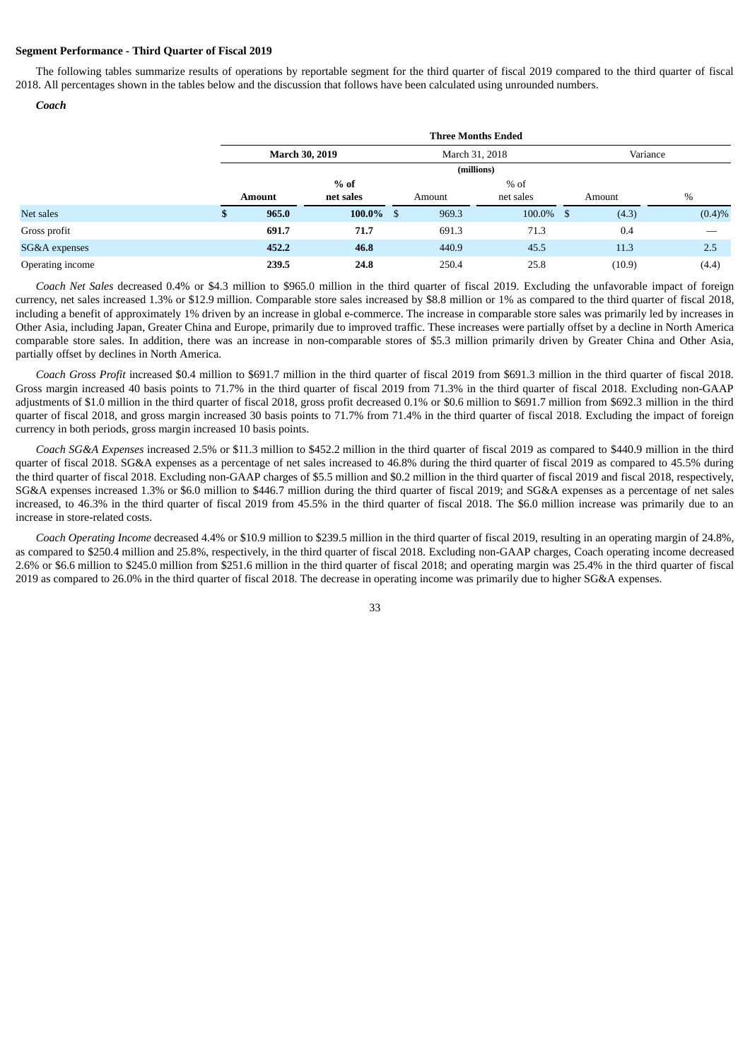## **Segment Performance - Third Quarter of Fiscal 2019**

The following tables summarize results of operations by reportable segment for the third quarter of fiscal 2019 compared to the third quarter of fiscal 2018. All percentages shown in the tables below and the discussion that follows have been calculated using unrounded numbers.

#### *Coach*

|                  | <b>Three Months Ended</b> |                       |  |                |            |  |        |          |  |  |
|------------------|---------------------------|-----------------------|--|----------------|------------|--|--------|----------|--|--|
|                  |                           | <b>March 30, 2019</b> |  | March 31, 2018 |            |  |        | Variance |  |  |
|                  |                           |                       |  |                | (millions) |  |        |          |  |  |
|                  |                           | $%$ of                |  |                |            |  |        |          |  |  |
|                  | <b>Amount</b>             | net sales             |  | Amount         | net sales  |  | Amount | $\%$     |  |  |
| Net sales        | 965.0                     | $100.0\%$ \$          |  | 969.3          | 100.0% \$  |  | (4.3)  | (0.4)%   |  |  |
| Gross profit     | 691.7                     | 71.7                  |  | 691.3          | 71.3       |  | 0.4    |          |  |  |
| SG&A expenses    | 452.2                     | 46.8                  |  | 440.9          | 45.5       |  | 11.3   | 2.5      |  |  |
| Operating income | 239.5                     | 24.8                  |  | 250.4          | 25.8       |  | (10.9) | (4.4)    |  |  |

*Coach Net Sales* decreased 0.4% or \$4.3 million to \$965.0 million in the third quarter of fiscal 2019. Excluding the unfavorable impact of foreign currency, net sales increased 1.3% or \$12.9 million. Comparable store sales increased by \$8.8 million or 1% as compared to the third quarter of fiscal 2018, including a benefit of approximately 1% driven by an increase in global e-commerce. The increase in comparable store sales was primarily led by increases in Other Asia, including Japan, Greater China and Europe, primarily due to improved traffic. These increases were partially offset by a decline in North America comparable store sales. In addition, there was an increase in non-comparable stores of \$5.3 million primarily driven by Greater China and Other Asia, partially offset by declines in North America.

*Coach Gross Profit* increased \$0.4 million to \$691.7 million in the third quarter of fiscal 2019 from \$691.3 million in the third quarter of fiscal 2018. Gross margin increased 40 basis points to 71.7% in the third quarter of fiscal 2019 from 71.3% in the third quarter of fiscal 2018. Excluding non-GAAP adjustments of \$1.0 million in the third quarter of fiscal 2018, gross profit decreased 0.1% or \$0.6 million to \$691.7 million from \$692.3 million in the third quarter of fiscal 2018, and gross margin increased 30 basis points to 71.7% from 71.4% in the third quarter of fiscal 2018. Excluding the impact of foreign currency in both periods, gross margin increased 10 basis points.

*Coach SG&A Expenses* increased 2.5% or \$11.3 million to \$452.2 million in the third quarter of fiscal 2019 as compared to \$440.9 million in the third quarter of fiscal 2018. SG&A expenses as a percentage of net sales increased to 46.8% during the third quarter of fiscal 2019 as compared to 45.5% during the third quarter of fiscal 2018. Excluding non-GAAP charges of \$5.5 million and \$0.2 million in the third quarter of fiscal 2019 and fiscal 2018, respectively, SG&A expenses increased 1.3% or \$6.0 million to \$446.7 million during the third quarter of fiscal 2019; and SG&A expenses as a percentage of net sales increased, to 46.3% in the third quarter of fiscal 2019 from 45.5% in the third quarter of fiscal 2018. The \$6.0 million increase was primarily due to an increase in store-related costs.

*Coach Operating Income* decreased 4.4% or \$10.9 million to \$239.5 million in the third quarter of fiscal 2019, resulting in an operating margin of 24.8%, as compared to \$250.4 million and 25.8%, respectively, in the third quarter of fiscal 2018. Excluding non-GAAP charges, Coach operating income decreased 2.6% or \$6.6 million to \$245.0 million from \$251.6 million in the third quarter of fiscal 2018; and operating margin was 25.4% in the third quarter of fiscal 2019 as compared to 26.0% in the third quarter of fiscal 2018. The decrease in operating income was primarily due to higher SG&A expenses.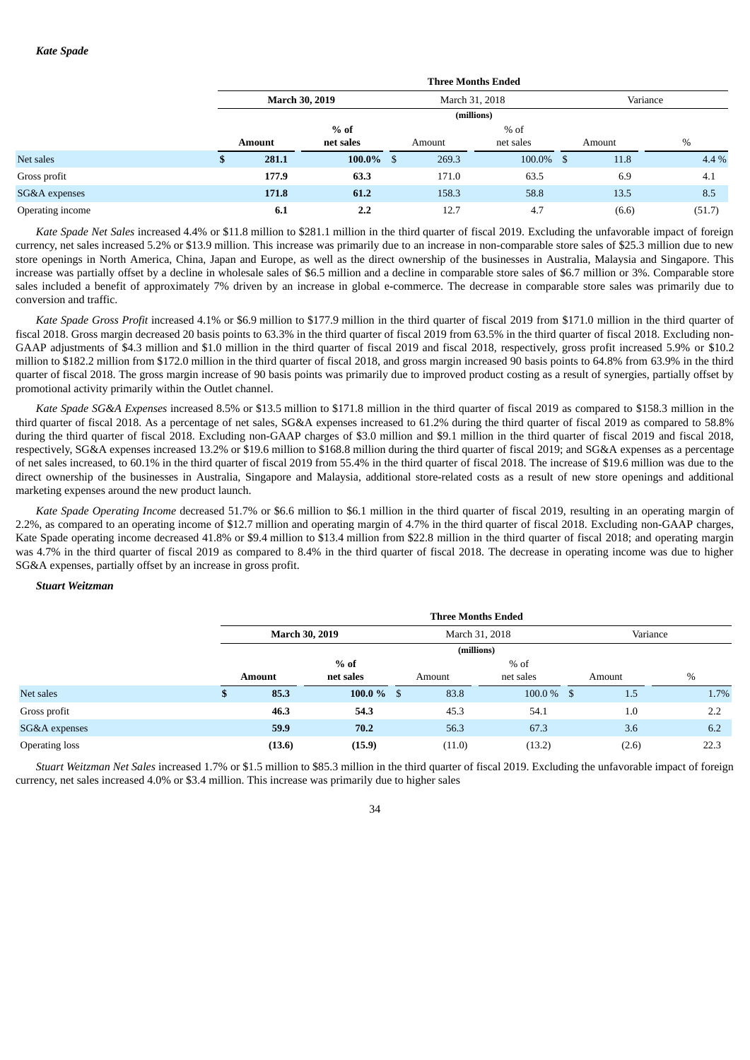|                  | <b>Three Months Ended</b> |                       |  |                |              |  |          |        |  |  |  |
|------------------|---------------------------|-----------------------|--|----------------|--------------|--|----------|--------|--|--|--|
|                  |                           | <b>March 30, 2019</b> |  | March 31, 2018 |              |  | Variance |        |  |  |  |
|                  |                           |                       |  |                | (millions)   |  |          |        |  |  |  |
|                  |                           | $%$ of                |  |                | $%$ of       |  |          |        |  |  |  |
|                  | Amount                    | net sales             |  | Amount         | net sales    |  | Amount   | $\%$   |  |  |  |
| Net sales        | 281.1                     | $100.0\%$ \$          |  | 269.3          | $100.0\%$ \$ |  | 11.8     | 4.4 %  |  |  |  |
| Gross profit     | 177.9                     | 63.3                  |  | 171.0          | 63.5         |  | 6.9      | 4.1    |  |  |  |
| SG&A expenses    | 171.8                     | 61.2                  |  | 158.3          | 58.8         |  | 13.5     | 8.5    |  |  |  |
| Operating income | 6.1                       | 2.2                   |  | 12.7           | 4.7          |  | (6.6)    | (51.7) |  |  |  |

*Kate Spade Net Sales* increased 4.4% or \$11.8 million to \$281.1 million in the third quarter of fiscal 2019. Excluding the unfavorable impact of foreign currency, net sales increased 5.2% or \$13.9 million. This increase was primarily due to an increase in non-comparable store sales of \$25.3 million due to new store openings in North America, China, Japan and Europe, as well as the direct ownership of the businesses in Australia, Malaysia and Singapore. This increase was partially offset by a decline in wholesale sales of \$6.5 million and a decline in comparable store sales of \$6.7 million or 3%. Comparable store sales included a benefit of approximately 7% driven by an increase in global e-commerce. The decrease in comparable store sales was primarily due to conversion and traffic.

*Kate Spade Gross Profit* increased 4.1% or \$6.9 million to \$177.9 million in the third quarter of fiscal 2019 from \$171.0 million in the third quarter of fiscal 2018. Gross margin decreased 20 basis points to 63.3% in the third quarter of fiscal 2019 from 63.5% in the third quarter of fiscal 2018. Excluding non-GAAP adjustments of \$4.3 million and \$1.0 million in the third quarter of fiscal 2019 and fiscal 2018, respectively, gross profit increased 5.9% or \$10.2 million to \$182.2 million from \$172.0 million in the third quarter of fiscal 2018, and gross margin increased 90 basis points to 64.8% from 63.9% in the third quarter of fiscal 2018. The gross margin increase of 90 basis points was primarily due to improved product costing as a result of synergies, partially offset by promotional activity primarily within the Outlet channel.

*Kate Spade SG&A Expenses* increased 8.5% or \$13.5 million to \$171.8 million in the third quarter of fiscal 2019 as compared to \$158.3 million in the third quarter of fiscal 2018. As a percentage of net sales, SG&A expenses increased to 61.2% during the third quarter of fiscal 2019 as compared to 58.8% during the third quarter of fiscal 2018. Excluding non-GAAP charges of \$3.0 million and \$9.1 million in the third quarter of fiscal 2019 and fiscal 2018, respectively, SG&A expenses increased 13.2% or \$19.6 million to \$168.8 million during the third quarter of fiscal 2019; and SG&A expenses as a percentage of net sales increased, to 60.1% in the third quarter of fiscal 2019 from 55.4% in the third quarter of fiscal 2018. The increase of \$19.6 million was due to the direct ownership of the businesses in Australia, Singapore and Malaysia, additional store-related costs as a result of new store openings and additional marketing expenses around the new product launch.

*Kate Spade Operating Income* decreased 51.7% or \$6.6 million to \$6.1 million in the third quarter of fiscal 2019, resulting in an operating margin of 2.2%, as compared to an operating income of \$12.7 million and operating margin of 4.7% in the third quarter of fiscal 2018. Excluding non-GAAP charges, Kate Spade operating income decreased 41.8% or \$9.4 million to \$13.4 million from \$22.8 million in the third quarter of fiscal 2018; and operating margin was 4.7% in the third quarter of fiscal 2019 as compared to 8.4% in the third quarter of fiscal 2018. The decrease in operating income was due to higher SG&A expenses, partially offset by an increase in gross profit.

## *Stuart Weitzman*

|                |   | <b>Three Months Ended</b> |                       |        |            |                |  |        |          |  |  |  |
|----------------|---|---------------------------|-----------------------|--------|------------|----------------|--|--------|----------|--|--|--|
|                |   |                           | <b>March 30, 2019</b> |        |            | March 31, 2018 |  |        | Variance |  |  |  |
|                |   |                           |                       |        | (millions) |                |  |        |          |  |  |  |
|                |   |                           | $%$ of                |        |            | $%$ of         |  |        |          |  |  |  |
|                |   | net sales<br>Amount       |                       | Amount |            | net sales      |  | Amount | $\%$     |  |  |  |
| Net sales      | ъ | 85.3                      | $100.0 \%$ \$         |        | 83.8       | $100.0\%$ \$   |  | 1.5    | 1.7%     |  |  |  |
| Gross profit   |   | 46.3                      | 54.3                  |        | 45.3       | 54.1           |  | 1.0    | 2.2      |  |  |  |
| SG&A expenses  |   | 59.9                      | 70.2                  |        | 56.3       | 67.3           |  | 3.6    | 6.2      |  |  |  |
| Operating loss |   | (13.6)                    | (15.9)                |        | (11.0)     | (13.2)         |  | (2.6)  | 22.3     |  |  |  |

*Stuart Weitzman Net Sales* increased 1.7% or \$1.5 million to \$85.3 million in the third quarter of fiscal 2019. Excluding the unfavorable impact of foreign currency, net sales increased 4.0% or \$3.4 million. This increase was primarily due to higher sales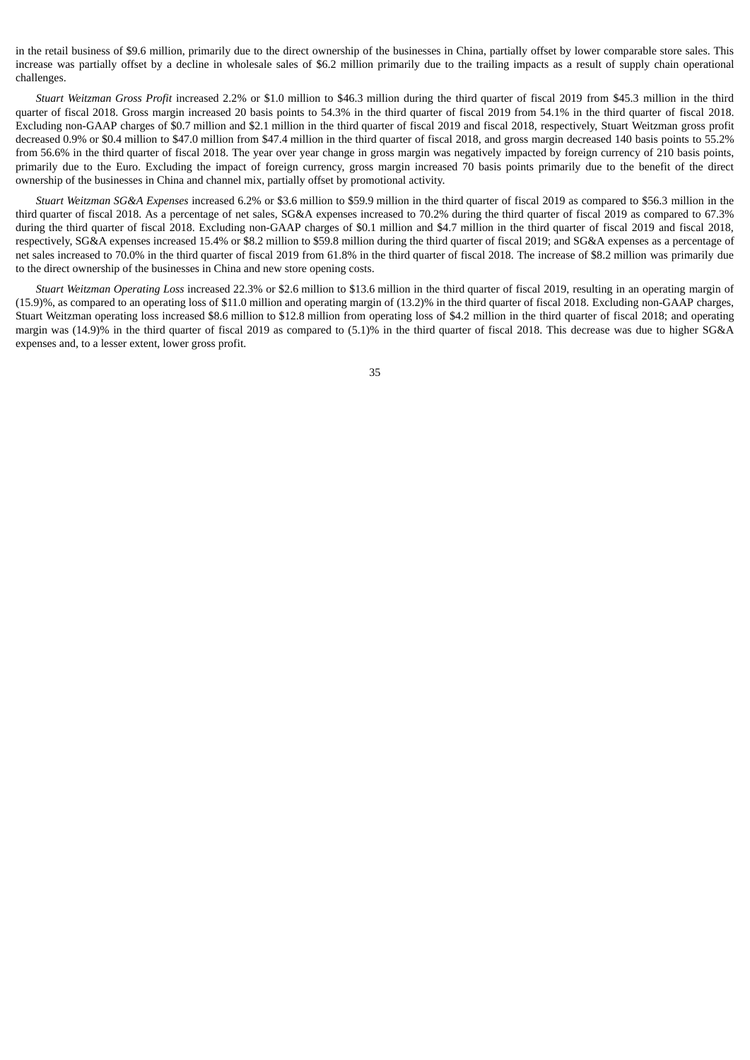in the retail business of \$9.6 million, primarily due to the direct ownership of the businesses in China, partially offset by lower comparable store sales. This increase was partially offset by a decline in wholesale sales of \$6.2 million primarily due to the trailing impacts as a result of supply chain operational challenges.

*Stuart Weitzman Gross Profit* increased 2.2% or \$1.0 million to \$46.3 million during the third quarter of fiscal 2019 from \$45.3 million in the third quarter of fiscal 2018. Gross margin increased 20 basis points to 54.3% in the third quarter of fiscal 2019 from 54.1% in the third quarter of fiscal 2018. Excluding non-GAAP charges of \$0.7 million and \$2.1 million in the third quarter of fiscal 2019 and fiscal 2018, respectively, Stuart Weitzman gross profit decreased 0.9% or \$0.4 million to \$47.0 million from \$47.4 million in the third quarter of fiscal 2018, and gross margin decreased 140 basis points to 55.2% from 56.6% in the third quarter of fiscal 2018. The year over year change in gross margin was negatively impacted by foreign currency of 210 basis points, primarily due to the Euro. Excluding the impact of foreign currency, gross margin increased 70 basis points primarily due to the benefit of the direct ownership of the businesses in China and channel mix, partially offset by promotional activity.

*Stuart Weitzman SG&A Expenses* increased 6.2% or \$3.6 million to \$59.9 million in the third quarter of fiscal 2019 as compared to \$56.3 million in the third quarter of fiscal 2018. As a percentage of net sales, SG&A expenses increased to 70.2% during the third quarter of fiscal 2019 as compared to 67.3% during the third quarter of fiscal 2018. Excluding non-GAAP charges of \$0.1 million and \$4.7 million in the third quarter of fiscal 2019 and fiscal 2018, respectively, SG&A expenses increased 15.4% or \$8.2 million to \$59.8 million during the third quarter of fiscal 2019; and SG&A expenses as a percentage of net sales increased to 70.0% in the third quarter of fiscal 2019 from 61.8% in the third quarter of fiscal 2018. The increase of \$8.2 million was primarily due to the direct ownership of the businesses in China and new store opening costs.

*Stuart Weitzman Operating Loss* increased 22.3% or \$2.6 million to \$13.6 million in the third quarter of fiscal 2019, resulting in an operating margin of (15.9)%, as compared to an operating loss of \$11.0 million and operating margin of (13.2)% in the third quarter of fiscal 2018. Excluding non-GAAP charges, Stuart Weitzman operating loss increased \$8.6 million to \$12.8 million from operating loss of \$4.2 million in the third quarter of fiscal 2018; and operating margin was (14.9)% in the third quarter of fiscal 2019 as compared to (5.1)% in the third quarter of fiscal 2018. This decrease was due to higher SG&A expenses and, to a lesser extent, lower gross profit.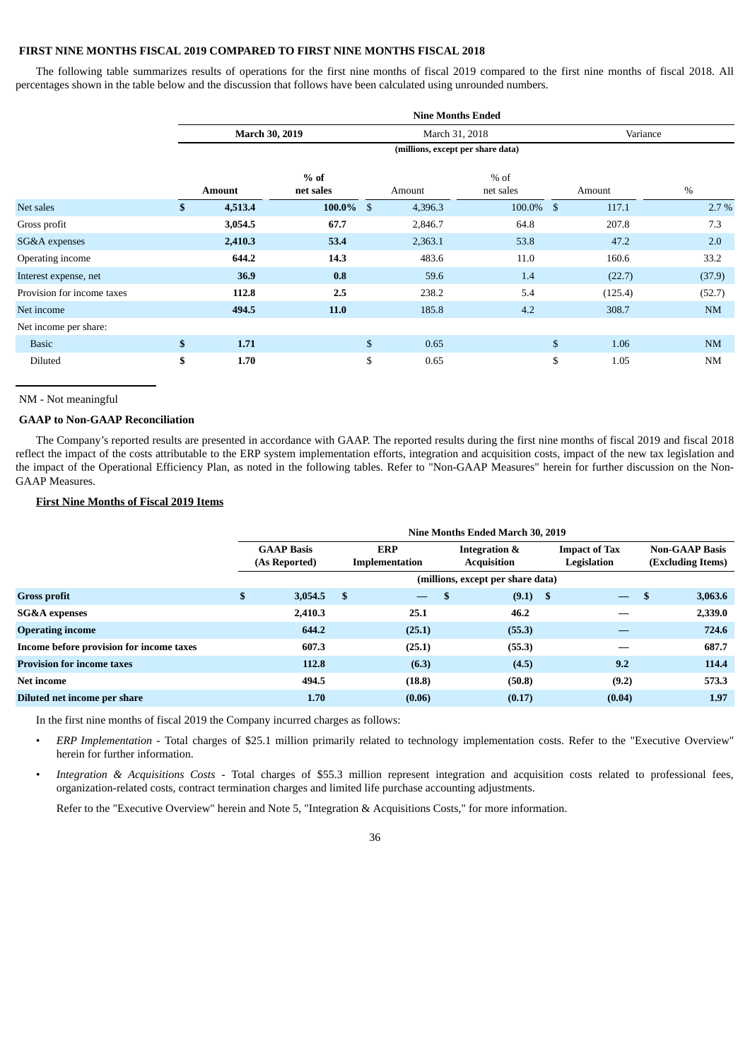## **FIRST NINE MONTHS FISCAL 2019 COMPARED TO FIRST NINE MONTHS FISCAL 2018**

The following table summarizes results of operations for the first nine months of fiscal 2019 compared to the first nine months of fiscal 2018. All percentages shown in the table below and the discussion that follows have been calculated using unrounded numbers.

|                            | <b>Nine Months Ended</b> |                |                     |              |         |                                   |    |          |           |  |  |  |  |
|----------------------------|--------------------------|----------------|---------------------|--------------|---------|-----------------------------------|----|----------|-----------|--|--|--|--|
|                            |                          | March 30, 2019 |                     |              |         | March 31, 2018                    |    | Variance |           |  |  |  |  |
|                            |                          |                |                     |              |         | (millions, except per share data) |    |          |           |  |  |  |  |
|                            |                          | Amount         | $%$ of<br>net sales |              | Amount  | $%$ of<br>net sales               |    | Amount   | $\%$      |  |  |  |  |
| Net sales                  | \$                       | 4,513.4        | $100.0\%$ \$        |              | 4,396.3 | 100.0% \$                         |    | 117.1    | 2.7%      |  |  |  |  |
| Gross profit               |                          | 3,054.5        | 67.7                |              | 2,846.7 | 64.8                              |    | 207.8    | 7.3       |  |  |  |  |
| SG&A expenses              |                          | 2,410.3        | 53.4                |              | 2,363.1 | 53.8                              |    | 47.2     | 2.0       |  |  |  |  |
| Operating income           |                          | 644.2          | 14.3                |              | 483.6   | 11.0                              |    | 160.6    | 33.2      |  |  |  |  |
| Interest expense, net      |                          | 36.9           | 0.8                 |              | 59.6    | 1.4                               |    | (22.7)   | (37.9)    |  |  |  |  |
| Provision for income taxes |                          | 112.8          | 2.5                 |              | 238.2   | 5.4                               |    | (125.4)  | (52.7)    |  |  |  |  |
| Net income                 |                          | 494.5          | 11.0                |              | 185.8   | 4.2                               |    | 308.7    | <b>NM</b> |  |  |  |  |
| Net income per share:      |                          |                |                     |              |         |                                   |    |          |           |  |  |  |  |
| <b>Basic</b>               | \$                       | 1.71           |                     | $\mathbf{s}$ | 0.65    |                                   | \$ | 1.06     | NM        |  |  |  |  |
| Diluted                    | \$                       | 1.70           |                     | \$           | 0.65    |                                   | \$ | 1.05     | NM        |  |  |  |  |

NM - Not meaningful

## **GAAP to Non-GAAP Reconciliation**

The Company's reported results are presented in accordance with GAAP. The reported results during the first nine months of fiscal 2019 and fiscal 2018 reflect the impact of the costs attributable to the ERP system implementation efforts, integration and acquisition costs, impact of the new tax legislation and the impact of the Operational Efficiency Plan, as noted in the following tables. Refer to "Non-GAAP Measures" herein for further discussion on the Non-GAAP Measures.

## **First Nine Months of Fiscal 2019 Items**

|                                          | Nine Months Ended March 30, 2019 |                                    |     |                              |      |                                                |     |                                     |                                            |         |  |  |  |
|------------------------------------------|----------------------------------|------------------------------------|-----|------------------------------|------|------------------------------------------------|-----|-------------------------------------|--------------------------------------------|---------|--|--|--|
|                                          |                                  | <b>GAAP Basis</b><br>(As Reported) |     | <b>ERP</b><br>Implementation |      | <b>Integration &amp;</b><br><b>Acquisition</b> |     | <b>Impact of Tax</b><br>Legislation | <b>Non-GAAP Basis</b><br>(Excluding Items) |         |  |  |  |
|                                          |                                  |                                    |     |                              |      | (millions, except per share data)              |     |                                     |                                            |         |  |  |  |
| <b>Gross profit</b>                      | \$                               | 3,054.5                            | -\$ | $\overline{\phantom{m}}$     | - \$ | (9.1)                                          | -\$ | $\overline{\phantom{0}}$            | - \$                                       | 3,063.6 |  |  |  |
| <b>SG&amp;A</b> expenses                 |                                  | 2,410.3                            |     | 25.1                         |      | 46.2                                           |     |                                     |                                            | 2,339.0 |  |  |  |
| <b>Operating income</b>                  |                                  | 644.2                              |     | (25.1)                       |      | (55.3)                                         |     |                                     |                                            | 724.6   |  |  |  |
| Income before provision for income taxes |                                  | 607.3                              |     | (25.1)                       |      | (55.3)                                         |     |                                     |                                            | 687.7   |  |  |  |
| <b>Provision for income taxes</b>        |                                  | 112.8                              |     | (6.3)                        |      | (4.5)                                          |     | 9.2                                 |                                            | 114.4   |  |  |  |
| <b>Net income</b>                        |                                  | 494.5                              |     | (18.8)                       |      | (50.8)                                         |     | (9.2)                               |                                            | 573.3   |  |  |  |
| Diluted net income per share             |                                  | 1.70                               |     | (0.06)                       |      | (0.17)                                         |     | (0.04)                              |                                            | 1.97    |  |  |  |

In the first nine months of fiscal 2019 the Company incurred charges as follows:

- *ERP Implementation* Total charges of \$25.1 million primarily related to technology implementation costs. Refer to the "Executive Overview" herein for further information.
- *• Integration & Acquisitions Costs* Total charges of \$55.3 million represent integration and acquisition costs related to professional fees, organization-related costs, contract termination charges and limited life purchase accounting adjustments.

Refer to the "Executive Overview" herein and Note 5, "Integration & Acquisitions Costs," for more information.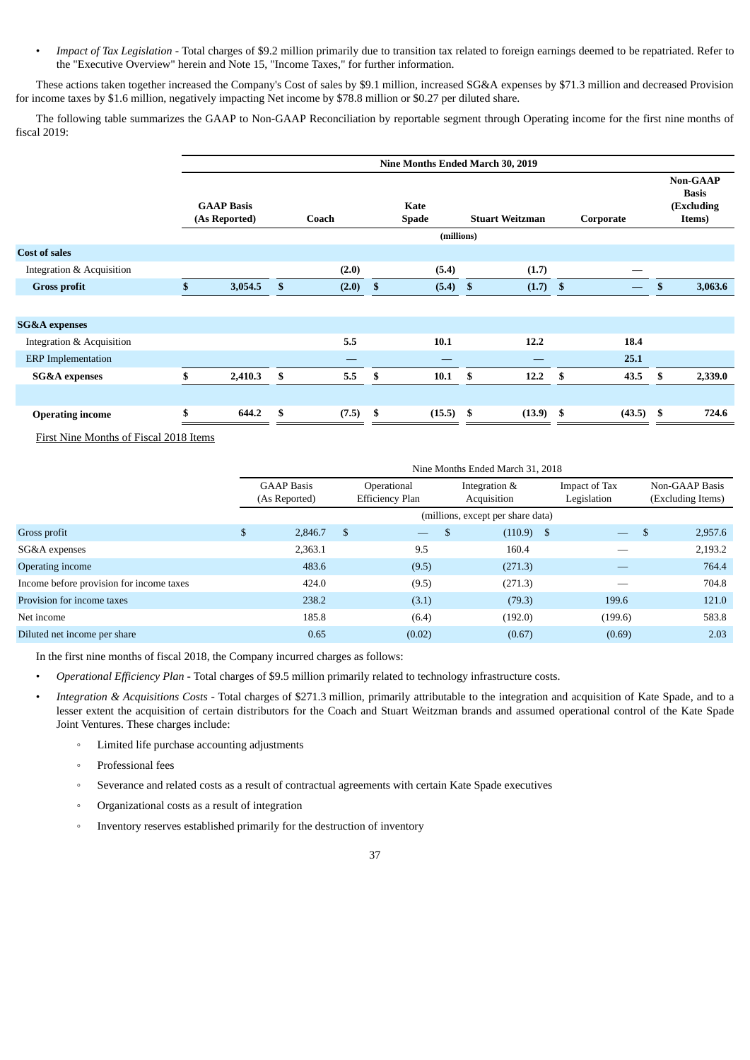• *Impact of Tax Legislation* - Total charges of \$9.2 million primarily due to transition tax related to foreign earnings deemed to be repatriated. Refer to the "Executive Overview" herein and Note 15, "Income Taxes," for further information.

These actions taken together increased the Company's Cost of sales by \$9.1 million, increased SG&A expenses by \$71.3 million and decreased Provision for income taxes by \$1.6 million, negatively impacting Net income by \$78.8 million or \$0.27 per diluted share.

The following table summarizes the GAAP to Non-GAAP Reconciliation by reportable segment through Operating income for the first nine months of fiscal 2019:

|                           |              | Nine Months Ended March 30, 2019   |              |       |    |               |    |                        |              |           |    |                                                         |  |
|---------------------------|--------------|------------------------------------|--------------|-------|----|---------------|----|------------------------|--------------|-----------|----|---------------------------------------------------------|--|
|                           |              | <b>GAAP Basis</b><br>(As Reported) |              | Coach |    | Kate<br>Spade |    | <b>Stuart Weitzman</b> |              | Corporate |    | <b>Non-GAAP</b><br><b>Basis</b><br>(Excluding<br>Items) |  |
|                           |              |                                    |              |       |    | (millions)    |    |                        |              |           |    |                                                         |  |
| <b>Cost of sales</b>      |              |                                    |              |       |    |               |    |                        |              |           |    |                                                         |  |
| Integration & Acquisition |              |                                    |              | (2.0) |    | (5.4)         |    | (1.7)                  |              |           |    |                                                         |  |
| <b>Gross profit</b>       | $\mathbf{s}$ | 3,054.5                            | $\mathbf{s}$ | (2.0) | \$ | (5.4)         | \$ | (1.7)                  | $\mathbf{s}$ |           |    | 3,063.6                                                 |  |
|                           |              |                                    |              |       |    |               |    |                        |              |           |    |                                                         |  |
| <b>SG&amp;A</b> expenses  |              |                                    |              |       |    |               |    |                        |              |           |    |                                                         |  |
| Integration & Acquisition |              |                                    |              | 5.5   |    | 10.1          |    | 12.2                   |              | 18.4      |    |                                                         |  |
| <b>ERP</b> Implementation |              |                                    |              |       |    |               |    |                        |              | 25.1      |    |                                                         |  |
| <b>SG&amp;A</b> expenses  | \$           | 2,410.3                            | \$           | 5.5   | \$ | 10.1          | Ŝ. | 12.2                   | \$           | 43.5      | \$ | 2,339.0                                                 |  |
|                           |              |                                    |              |       |    |               |    |                        |              |           |    |                                                         |  |
| <b>Operating income</b>   | \$           | 644.2                              | \$           | (7.5) | \$ | (15.5)        | \$ | $(13.9)$ \$            |              | (43.5)    | \$ | 724.6                                                   |  |

First Nine Months of Fiscal 2018 Items

|                                          | Nine Months Ended March 31, 2018 |                                    |                                   |                          |             |               |  |               |      |                   |  |  |
|------------------------------------------|----------------------------------|------------------------------------|-----------------------------------|--------------------------|-------------|---------------|--|---------------|------|-------------------|--|--|
|                                          |                                  | <b>GAAP Basis</b><br>(As Reported) |                                   | Operational              |             | Integration & |  | Impact of Tax |      | Non-GAAP Basis    |  |  |
|                                          |                                  |                                    |                                   | Efficiency Plan          | Acquisition |               |  | Legislation   |      | (Excluding Items) |  |  |
|                                          |                                  |                                    | (millions, except per share data) |                          |             |               |  |               |      |                   |  |  |
| Gross profit                             | \$                               | 2,846.7                            | $\mathfrak{s}$                    | $\overline{\phantom{0}}$ |             | $(110.9)$ \$  |  |               | - \$ | 2,957.6           |  |  |
| SG&A expenses                            |                                  | 2,363.1                            |                                   | 9.5                      |             | 160.4         |  |               |      | 2,193.2           |  |  |
| Operating income                         |                                  | 483.6                              |                                   | (9.5)                    |             | (271.3)       |  |               |      | 764.4             |  |  |
| Income before provision for income taxes |                                  | 424.0                              |                                   | (9.5)                    |             | (271.3)       |  |               |      | 704.8             |  |  |
| Provision for income taxes               |                                  | 238.2                              |                                   | (3.1)                    |             | (79.3)        |  | 199.6         |      | 121.0             |  |  |
| Net income                               |                                  | 185.8                              |                                   | (6.4)                    |             | (192.0)       |  | (199.6)       |      | 583.8             |  |  |
| Diluted net income per share             |                                  | 0.65                               |                                   | (0.02)                   |             | (0.67)        |  | (0.69)        |      | 2.03              |  |  |

In the first nine months of fiscal 2018, the Company incurred charges as follows:

- *Operational Efficiency Plan* Total charges of \$9.5 million primarily related to technology infrastructure costs.
- *Integration & Acquisitions Costs* Total charges of \$271.3 million, primarily attributable to the integration and acquisition of Kate Spade, and to a lesser extent the acquisition of certain distributors for the Coach and Stuart Weitzman brands and assumed operational control of the Kate Spade Joint Ventures. These charges include:
	- Limited life purchase accounting adjustments
	- Professional fees
	- Severance and related costs as a result of contractual agreements with certain Kate Spade executives
	- Organizational costs as a result of integration
	- Inventory reserves established primarily for the destruction of inventory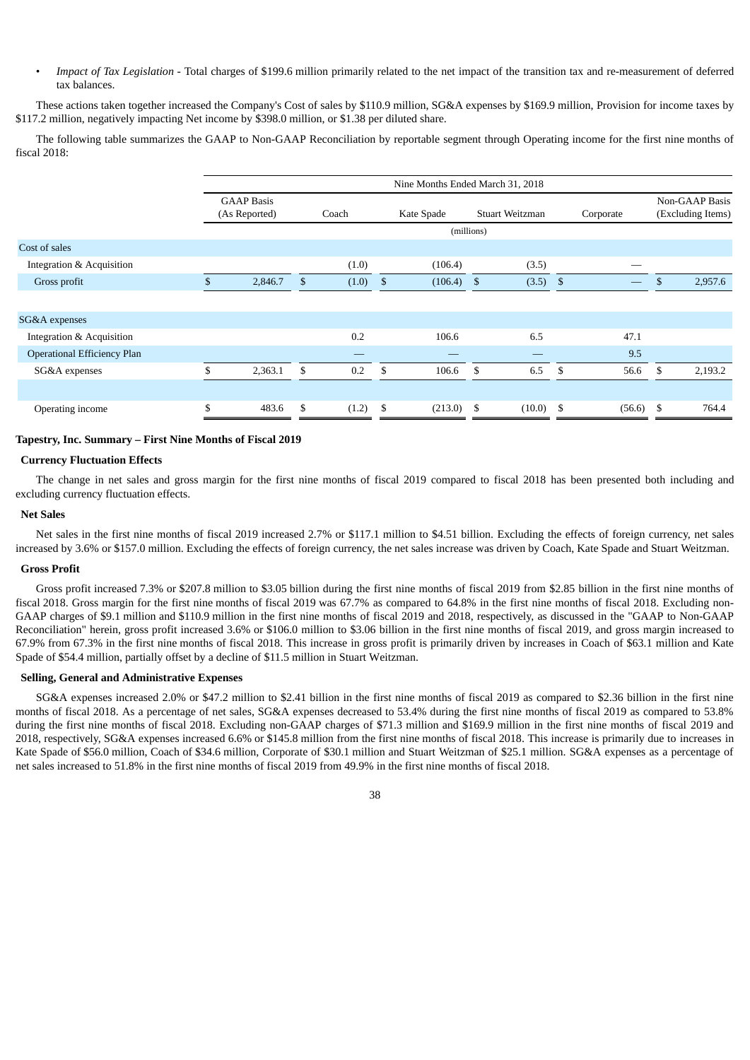• *Impact of Tax Legislation* - Total charges of \$199.6 million primarily related to the net impact of the transition tax and re-measurement of deferred tax balances.

These actions taken together increased the Company's Cost of sales by \$110.9 million, SG&A expenses by \$169.9 million, Provision for income taxes by \$117.2 million, negatively impacting Net income by \$398.0 million, or \$1.38 per diluted share.

The following table summarizes the GAAP to Non-GAAP Reconciliation by reportable segment through Operating income for the first nine months of fiscal 2018:

|                                    | Nine Months Ended March 31, 2018   |         |    |       |     |              |                 |        |               |        |                                     |         |
|------------------------------------|------------------------------------|---------|----|-------|-----|--------------|-----------------|--------|---------------|--------|-------------------------------------|---------|
|                                    | <b>GAAP Basis</b><br>(As Reported) |         |    | Coach |     | Kate Spade   | Stuart Weitzman |        | Corporate     |        | Non-GAAP Basis<br>(Excluding Items) |         |
|                                    |                                    |         |    |       |     | (millions)   |                 |        |               |        |                                     |         |
| Cost of sales                      |                                    |         |    |       |     |              |                 |        |               |        |                                     |         |
| Integration & Acquisition          |                                    |         |    | (1.0) |     | (106.4)      |                 | (3.5)  |               |        |                                     |         |
| Gross profit                       | \$                                 | 2,846.7 | \$ | (1.0) | \$  | $(106.4)$ \$ |                 | (3.5)  | - \$          |        |                                     | 2,957.6 |
|                                    |                                    |         |    |       |     |              |                 |        |               |        |                                     |         |
| SG&A expenses                      |                                    |         |    |       |     |              |                 |        |               |        |                                     |         |
| Integration & Acquisition          |                                    |         |    | 0.2   |     | 106.6        |                 | 6.5    |               | 47.1   |                                     |         |
| <b>Operational Efficiency Plan</b> |                                    |         |    |       |     |              |                 |        |               | 9.5    |                                     |         |
| SG&A expenses                      |                                    | 2,363.1 | \$ | 0.2   | \$  | 106.6        | -\$             | 6.5    | $\mathbf{\$}$ | 56.6   | \$.                                 | 2,193.2 |
|                                    |                                    |         |    |       |     |              |                 |        |               |        |                                     |         |
| Operating income                   | \$                                 | 483.6   | \$ | (1.2) | -\$ | $(213.0)$ \$ |                 | (10.0) | $\mathbf{s}$  | (56.6) | -\$                                 | 764.4   |

### **Tapestry, Inc. Summary – First Nine Months of Fiscal 2019**

## **Currency Fluctuation Effects**

The change in net sales and gross margin for the first nine months of fiscal 2019 compared to fiscal 2018 has been presented both including and excluding currency fluctuation effects.

### **Net Sales**

Net sales in the first nine months of fiscal 2019 increased 2.7% or \$117.1 million to \$4.51 billion. Excluding the effects of foreign currency, net sales increased by 3.6% or \$157.0 million. Excluding the effects of foreign currency, the net sales increase was driven by Coach, Kate Spade and Stuart Weitzman.

## **Gross Profit**

Gross profit increased 7.3% or \$207.8 million to \$3.05 billion during the first nine months of fiscal 2019 from \$2.85 billion in the first nine months of fiscal 2018. Gross margin for the first nine months of fiscal 2019 was 67.7% as compared to 64.8% in the first nine months of fiscal 2018. Excluding non-GAAP charges of \$9.1 million and \$110.9 million in the first nine months of fiscal 2019 and 2018, respectively, as discussed in the "GAAP to Non-GAAP Reconciliation" herein, gross profit increased 3.6% or \$106.0 million to \$3.06 billion in the first nine months of fiscal 2019, and gross margin increased to 67.9% from 67.3% in the first nine months of fiscal 2018. This increase in gross profit is primarily driven by increases in Coach of \$63.1 million and Kate Spade of \$54.4 million, partially offset by a decline of \$11.5 million in Stuart Weitzman.

## **Selling, General and Administrative Expenses**

SG&A expenses increased 2.0% or \$47.2 million to \$2.41 billion in the first nine months of fiscal 2019 as compared to \$2.36 billion in the first nine months of fiscal 2018. As a percentage of net sales, SG&A expenses decreased to 53.4% during the first nine months of fiscal 2019 as compared to 53.8% during the first nine months of fiscal 2018. Excluding non-GAAP charges of \$71.3 million and \$169.9 million in the first nine months of fiscal 2019 and 2018, respectively, SG&A expenses increased 6.6% or \$145.8 million from the first nine months of fiscal 2018. This increase is primarily due to increases in Kate Spade of \$56.0 million, Coach of \$34.6 million, Corporate of \$30.1 million and Stuart Weitzman of \$25.1 million. SG&A expenses as a percentage of net sales increased to 51.8% in the first nine months of fiscal 2019 from 49.9% in the first nine months of fiscal 2018.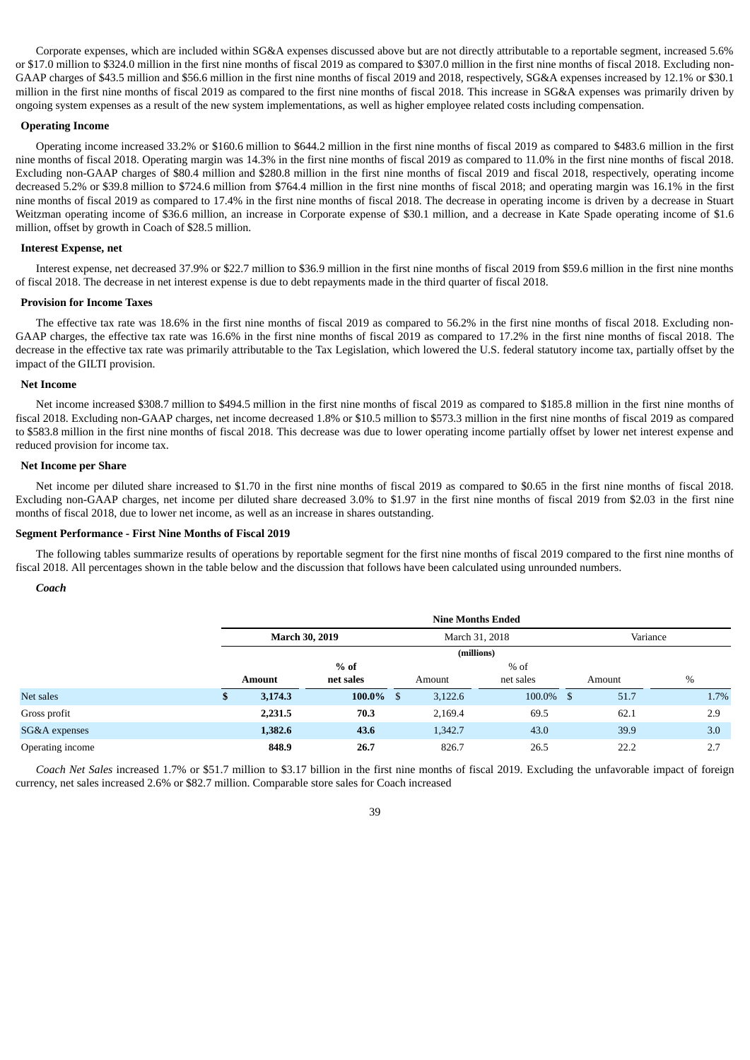Corporate expenses, which are included within SG&A expenses discussed above but are not directly attributable to a reportable segment, increased 5.6% or \$17.0 million to \$324.0 million in the first nine months of fiscal 2019 as compared to \$307.0 million in the first nine months of fiscal 2018. Excluding non-GAAP charges of \$43.5 million and \$56.6 million in the first nine months of fiscal 2019 and 2018, respectively, SG&A expenses increased by 12.1% or \$30.1 million in the first nine months of fiscal 2019 as compared to the first nine months of fiscal 2018. This increase in SG&A expenses was primarily driven by ongoing system expenses as a result of the new system implementations, as well as higher employee related costs including compensation.

### **Operating Income**

Operating income increased 33.2% or \$160.6 million to \$644.2 million in the first nine months of fiscal 2019 as compared to \$483.6 million in the first nine months of fiscal 2018. Operating margin was 14.3% in the first nine months of fiscal 2019 as compared to 11.0% in the first nine months of fiscal 2018. Excluding non-GAAP charges of \$80.4 million and \$280.8 million in the first nine months of fiscal 2019 and fiscal 2018, respectively, operating income decreased 5.2% or \$39.8 million to \$724.6 million from \$764.4 million in the first nine months of fiscal 2018; and operating margin was 16.1% in the first nine months of fiscal 2019 as compared to 17.4% in the first nine months of fiscal 2018. The decrease in operating income is driven by a decrease in Stuart Weitzman operating income of \$36.6 million, an increase in Corporate expense of \$30.1 million, and a decrease in Kate Spade operating income of \$1.6 million, offset by growth in Coach of \$28.5 million.

### **Interest Expense, net**

Interest expense, net decreased 37.9% or \$22.7 million to \$36.9 million in the first nine months of fiscal 2019 from \$59.6 million in the first nine months of fiscal 2018. The decrease in net interest expense is due to debt repayments made in the third quarter of fiscal 2018.

#### **Provision for Income Taxes**

The effective tax rate was 18.6% in the first nine months of fiscal 2019 as compared to 56.2% in the first nine months of fiscal 2018. Excluding non-GAAP charges, the effective tax rate was 16.6% in the first nine months of fiscal 2019 as compared to 17.2% in the first nine months of fiscal 2018. The decrease in the effective tax rate was primarily attributable to the Tax Legislation, which lowered the U.S. federal statutory income tax, partially offset by the impact of the GILTI provision.

#### **Net Income**

Net income increased \$308.7 million to \$494.5 million in the first nine months of fiscal 2019 as compared to \$185.8 million in the first nine months of fiscal 2018. Excluding non-GAAP charges, net income decreased 1.8% or \$10.5 million to \$573.3 million in the first nine months of fiscal 2019 as compared to \$583.8 million in the first nine months of fiscal 2018. This decrease was due to lower operating income partially offset by lower net interest expense and reduced provision for income tax.

### **Net Income per Share**

Net income per diluted share increased to \$1.70 in the first nine months of fiscal 2019 as compared to \$0.65 in the first nine months of fiscal 2018. Excluding non-GAAP charges, net income per diluted share decreased 3.0% to \$1.97 in the first nine months of fiscal 2019 from \$2.03 in the first nine months of fiscal 2018, due to lower net income, as well as an increase in shares outstanding.

## **Segment Performance - First Nine Months of Fiscal 2019**

The following tables summarize results of operations by reportable segment for the first nine months of fiscal 2019 compared to the first nine months of fiscal 2018. All percentages shown in the table below and the discussion that follows have been calculated using unrounded numbers.

#### *Coach*

|                  |   | <b>Nine Months Ended</b> |                       |            |         |                |          |      |      |  |  |  |  |
|------------------|---|--------------------------|-----------------------|------------|---------|----------------|----------|------|------|--|--|--|--|
|                  |   |                          | <b>March 30, 2019</b> |            |         | March 31, 2018 | Variance |      |      |  |  |  |  |
|                  |   |                          |                       | (millions) |         |                |          |      |      |  |  |  |  |
|                  |   |                          | $%$ of                |            |         | $%$ of         |          |      |      |  |  |  |  |
|                  |   | Amount                   | net sales             |            | Amount  | net sales      | Amount   |      | $\%$ |  |  |  |  |
| Net sales        | D | 3,174.3                  | $100.0\%$ \$          |            | 3,122.6 | $100.0\%$ \$   |          | 51.7 | 1.7% |  |  |  |  |
| Gross profit     |   | 2,231.5                  | 70.3                  |            | 2,169.4 | 69.5           |          | 62.1 | 2.9  |  |  |  |  |
| SG&A expenses    |   | 1,382.6                  | 43.6                  |            | 1,342.7 | 43.0           |          | 39.9 | 3.0  |  |  |  |  |
| Operating income |   | 848.9                    | 26.7                  |            | 826.7   | 26.5           |          | 22.2 | 2.7  |  |  |  |  |

*Coach Net Sales* increased 1.7% or \$51.7 million to \$3.17 billion in the first nine months of fiscal 2019. Excluding the unfavorable impact of foreign currency, net sales increased 2.6% or \$82.7 million. Comparable store sales for Coach increased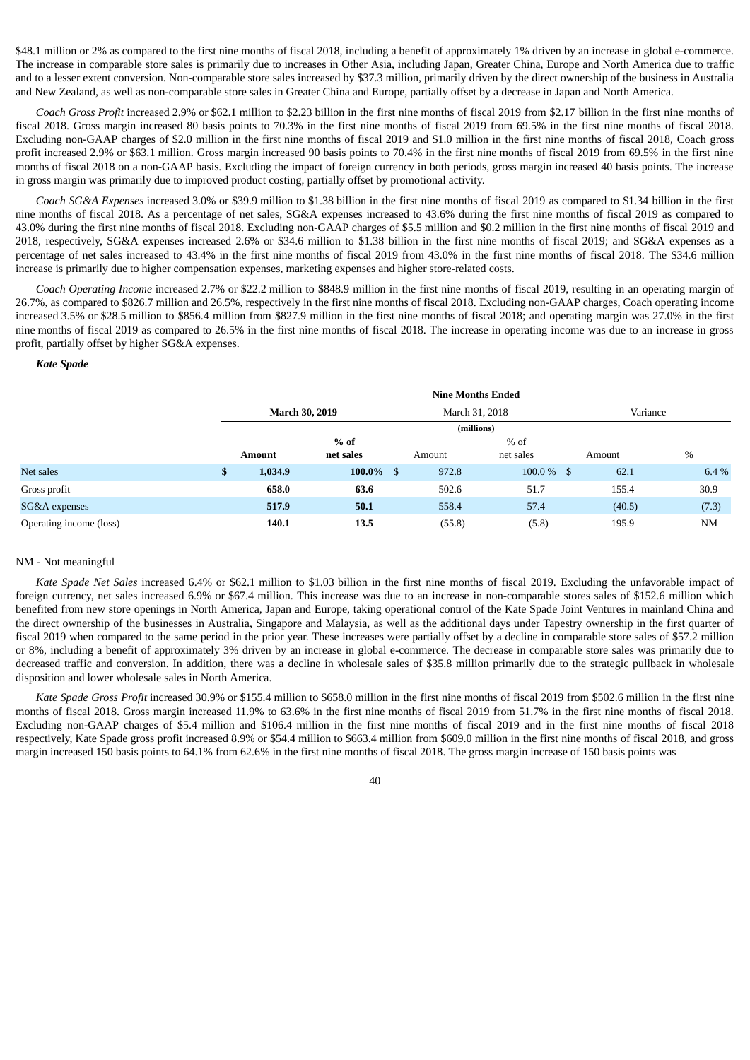\$48.1 million or 2% as compared to the first nine months of fiscal 2018, including a benefit of approximately 1% driven by an increase in global e-commerce. The increase in comparable store sales is primarily due to increases in Other Asia, including Japan, Greater China, Europe and North America due to traffic and to a lesser extent conversion. Non-comparable store sales increased by \$37.3 million, primarily driven by the direct ownership of the business in Australia and New Zealand, as well as non-comparable store sales in Greater China and Europe, partially offset by a decrease in Japan and North America.

*Coach Gross Profit* increased 2.9% or \$62.1 million to \$2.23 billion in the first nine months of fiscal 2019 from \$2.17 billion in the first nine months of fiscal 2018. Gross margin increased 80 basis points to 70.3% in the first nine months of fiscal 2019 from 69.5% in the first nine months of fiscal 2018. Excluding non-GAAP charges of \$2.0 million in the first nine months of fiscal 2019 and \$1.0 million in the first nine months of fiscal 2018, Coach gross profit increased 2.9% or \$63.1 million. Gross margin increased 90 basis points to 70.4% in the first nine months of fiscal 2019 from 69.5% in the first nine months of fiscal 2018 on a non-GAAP basis. Excluding the impact of foreign currency in both periods, gross margin increased 40 basis points. The increase in gross margin was primarily due to improved product costing, partially offset by promotional activity.

*Coach SG&A Expenses* increased 3.0% or \$39.9 million to \$1.38 billion in the first nine months of fiscal 2019 as compared to \$1.34 billion in the first nine months of fiscal 2018. As a percentage of net sales, SG&A expenses increased to 43.6% during the first nine months of fiscal 2019 as compared to 43.0% during the first nine months of fiscal 2018. Excluding non-GAAP charges of \$5.5 million and \$0.2 million in the first nine months of fiscal 2019 and 2018, respectively, SG&A expenses increased 2.6% or \$34.6 million to \$1.38 billion in the first nine months of fiscal 2019; and SG&A expenses as a percentage of net sales increased to 43.4% in the first nine months of fiscal 2019 from 43.0% in the first nine months of fiscal 2018. The \$34.6 million increase is primarily due to higher compensation expenses, marketing expenses and higher store-related costs.

*Coach Operating Income* increased 2.7% or \$22.2 million to \$848.9 million in the first nine months of fiscal 2019, resulting in an operating margin of 26.7%, as compared to \$826.7 million and 26.5%, respectively in the first nine months of fiscal 2018. Excluding non-GAAP charges, Coach operating income increased 3.5% or \$28.5 million to \$856.4 million from \$827.9 million in the first nine months of fiscal 2018; and operating margin was 27.0% in the first nine months of fiscal 2019 as compared to 26.5% in the first nine months of fiscal 2018. The increase in operating income was due to an increase in gross profit, partially offset by higher SG&A expenses.

## *Kate Spade*

|                         |   | <b>Nine Months Ended</b> |              |        |        |                |        |          |           |  |  |  |
|-------------------------|---|--------------------------|--------------|--------|--------|----------------|--------|----------|-----------|--|--|--|
|                         |   | <b>March 30, 2019</b>    |              |        |        | March 31, 2018 |        | Variance |           |  |  |  |
|                         |   | (millions)               |              |        |        |                |        |          |           |  |  |  |
|                         |   |                          | $%$ of       |        |        | $%$ of         |        |          |           |  |  |  |
|                         |   | <b>Amount</b>            | net sales    | Amount |        | net sales      | Amount |          | $\%$      |  |  |  |
| Net sales               | Ф | 1,034.9                  | $100.0\%$ \$ |        | 972.8  | $100.0\%$ \$   |        | 62.1     | 6.4%      |  |  |  |
| Gross profit            |   | 658.0                    | 63.6         |        | 502.6  | 51.7           |        | 155.4    | 30.9      |  |  |  |
| SG&A expenses           |   | 517.9                    | 50.1         |        | 558.4  | 57.4           |        | (40.5)   | (7.3)     |  |  |  |
| Operating income (loss) |   | 140.1                    | 13.5         |        | (55.8) | (5.8)          |        | 195.9    | <b>NM</b> |  |  |  |

### NM - Not meaningful

*Kate Spade Net Sales* increased 6.4% or \$62.1 million to \$1.03 billion in the first nine months of fiscal 2019. Excluding the unfavorable impact of foreign currency, net sales increased 6.9% or \$67.4 million. This increase was due to an increase in non-comparable stores sales of \$152.6 million which benefited from new store openings in North America, Japan and Europe, taking operational control of the Kate Spade Joint Ventures in mainland China and the direct ownership of the businesses in Australia, Singapore and Malaysia, as well as the additional days under Tapestry ownership in the first quarter of fiscal 2019 when compared to the same period in the prior year. These increases were partially offset by a decline in comparable store sales of \$57.2 million or 8%, including a benefit of approximately 3% driven by an increase in global e-commerce. The decrease in comparable store sales was primarily due to decreased traffic and conversion. In addition, there was a decline in wholesale sales of \$35.8 million primarily due to the strategic pullback in wholesale disposition and lower wholesale sales in North America.

*Kate Spade Gross Profit* increased 30.9% or \$155.4 million to \$658.0 million in the first nine months of fiscal 2019 from \$502.6 million in the first nine months of fiscal 2018. Gross margin increased 11.9% to 63.6% in the first nine months of fiscal 2019 from 51.7% in the first nine months of fiscal 2018. Excluding non-GAAP charges of \$5.4 million and \$106.4 million in the first nine months of fiscal 2019 and in the first nine months of fiscal 2018 respectively, Kate Spade gross profit increased 8.9% or \$54.4 million to \$663.4 million from \$609.0 million in the first nine months of fiscal 2018, and gross margin increased 150 basis points to 64.1% from 62.6% in the first nine months of fiscal 2018. The gross margin increase of 150 basis points was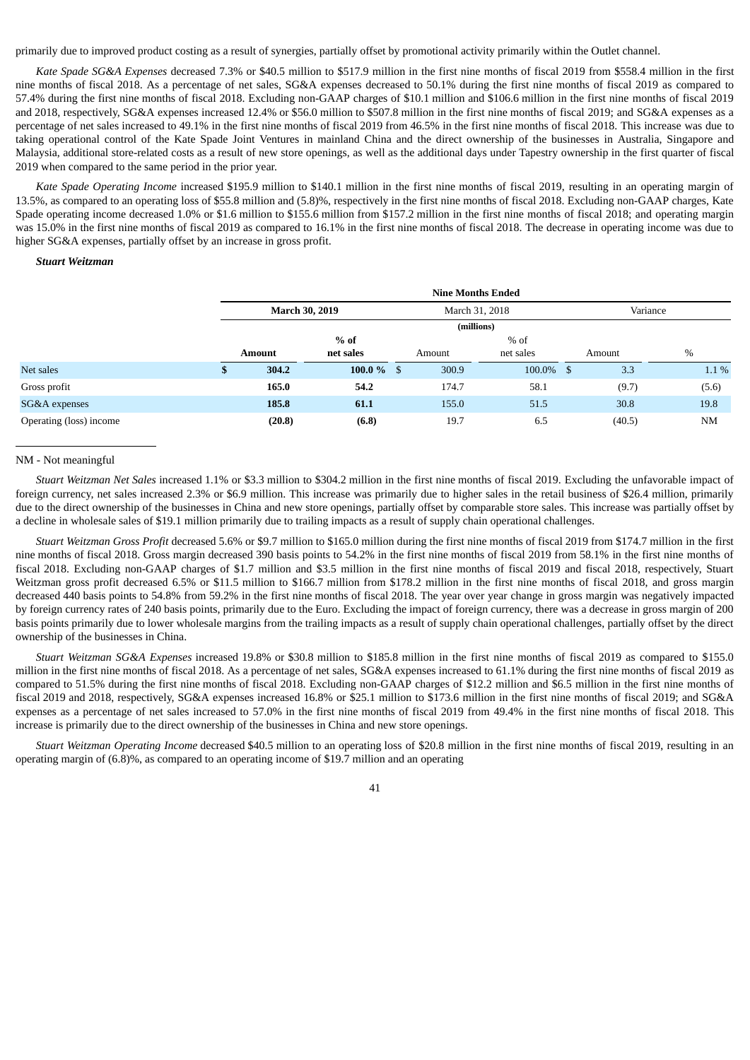primarily due to improved product costing as a result of synergies, partially offset by promotional activity primarily within the Outlet channel.

*Kate Spade SG&A Expenses* decreased 7.3% or \$40.5 million to \$517.9 million in the first nine months of fiscal 2019 from \$558.4 million in the first nine months of fiscal 2018. As a percentage of net sales, SG&A expenses decreased to 50.1% during the first nine months of fiscal 2019 as compared to 57.4% during the first nine months of fiscal 2018. Excluding non-GAAP charges of \$10.1 million and \$106.6 million in the first nine months of fiscal 2019 and 2018, respectively, SG&A expenses increased 12.4% or \$56.0 million to \$507.8 million in the first nine months of fiscal 2019; and SG&A expenses as a percentage of net sales increased to 49.1% in the first nine months of fiscal 2019 from 46.5% in the first nine months of fiscal 2018. This increase was due to taking operational control of the Kate Spade Joint Ventures in mainland China and the direct ownership of the businesses in Australia, Singapore and Malaysia, additional store-related costs as a result of new store openings, as well as the additional days under Tapestry ownership in the first quarter of fiscal 2019 when compared to the same period in the prior year.

*Kate Spade Operating Income* increased \$195.9 million to \$140.1 million in the first nine months of fiscal 2019, resulting in an operating margin of 13.5%, as compared to an operating loss of \$55.8 million and (5.8)%, respectively in the first nine months of fiscal 2018. Excluding non-GAAP charges, Kate Spade operating income decreased 1.0% or \$1.6 million to \$155.6 million from \$157.2 million in the first nine months of fiscal 2018; and operating margin was 15.0% in the first nine months of fiscal 2019 as compared to 16.1% in the first nine months of fiscal 2018. The decrease in operating income was due to higher SG&A expenses, partially offset by an increase in gross profit.

## *Stuart Weitzman*

|                         |   | <b>Nine Months Ended</b> |                       |        |            |                |        |          |       |  |  |  |  |
|-------------------------|---|--------------------------|-----------------------|--------|------------|----------------|--------|----------|-------|--|--|--|--|
|                         |   |                          | <b>March 30, 2019</b> |        |            | March 31, 2018 |        | Variance |       |  |  |  |  |
|                         |   |                          |                       |        | (millions) |                |        |          |       |  |  |  |  |
|                         |   |                          | $%$ of                |        |            | $%$ of         |        |          |       |  |  |  |  |
|                         |   | <b>Amount</b>            | net sales             | Amount |            | net sales      | Amount |          | $\%$  |  |  |  |  |
| Net sales               | D | 304.2                    | $100.0 \%$ \$         |        | 300.9      | 100.0% \$      |        | 3.3      | 1.1%  |  |  |  |  |
| Gross profit            |   | 165.0                    | 54.2                  |        | 174.7      | 58.1           |        | (9.7)    | (5.6) |  |  |  |  |
| SG&A expenses           |   | 185.8                    | 61.1                  |        | 155.0      | 51.5           |        | 30.8     | 19.8  |  |  |  |  |
| Operating (loss) income |   | (20.8)                   | (6.8)                 |        | 19.7       | 6.5            |        | (40.5)   | NM    |  |  |  |  |

## NM - Not meaningful

*Stuart Weitzman Net Sales* increased 1.1% or \$3.3 million to \$304.2 million in the first nine months of fiscal 2019. Excluding the unfavorable impact of foreign currency, net sales increased 2.3% or \$6.9 million. This increase was primarily due to higher sales in the retail business of \$26.4 million, primarily due to the direct ownership of the businesses in China and new store openings, partially offset by comparable store sales. This increase was partially offset by a decline in wholesale sales of \$19.1 million primarily due to trailing impacts as a result of supply chain operational challenges.

*Stuart Weitzman Gross Profit* decreased 5.6% or \$9.7 million to \$165.0 million during the first nine months of fiscal 2019 from \$174.7 million in the first nine months of fiscal 2018. Gross margin decreased 390 basis points to 54.2% in the first nine months of fiscal 2019 from 58.1% in the first nine months of fiscal 2018. Excluding non-GAAP charges of \$1.7 million and \$3.5 million in the first nine months of fiscal 2019 and fiscal 2018, respectively, Stuart Weitzman gross profit decreased 6.5% or \$11.5 million to \$166.7 million from \$178.2 million in the first nine months of fiscal 2018, and gross margin decreased 440 basis points to 54.8% from 59.2% in the first nine months of fiscal 2018. The year over year change in gross margin was negatively impacted by foreign currency rates of 240 basis points, primarily due to the Euro. Excluding the impact of foreign currency, there was a decrease in gross margin of 200 basis points primarily due to lower wholesale margins from the trailing impacts as a result of supply chain operational challenges, partially offset by the direct ownership of the businesses in China.

*Stuart Weitzman SG&A Expenses* increased 19.8% or \$30.8 million to \$185.8 million in the first nine months of fiscal 2019 as compared to \$155.0 million in the first nine months of fiscal 2018. As a percentage of net sales, SG&A expenses increased to 61.1% during the first nine months of fiscal 2019 as compared to 51.5% during the first nine months of fiscal 2018. Excluding non-GAAP charges of \$12.2 million and \$6.5 million in the first nine months of fiscal 2019 and 2018, respectively, SG&A expenses increased 16.8% or \$25.1 million to \$173.6 million in the first nine months of fiscal 2019; and SG&A expenses as a percentage of net sales increased to 57.0% in the first nine months of fiscal 2019 from 49.4% in the first nine months of fiscal 2018. This increase is primarily due to the direct ownership of the businesses in China and new store openings.

*Stuart Weitzman Operating Income* decreased \$40.5 million to an operating loss of \$20.8 million in the first nine months of fiscal 2019, resulting in an operating margin of (6.8)%, as compared to an operating income of \$19.7 million and an operating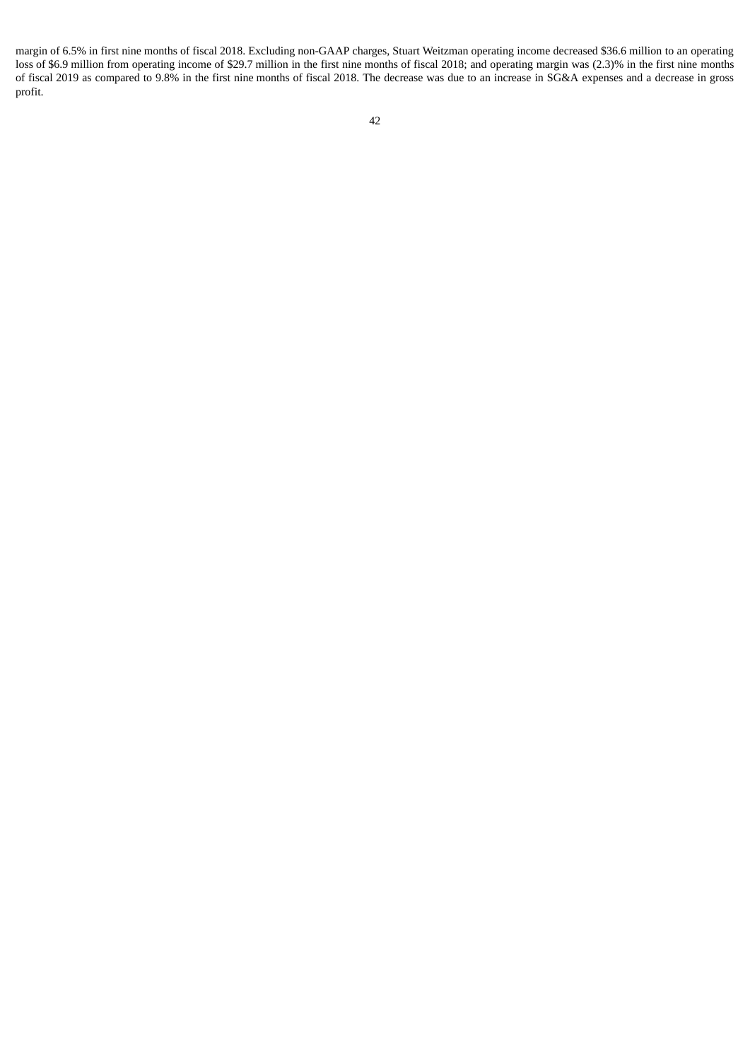margin of 6.5% in first nine months of fiscal 2018. Excluding non-GAAP charges, Stuart Weitzman operating income decreased \$36.6 million to an operating loss of \$6.9 million from operating income of \$29.7 million in the first nine months of fiscal 2018; and operating margin was (2.3)% in the first nine months of fiscal 2019 as compared to 9.8% in the first nine months of fiscal 2018. The decrease was due to an increase in SG&A expenses and a decrease in gross profit.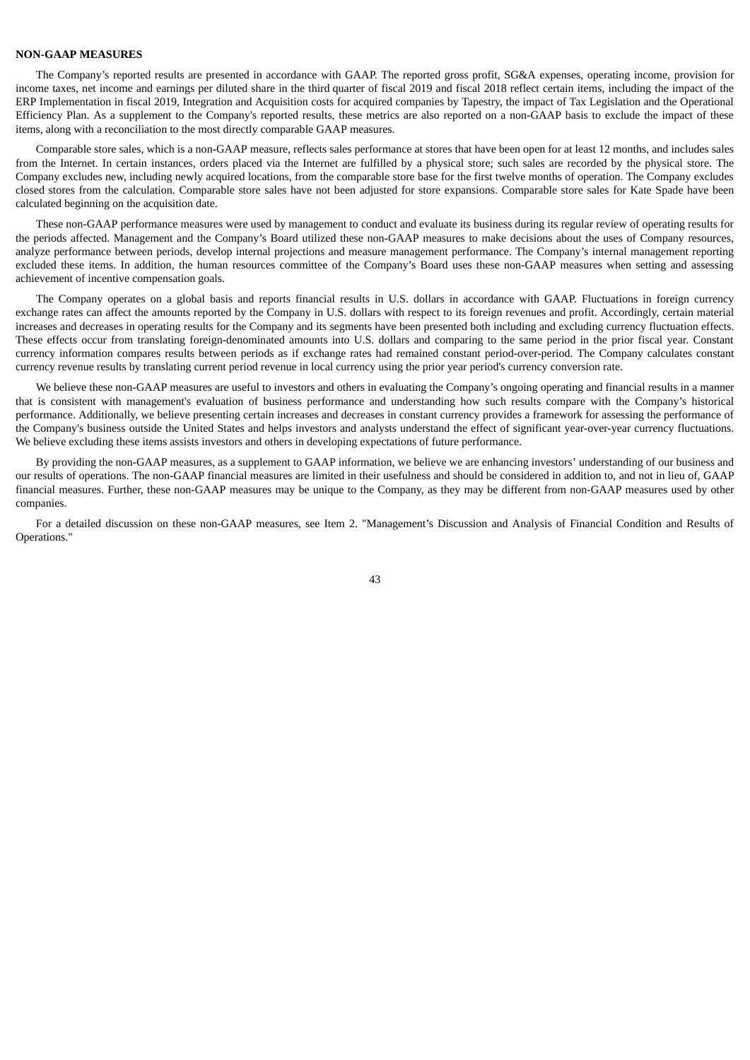## **NON-GAAP MEASURES**

The Company's reported results are presented in accordance with GAAP. The reported gross profit, SG&A expenses, operating income, provision for income taxes, net income and earnings per diluted share in the third quarter of fiscal 2019 and fiscal 2018 reflect certain items, including the impact of the ERP Implementation in fiscal 2019, Integration and Acquisition costs for acquired companies by Tapestry, the impact of Tax Legislation and the Operational Efficiency Plan. As a supplement to the Company's reported results, these metrics are also reported on a non-GAAP basis to exclude the impact of these items, along with a reconciliation to the most directly comparable GAAP measures.

Comparable store sales, which is a non-GAAP measure, reflects sales performance at stores that have been open for at least 12 months, and includes sales from the Internet. In certain instances, orders placed via the Internet are fulfilled by a physical store; such sales are recorded by the physical store. The Company excludes new, including newly acquired locations, from the comparable store base for the first twelve months of operation. The Company excludes closed stores from the calculation. Comparable store sales have not been adjusted for store expansions. Comparable store sales for Kate Spade have been calculated beginning on the acquisition date.

These non-GAAP performance measures were used by management to conduct and evaluate its business during its regular review of operating results for the periods affected. Management and the Company's Board utilized these non-GAAP measures to make decisions about the uses of Company resources, analyze performance between periods, develop internal projections and measure management performance. The Company's internal management reporting excluded these items. In addition, the human resources committee of the Company's Board uses these non-GAAP measures when setting and assessing achievement of incentive compensation goals.

The Company operates on a global basis and reports financial results in U.S. dollars in accordance with GAAP. Fluctuations in foreign currency exchange rates can affect the amounts reported by the Company in U.S. dollars with respect to its foreign revenues and profit. Accordingly, certain material increases and decreases in operating results for the Company and its segments have been presented both including and excluding currency fluctuation effects. These effects occur from translating foreign-denominated amounts into U.S. dollars and comparing to the same period in the prior fiscal year. Constant currency information compares results between periods as if exchange rates had remained constant period-over-period. The Company calculates constant currency revenue results by translating current period revenue in local currency using the prior year period's currency conversion rate.

We believe these non-GAAP measures are useful to investors and others in evaluating the Company's ongoing operating and financial results in a manner that is consistent with management's evaluation of business performance and understanding how such results compare with the Company's historical performance. Additionally, we believe presenting certain increases and decreases in constant currency provides a framework for assessing the performance of the Company's business outside the United States and helps investors and analysts understand the effect of significant year-over-year currency fluctuations. We believe excluding these items assists investors and others in developing expectations of future performance.

By providing the non-GAAP measures, as a supplement to GAAP information, we believe we are enhancing investors' understanding of our business and our results of operations. The non-GAAP financial measures are limited in their usefulness and should be considered in addition to, and not in lieu of, GAAP financial measures. Further, these non-GAAP measures may be unique to the Company, as they may be different from non-GAAP measures used by other companies.

For a detailed discussion on these non-GAAP measures, see Item 2. "Management's Discussion and Analysis of Financial Condition and Results of Operations."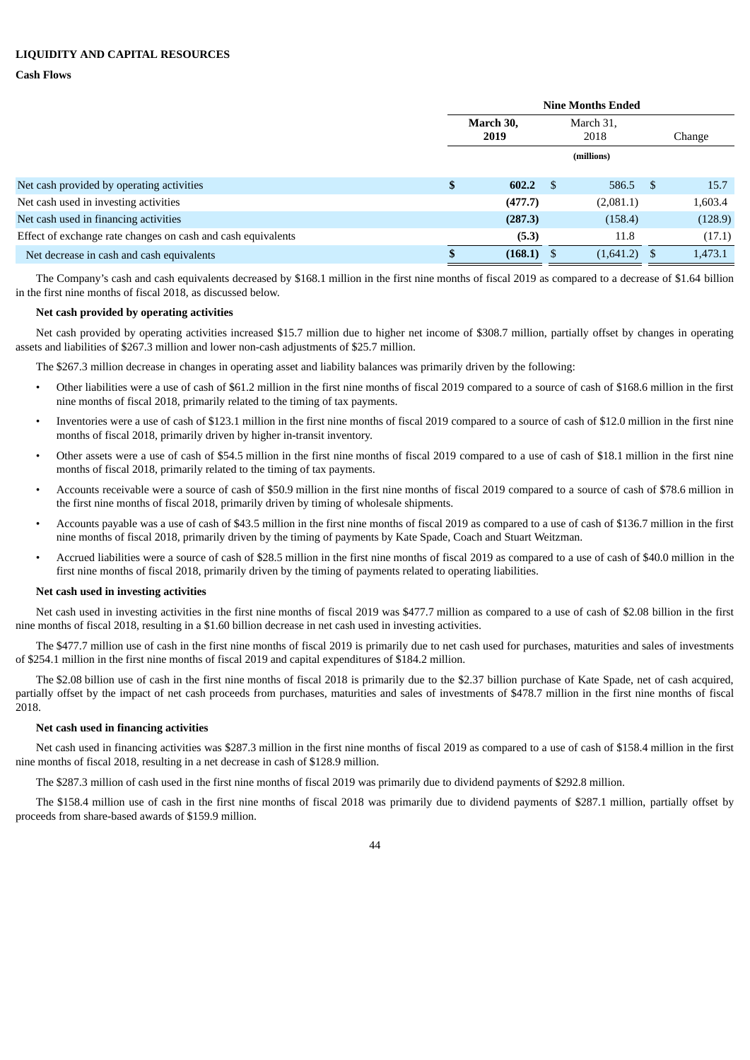## **LIQUIDITY AND CAPITAL RESOURCES**

## **Cash Flows**

|                                                              | <b>Nine Months Ended</b> |      |                   |  |         |  |  |  |  |
|--------------------------------------------------------------|--------------------------|------|-------------------|--|---------|--|--|--|--|
|                                                              | March 30,<br>2019        |      | March 31,<br>2018 |  | Change  |  |  |  |  |
|                                                              |                          |      | (millions)        |  |         |  |  |  |  |
| Net cash provided by operating activities                    | \$<br>602.2              | - \$ | 586.5 \$          |  | 15.7    |  |  |  |  |
| Net cash used in investing activities                        | (477.7)                  |      | (2,081.1)         |  | 1,603.4 |  |  |  |  |
| Net cash used in financing activities                        | (287.3)                  |      | (158.4)           |  | (128.9) |  |  |  |  |
| Effect of exchange rate changes on cash and cash equivalents | (5.3)                    |      | 11.8              |  | (17.1)  |  |  |  |  |
| Net decrease in cash and cash equivalents                    | (168.1)                  |      | (1,641.2)         |  | 1,473.1 |  |  |  |  |

The Company's cash and cash equivalents decreased by \$168.1 million in the first nine months of fiscal 2019 as compared to a decrease of \$1.64 billion in the first nine months of fiscal 2018, as discussed below.

#### **Net cash provided by operating activities**

Net cash provided by operating activities increased \$15.7 million due to higher net income of \$308.7 million, partially offset by changes in operating assets and liabilities of \$267.3 million and lower non-cash adjustments of \$25.7 million.

The \$267.3 million decrease in changes in operating asset and liability balances was primarily driven by the following:

- Other liabilities were a use of cash of \$61.2 million in the first nine months of fiscal 2019 compared to a source of cash of \$168.6 million in the first nine months of fiscal 2018, primarily related to the timing of tax payments.
- Inventories were a use of cash of \$123.1 million in the first nine months of fiscal 2019 compared to a source of cash of \$12.0 million in the first nine months of fiscal 2018, primarily driven by higher in-transit inventory.
- Other assets were a use of cash of \$54.5 million in the first nine months of fiscal 2019 compared to a use of cash of \$18.1 million in the first nine months of fiscal 2018, primarily related to the timing of tax payments.
- Accounts receivable were a source of cash of \$50.9 million in the first nine months of fiscal 2019 compared to a source of cash of \$78.6 million in the first nine months of fiscal 2018, primarily driven by timing of wholesale shipments.
- Accounts payable was a use of cash of \$43.5 million in the first nine months of fiscal 2019 as compared to a use of cash of \$136.7 million in the first nine months of fiscal 2018, primarily driven by the timing of payments by Kate Spade, Coach and Stuart Weitzman.
- Accrued liabilities were a source of cash of \$28.5 million in the first nine months of fiscal 2019 as compared to a use of cash of \$40.0 million in the first nine months of fiscal 2018, primarily driven by the timing of payments related to operating liabilities.

#### **Net cash used in investing activities**

Net cash used in investing activities in the first nine months of fiscal 2019 was \$477.7 million as compared to a use of cash of \$2.08 billion in the first nine months of fiscal 2018, resulting in a \$1.60 billion decrease in net cash used in investing activities.

The \$477.7 million use of cash in the first nine months of fiscal 2019 is primarily due to net cash used for purchases, maturities and sales of investments of \$254.1 million in the first nine months of fiscal 2019 and capital expenditures of \$184.2 million.

The \$2.08 billion use of cash in the first nine months of fiscal 2018 is primarily due to the \$2.37 billion purchase of Kate Spade, net of cash acquired, partially offset by the impact of net cash proceeds from purchases, maturities and sales of investments of \$478.7 million in the first nine months of fiscal 2018.

## **Net cash used in financing activities**

Net cash used in financing activities was \$287.3 million in the first nine months of fiscal 2019 as compared to a use of cash of \$158.4 million in the first nine months of fiscal 2018, resulting in a net decrease in cash of \$128.9 million.

The \$287.3 million of cash used in the first nine months of fiscal 2019 was primarily due to dividend payments of \$292.8 million.

The \$158.4 million use of cash in the first nine months of fiscal 2018 was primarily due to dividend payments of \$287.1 million, partially offset by proceeds from share-based awards of \$159.9 million.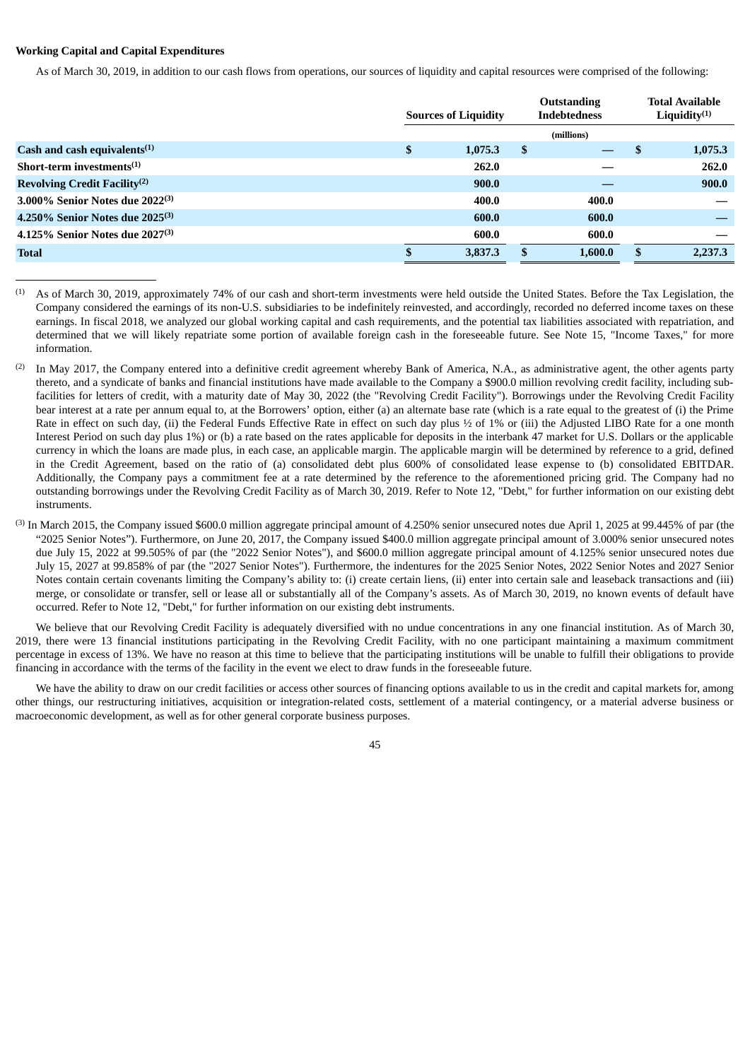## **Working Capital and Capital Expenditures**

As of March 30, 2019, in addition to our cash flows from operations, our sources of liquidity and capital resources were comprised of the following:

|                                                 | <b>Sources of Liquidity</b> |         |    | Outstanding<br><b>Indebtedness</b> | <b>Total Available</b><br>Liquidity $(1)$ |  |
|-------------------------------------------------|-----------------------------|---------|----|------------------------------------|-------------------------------------------|--|
|                                                 |                             |         |    | (millions)                         |                                           |  |
| Cash and cash equivalents $(1)$                 | \$                          | 1,075.3 | \$ |                                    | 1,075.3                                   |  |
| Short-term investments $(1)$                    |                             | 262.0   |    |                                    | 262.0                                     |  |
| <b>Revolving Credit Facility</b> <sup>(2)</sup> |                             | 900.0   |    |                                    | 900.0                                     |  |
| $3.000\%$ Senior Notes due 2022 $(3)$           |                             | 400.0   |    | 400.0                              |                                           |  |
| 4.250% Senior Notes due $2025^{(3)}$            |                             | 600.0   |    | 600.0                              |                                           |  |
| 4.125% Senior Notes due $2027^{(3)}$            |                             | 600.0   |    | 600.0                              |                                           |  |
| <b>Total</b>                                    |                             | 3,837.3 | S. | 1,600.0                            | 2,237.3                                   |  |

<sup>(1)</sup> As of March 30, 2019, approximately 74% of our cash and short-term investments were held outside the United States. Before the Tax Legislation, the Company considered the earnings of its non-U.S. subsidiaries to be indefinitely reinvested, and accordingly, recorded no deferred income taxes on these earnings. In fiscal 2018, we analyzed our global working capital and cash requirements, and the potential tax liabilities associated with repatriation, and determined that we will likely repatriate some portion of available foreign cash in the foreseeable future. See Note 15, "Income Taxes," for more information.

- <sup>(2)</sup> In May 2017, the Company entered into a definitive credit agreement whereby Bank of America, N.A., as administrative agent, the other agents party thereto, and a syndicate of banks and financial institutions have made available to the Company a \$900.0 million revolving credit facility, including subfacilities for letters of credit, with a maturity date of May 30, 2022 (the "Revolving Credit Facility"). Borrowings under the Revolving Credit Facility bear interest at a rate per annum equal to, at the Borrowers' option, either (a) an alternate base rate (which is a rate equal to the greatest of (i) the Prime Rate in effect on such day, (ii) the Federal Funds Effective Rate in effect on such day plus ½ of 1% or (iii) the Adjusted LIBO Rate for a one month Interest Period on such day plus 1%) or (b) a rate based on the rates applicable for deposits in the interbank 47 market for U.S. Dollars or the applicable currency in which the loans are made plus, in each case, an applicable margin. The applicable margin will be determined by reference to a grid, defined in the Credit Agreement, based on the ratio of (a) consolidated debt plus 600% of consolidated lease expense to (b) consolidated EBITDAR. Additionally, the Company pays a commitment fee at a rate determined by the reference to the aforementioned pricing grid. The Company had no outstanding borrowings under the Revolving Credit Facility as of March 30, 2019. Refer to Note 12, "Debt," for further information on our existing debt instruments.
- (3) In March 2015, the Company issued \$600.0 million aggregate principal amount of 4.250% senior unsecured notes due April 1, 2025 at 99.445% of par (the "2025 Senior Notes"). Furthermore, on June 20, 2017, the Company issued \$400.0 million aggregate principal amount of 3.000% senior unsecured notes due July 15, 2022 at 99.505% of par (the "2022 Senior Notes"), and \$600.0 million aggregate principal amount of 4.125% senior unsecured notes due July 15, 2027 at 99.858% of par (the "2027 Senior Notes"). Furthermore, the indentures for the 2025 Senior Notes, 2022 Senior Notes and 2027 Senior Notes contain certain covenants limiting the Company's ability to: (i) create certain liens, (ii) enter into certain sale and leaseback transactions and (iii) merge, or consolidate or transfer, sell or lease all or substantially all of the Company's assets. As of March 30, 2019, no known events of default have occurred. Refer to Note 12, "Debt," for further information on our existing debt instruments.

We believe that our Revolving Credit Facility is adequately diversified with no undue concentrations in any one financial institution. As of March 30, 2019, there were 13 financial institutions participating in the Revolving Credit Facility, with no one participant maintaining a maximum commitment percentage in excess of 13%. We have no reason at this time to believe that the participating institutions will be unable to fulfill their obligations to provide financing in accordance with the terms of the facility in the event we elect to draw funds in the foreseeable future.

We have the ability to draw on our credit facilities or access other sources of financing options available to us in the credit and capital markets for, among other things, our restructuring initiatives, acquisition or integration-related costs, settlement of a material contingency, or a material adverse business or macroeconomic development, as well as for other general corporate business purposes.

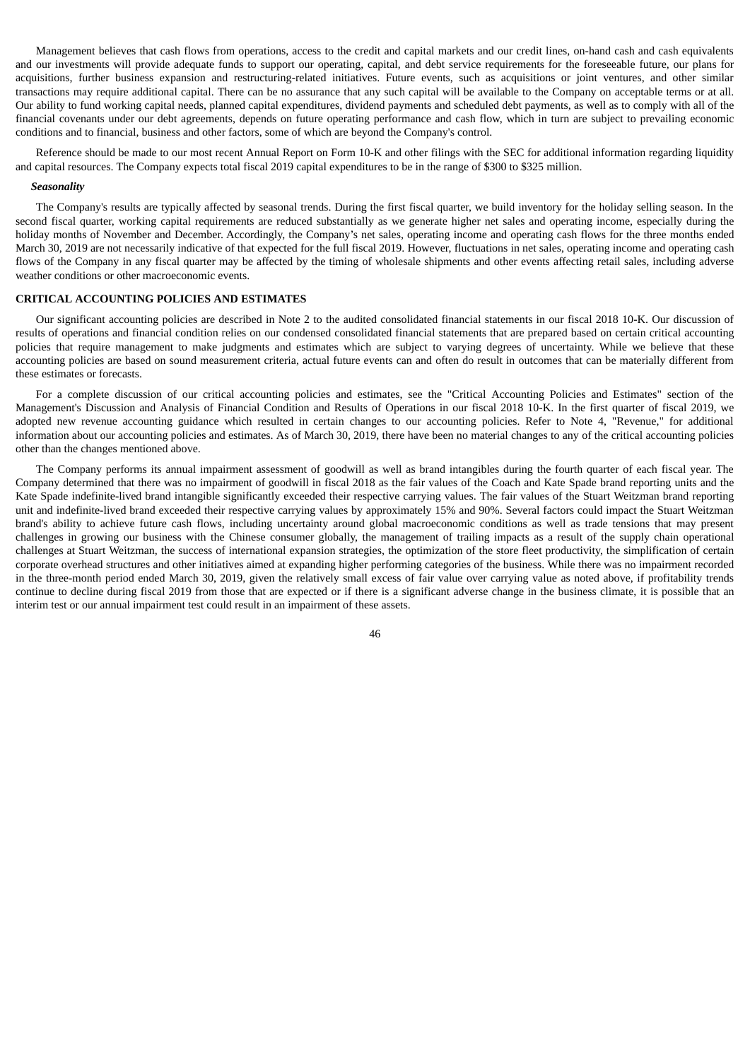Management believes that cash flows from operations, access to the credit and capital markets and our credit lines, on-hand cash and cash equivalents and our investments will provide adequate funds to support our operating, capital, and debt service requirements for the foreseeable future, our plans for acquisitions, further business expansion and restructuring-related initiatives. Future events, such as acquisitions or joint ventures, and other similar transactions may require additional capital. There can be no assurance that any such capital will be available to the Company on acceptable terms or at all. Our ability to fund working capital needs, planned capital expenditures, dividend payments and scheduled debt payments, as well as to comply with all of the financial covenants under our debt agreements, depends on future operating performance and cash flow, which in turn are subject to prevailing economic conditions and to financial, business and other factors, some of which are beyond the Company's control.

Reference should be made to our most recent Annual Report on Form 10-K and other filings with the SEC for additional information regarding liquidity and capital resources. The Company expects total fiscal 2019 capital expenditures to be in the range of \$300 to \$325 million.

### *Seasonality*

The Company's results are typically affected by seasonal trends. During the first fiscal quarter, we build inventory for the holiday selling season. In the second fiscal quarter, working capital requirements are reduced substantially as we generate higher net sales and operating income, especially during the holiday months of November and December. Accordingly, the Company's net sales, operating income and operating cash flows for the three months ended March 30, 2019 are not necessarily indicative of that expected for the full fiscal 2019. However, fluctuations in net sales, operating income and operating cash flows of the Company in any fiscal quarter may be affected by the timing of wholesale shipments and other events affecting retail sales, including adverse weather conditions or other macroeconomic events.

## **CRITICAL ACCOUNTING POLICIES AND ESTIMATES**

Our significant accounting policies are described in Note 2 to the audited consolidated financial statements in our fiscal 2018 10-K. Our discussion of results of operations and financial condition relies on our condensed consolidated financial statements that are prepared based on certain critical accounting policies that require management to make judgments and estimates which are subject to varying degrees of uncertainty. While we believe that these accounting policies are based on sound measurement criteria, actual future events can and often do result in outcomes that can be materially different from these estimates or forecasts.

For a complete discussion of our critical accounting policies and estimates, see the "Critical Accounting Policies and Estimates" section of the Management's Discussion and Analysis of Financial Condition and Results of Operations in our fiscal 2018 10-K. In the first quarter of fiscal 2019, we adopted new revenue accounting guidance which resulted in certain changes to our accounting policies. Refer to Note 4, "Revenue," for additional information about our accounting policies and estimates. As of March 30, 2019, there have been no material changes to any of the critical accounting policies other than the changes mentioned above.

The Company performs its annual impairment assessment of goodwill as well as brand intangibles during the fourth quarter of each fiscal year. The Company determined that there was no impairment of goodwill in fiscal 2018 as the fair values of the Coach and Kate Spade brand reporting units and the Kate Spade indefinite-lived brand intangible significantly exceeded their respective carrying values. The fair values of the Stuart Weitzman brand reporting unit and indefinite-lived brand exceeded their respective carrying values by approximately 15% and 90%. Several factors could impact the Stuart Weitzman brand's ability to achieve future cash flows, including uncertainty around global macroeconomic conditions as well as trade tensions that may present challenges in growing our business with the Chinese consumer globally, the management of trailing impacts as a result of the supply chain operational challenges at Stuart Weitzman, the success of international expansion strategies, the optimization of the store fleet productivity, the simplification of certain corporate overhead structures and other initiatives aimed at expanding higher performing categories of the business. While there was no impairment recorded in the three-month period ended March 30, 2019, given the relatively small excess of fair value over carrying value as noted above, if profitability trends continue to decline during fiscal 2019 from those that are expected or if there is a significant adverse change in the business climate, it is possible that an interim test or our annual impairment test could result in an impairment of these assets.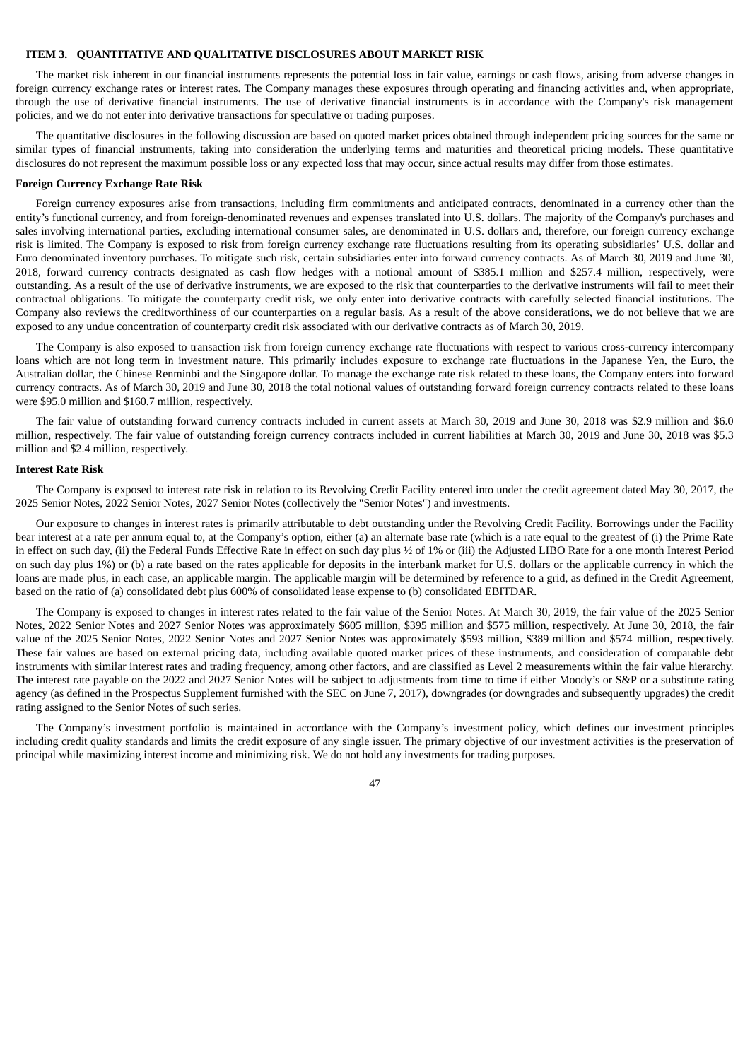## <span id="page-49-0"></span>**ITEM 3. QUANTITATIVE AND QUALITATIVE DISCLOSURES ABOUT MARKET RISK**

The market risk inherent in our financial instruments represents the potential loss in fair value, earnings or cash flows, arising from adverse changes in foreign currency exchange rates or interest rates. The Company manages these exposures through operating and financing activities and, when appropriate, through the use of derivative financial instruments. The use of derivative financial instruments is in accordance with the Company's risk management policies, and we do not enter into derivative transactions for speculative or trading purposes.

The quantitative disclosures in the following discussion are based on quoted market prices obtained through independent pricing sources for the same or similar types of financial instruments, taking into consideration the underlying terms and maturities and theoretical pricing models. These quantitative disclosures do not represent the maximum possible loss or any expected loss that may occur, since actual results may differ from those estimates.

#### **Foreign Currency Exchange Rate Risk**

Foreign currency exposures arise from transactions, including firm commitments and anticipated contracts, denominated in a currency other than the entity's functional currency, and from foreign-denominated revenues and expenses translated into U.S. dollars. The majority of the Company's purchases and sales involving international parties, excluding international consumer sales, are denominated in U.S. dollars and, therefore, our foreign currency exchange risk is limited. The Company is exposed to risk from foreign currency exchange rate fluctuations resulting from its operating subsidiaries' U.S. dollar and Euro denominated inventory purchases. To mitigate such risk, certain subsidiaries enter into forward currency contracts. As of March 30, 2019 and June 30, 2018, forward currency contracts designated as cash flow hedges with a notional amount of \$385.1 million and \$257.4 million, respectively, were outstanding. As a result of the use of derivative instruments, we are exposed to the risk that counterparties to the derivative instruments will fail to meet their contractual obligations. To mitigate the counterparty credit risk, we only enter into derivative contracts with carefully selected financial institutions. The Company also reviews the creditworthiness of our counterparties on a regular basis. As a result of the above considerations, we do not believe that we are exposed to any undue concentration of counterparty credit risk associated with our derivative contracts as of March 30, 2019.

The Company is also exposed to transaction risk from foreign currency exchange rate fluctuations with respect to various cross-currency intercompany loans which are not long term in investment nature. This primarily includes exposure to exchange rate fluctuations in the Japanese Yen, the Euro, the Australian dollar, the Chinese Renminbi and the Singapore dollar. To manage the exchange rate risk related to these loans, the Company enters into forward currency contracts. As of March 30, 2019 and June 30, 2018 the total notional values of outstanding forward foreign currency contracts related to these loans were \$95.0 million and \$160.7 million, respectively.

The fair value of outstanding forward currency contracts included in current assets at March 30, 2019 and June 30, 2018 was \$2.9 million and \$6.0 million, respectively. The fair value of outstanding foreign currency contracts included in current liabilities at March 30, 2019 and June 30, 2018 was \$5.3 million and \$2.4 million, respectively.

#### **Interest Rate Risk**

The Company is exposed to interest rate risk in relation to its Revolving Credit Facility entered into under the credit agreement dated May 30, 2017, the 2025 Senior Notes, 2022 Senior Notes, 2027 Senior Notes (collectively the "Senior Notes") and investments.

Our exposure to changes in interest rates is primarily attributable to debt outstanding under the Revolving Credit Facility. Borrowings under the Facility bear interest at a rate per annum equal to, at the Company's option, either (a) an alternate base rate (which is a rate equal to the greatest of (i) the Prime Rate in effect on such day, (ii) the Federal Funds Effective Rate in effect on such day plus ½ of 1% or (iii) the Adjusted LIBO Rate for a one month Interest Period on such day plus 1%) or (b) a rate based on the rates applicable for deposits in the interbank market for U.S. dollars or the applicable currency in which the loans are made plus, in each case, an applicable margin. The applicable margin will be determined by reference to a grid, as defined in the Credit Agreement, based on the ratio of (a) consolidated debt plus 600% of consolidated lease expense to (b) consolidated EBITDAR.

The Company is exposed to changes in interest rates related to the fair value of the Senior Notes. At March 30, 2019, the fair value of the 2025 Senior Notes, 2022 Senior Notes and 2027 Senior Notes was approximately \$605 million, \$395 million and \$575 million, respectively. At June 30, 2018, the fair value of the 2025 Senior Notes, 2022 Senior Notes and 2027 Senior Notes was approximately \$593 million, \$389 million and \$574 million, respectively. These fair values are based on external pricing data, including available quoted market prices of these instruments, and consideration of comparable debt instruments with similar interest rates and trading frequency, among other factors, and are classified as Level 2 measurements within the fair value hierarchy. The interest rate payable on the 2022 and 2027 Senior Notes will be subject to adjustments from time to time if either Moody's or S&P or a substitute rating agency (as defined in the Prospectus Supplement furnished with the SEC on June 7, 2017), downgrades (or downgrades and subsequently upgrades) the credit rating assigned to the Senior Notes of such series.

The Company's investment portfolio is maintained in accordance with the Company's investment policy, which defines our investment principles including credit quality standards and limits the credit exposure of any single issuer. The primary objective of our investment activities is the preservation of principal while maximizing interest income and minimizing risk. We do not hold any investments for trading purposes.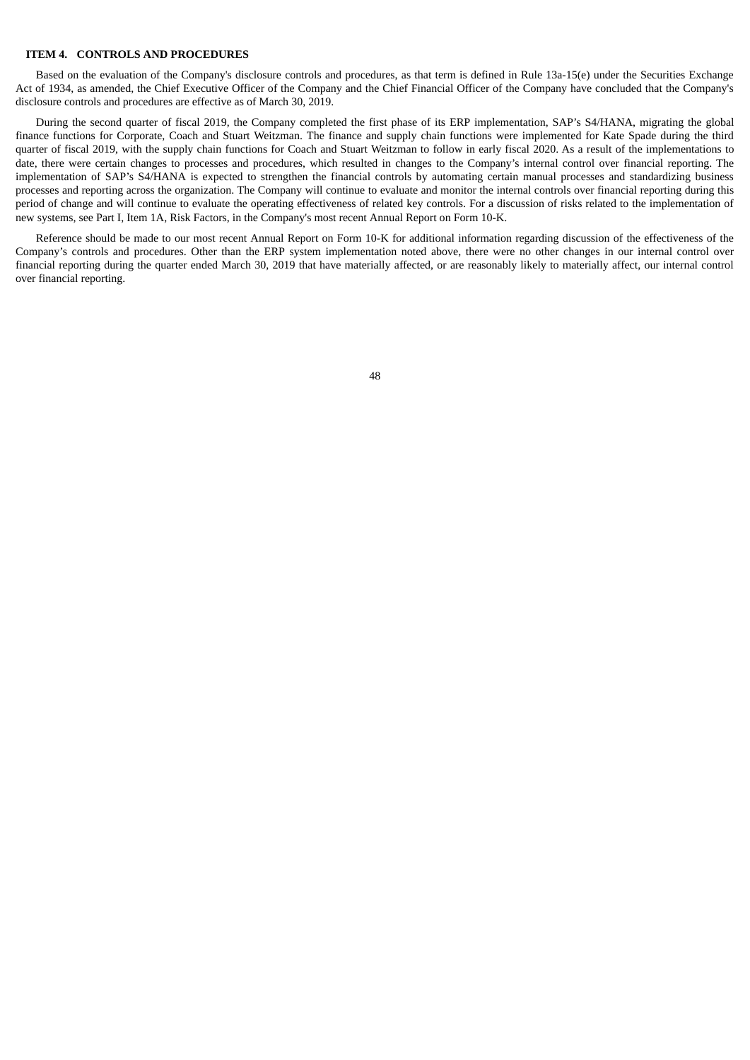### <span id="page-50-0"></span>**ITEM 4. CONTROLS AND PROCEDURES**

Based on the evaluation of the Company's disclosure controls and procedures, as that term is defined in Rule 13a-15(e) under the Securities Exchange Act of 1934, as amended, the Chief Executive Officer of the Company and the Chief Financial Officer of the Company have concluded that the Company's disclosure controls and procedures are effective as of March 30, 2019.

During the second quarter of fiscal 2019, the Company completed the first phase of its ERP implementation, SAP's S4/HANA, migrating the global finance functions for Corporate, Coach and Stuart Weitzman. The finance and supply chain functions were implemented for Kate Spade during the third quarter of fiscal 2019, with the supply chain functions for Coach and Stuart Weitzman to follow in early fiscal 2020. As a result of the implementations to date, there were certain changes to processes and procedures, which resulted in changes to the Company's internal control over financial reporting. The implementation of SAP's S4/HANA is expected to strengthen the financial controls by automating certain manual processes and standardizing business processes and reporting across the organization. The Company will continue to evaluate and monitor the internal controls over financial reporting during this period of change and will continue to evaluate the operating effectiveness of related key controls. For a discussion of risks related to the implementation of new systems, see Part I, Item 1A, Risk Factors, in the Company's most recent Annual Report on Form 10-K.

Reference should be made to our most recent Annual Report on Form 10-K for additional information regarding discussion of the effectiveness of the Company's controls and procedures. Other than the ERP system implementation noted above, there were no other changes in our internal control over financial reporting during the quarter ended March 30, 2019 that have materially affected, or are reasonably likely to materially affect, our internal control over financial reporting.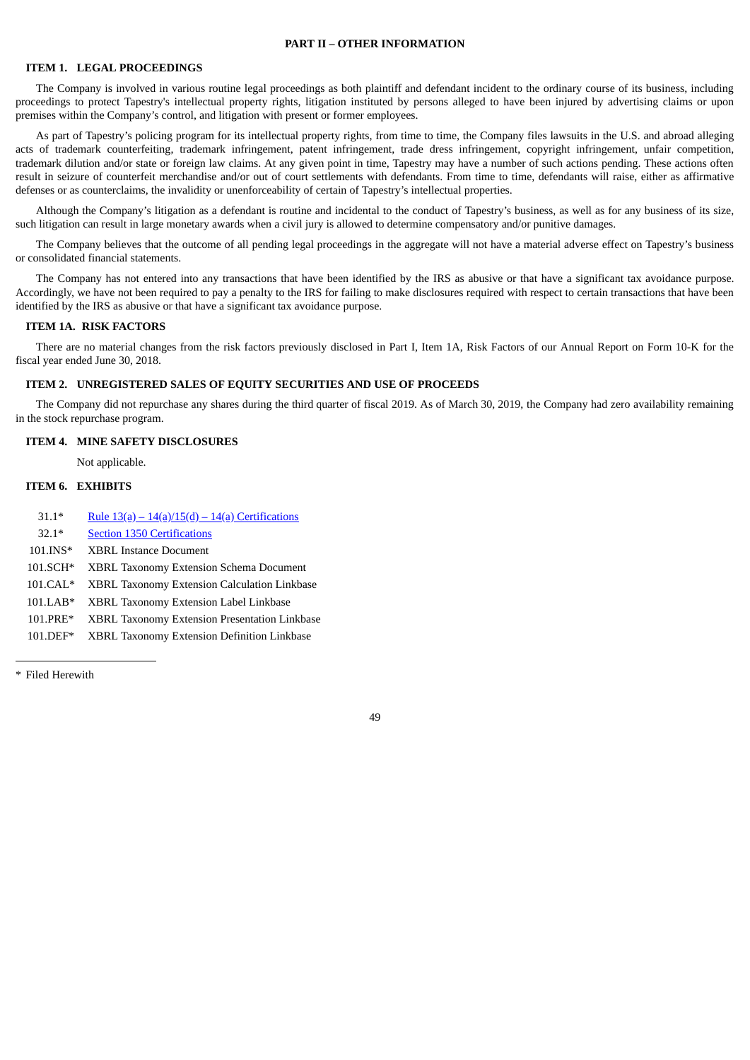## **PART II – OTHER INFORMATION**

### <span id="page-51-0"></span>**ITEM 1. LEGAL PROCEEDINGS**

The Company is involved in various routine legal proceedings as both plaintiff and defendant incident to the ordinary course of its business, including proceedings to protect Tapestry's intellectual property rights, litigation instituted by persons alleged to have been injured by advertising claims or upon premises within the Company's control, and litigation with present or former employees.

As part of Tapestry's policing program for its intellectual property rights, from time to time, the Company files lawsuits in the U.S. and abroad alleging acts of trademark counterfeiting, trademark infringement, patent infringement, trade dress infringement, copyright infringement, unfair competition, trademark dilution and/or state or foreign law claims. At any given point in time, Tapestry may have a number of such actions pending. These actions often result in seizure of counterfeit merchandise and/or out of court settlements with defendants. From time to time, defendants will raise, either as affirmative defenses or as counterclaims, the invalidity or unenforceability of certain of Tapestry's intellectual properties.

Although the Company's litigation as a defendant is routine and incidental to the conduct of Tapestry's business, as well as for any business of its size, such litigation can result in large monetary awards when a civil jury is allowed to determine compensatory and/or punitive damages.

The Company believes that the outcome of all pending legal proceedings in the aggregate will not have a material adverse effect on Tapestry's business or consolidated financial statements.

The Company has not entered into any transactions that have been identified by the IRS as abusive or that have a significant tax avoidance purpose. Accordingly, we have not been required to pay a penalty to the IRS for failing to make disclosures required with respect to certain transactions that have been identified by the IRS as abusive or that have a significant tax avoidance purpose.

### <span id="page-51-1"></span>**ITEM 1A. RISK FACTORS**

There are no material changes from the risk factors previously disclosed in Part I, Item 1A, Risk Factors of our Annual Report on Form 10-K for the fiscal year ended June 30, 2018.

## <span id="page-51-2"></span>**ITEM 2. UNREGISTERED SALES OF EQUITY SECURITIES AND USE OF PROCEEDS**

The Company did not repurchase any shares during the third quarter of fiscal 2019. As of March 30, 2019, the Company had zero availability remaining in the stock repurchase program.

### <span id="page-51-3"></span>**ITEM 4. MINE SAFETY DISCLOSURES**

Not applicable.

#### <span id="page-51-4"></span>**ITEM 6. EXHIBITS**

- 31.1\* Rule  $13(a) 14(a)/15(d) 14(a)$  [Certifications](#page-53-0)
- 32.1\* Section 1350 [Certifications](#page-55-0)
- 101.INS\* XBRL Instance Document
- 101.SCH\* XBRL Taxonomy Extension Schema Document
- 101.CAL\* XBRL Taxonomy Extension Calculation Linkbase
- 101.LAB\* XBRL Taxonomy Extension Label Linkbase
- 101.PRE\* XBRL Taxonomy Extension Presentation Linkbase
- 101.DEF\* XBRL Taxonomy Extension Definition Linkbase

\* Filed Herewith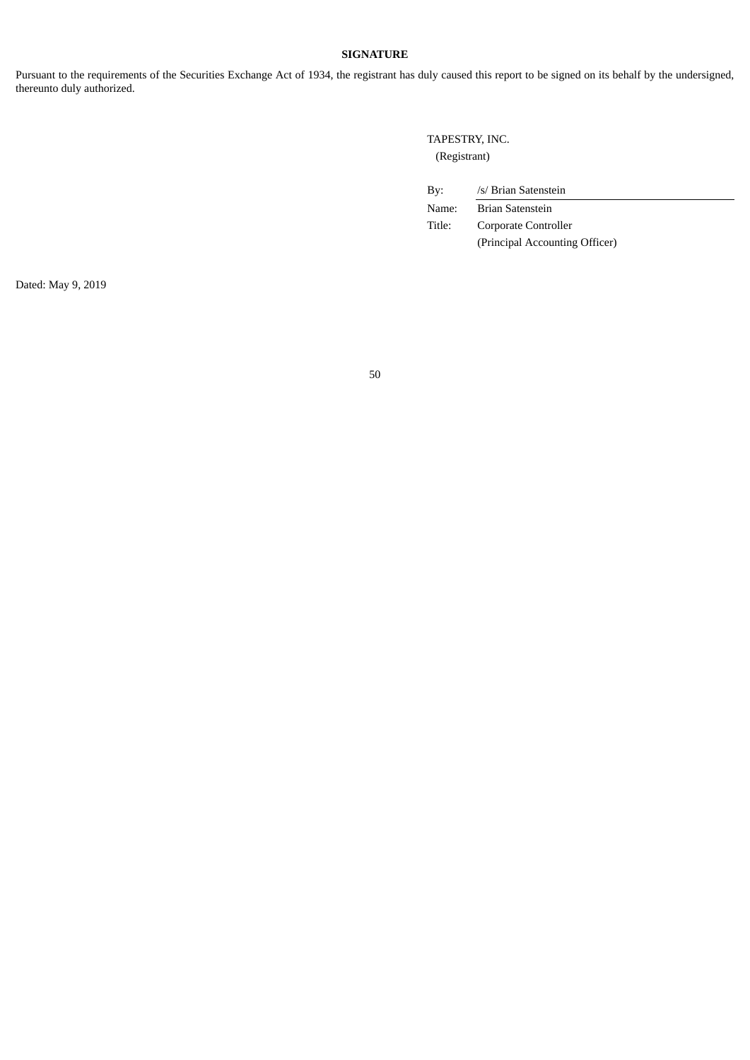## **SIGNATURE**

<span id="page-52-0"></span>Pursuant to the requirements of the Securities Exchange Act of 1934, the registrant has duly caused this report to be signed on its behalf by the undersigned, thereunto duly authorized.

> TAPESTRY, INC. (Registrant)

By: /s/ Brian Satenstein

Name: Brian Satenstein Title: Corporate Controller (Principal Accounting Officer)

Dated: May 9, 2019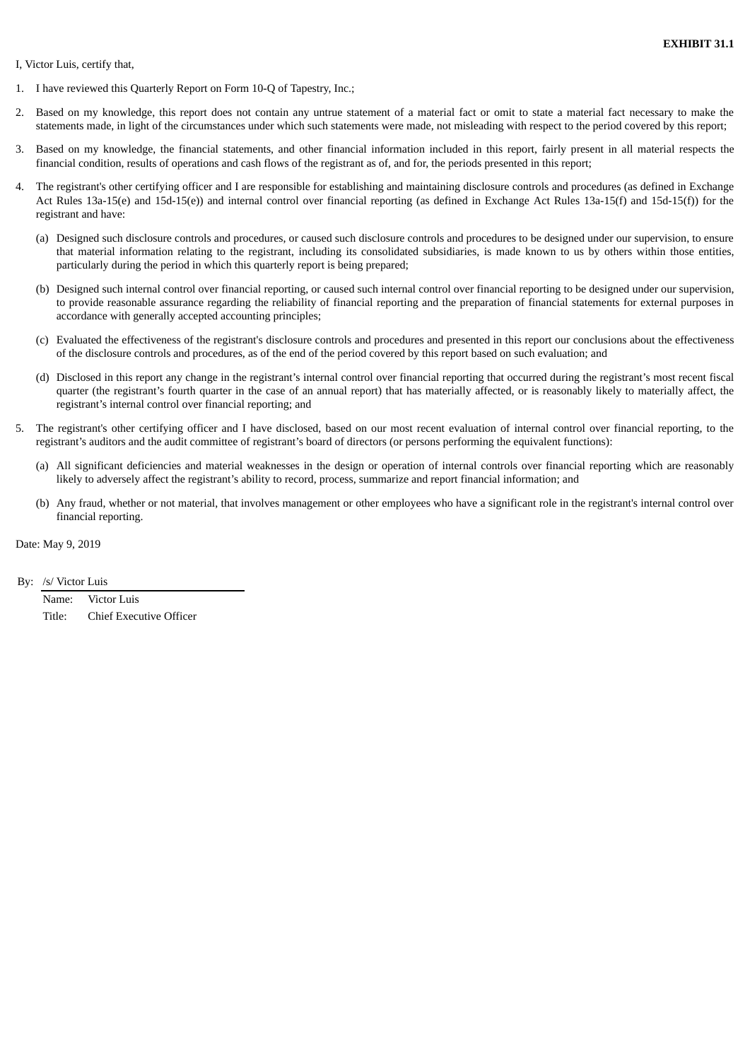<span id="page-53-0"></span>I, Victor Luis, certify that,

- 1. I have reviewed this Quarterly Report on Form 10-Q of Tapestry, Inc.;
- 2. Based on my knowledge, this report does not contain any untrue statement of a material fact or omit to state a material fact necessary to make the statements made, in light of the circumstances under which such statements were made, not misleading with respect to the period covered by this report;
- 3. Based on my knowledge, the financial statements, and other financial information included in this report, fairly present in all material respects the financial condition, results of operations and cash flows of the registrant as of, and for, the periods presented in this report;
- 4. The registrant's other certifying officer and I are responsible for establishing and maintaining disclosure controls and procedures (as defined in Exchange Act Rules 13a-15(e) and 15d-15(e)) and internal control over financial reporting (as defined in Exchange Act Rules 13a-15(f) and 15d-15(f)) for the registrant and have:
	- (a) Designed such disclosure controls and procedures, or caused such disclosure controls and procedures to be designed under our supervision, to ensure that material information relating to the registrant, including its consolidated subsidiaries, is made known to us by others within those entities, particularly during the period in which this quarterly report is being prepared;
	- (b) Designed such internal control over financial reporting, or caused such internal control over financial reporting to be designed under our supervision, to provide reasonable assurance regarding the reliability of financial reporting and the preparation of financial statements for external purposes in accordance with generally accepted accounting principles;
	- (c) Evaluated the effectiveness of the registrant's disclosure controls and procedures and presented in this report our conclusions about the effectiveness of the disclosure controls and procedures, as of the end of the period covered by this report based on such evaluation; and
	- (d) Disclosed in this report any change in the registrant's internal control over financial reporting that occurred during the registrant's most recent fiscal quarter (the registrant's fourth quarter in the case of an annual report) that has materially affected, or is reasonably likely to materially affect, the registrant's internal control over financial reporting; and
- 5. The registrant's other certifying officer and I have disclosed, based on our most recent evaluation of internal control over financial reporting, to the registrant's auditors and the audit committee of registrant's board of directors (or persons performing the equivalent functions):
	- (a) All significant deficiencies and material weaknesses in the design or operation of internal controls over financial reporting which are reasonably likely to adversely affect the registrant's ability to record, process, summarize and report financial information; and
	- (b) Any fraud, whether or not material, that involves management or other employees who have a significant role in the registrant's internal control over financial reporting.

Date: May 9, 2019

By: /s/ Victor Luis

Name: Victor Luis Title: Chief Executive Officer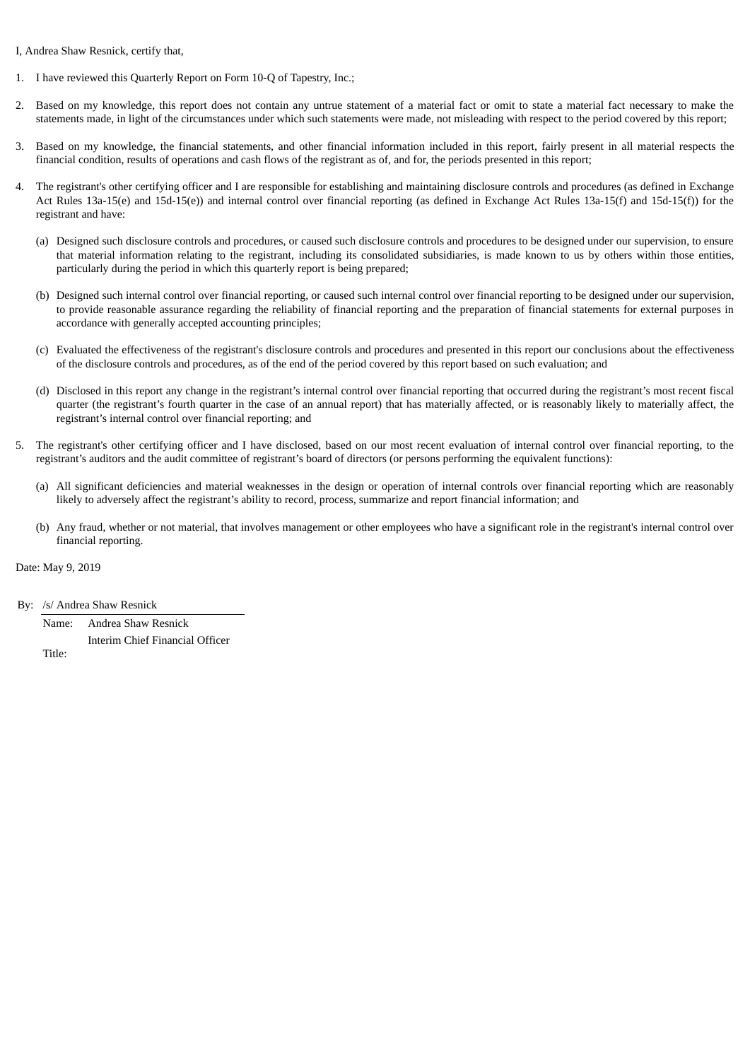I, Andrea Shaw Resnick, certify that,

- 1. I have reviewed this Quarterly Report on Form 10-Q of Tapestry, Inc.;
- 2. Based on my knowledge, this report does not contain any untrue statement of a material fact or omit to state a material fact necessary to make the statements made, in light of the circumstances under which such statements were made, not misleading with respect to the period covered by this report;
- 3. Based on my knowledge, the financial statements, and other financial information included in this report, fairly present in all material respects the financial condition, results of operations and cash flows of the registrant as of, and for, the periods presented in this report;
- 4. The registrant's other certifying officer and I are responsible for establishing and maintaining disclosure controls and procedures (as defined in Exchange Act Rules 13a-15(e) and 15d-15(e)) and internal control over financial reporting (as defined in Exchange Act Rules 13a-15(f) and 15d-15(f)) for the registrant and have:
	- (a) Designed such disclosure controls and procedures, or caused such disclosure controls and procedures to be designed under our supervision, to ensure that material information relating to the registrant, including its consolidated subsidiaries, is made known to us by others within those entities, particularly during the period in which this quarterly report is being prepared;
	- (b) Designed such internal control over financial reporting, or caused such internal control over financial reporting to be designed under our supervision, to provide reasonable assurance regarding the reliability of financial reporting and the preparation of financial statements for external purposes in accordance with generally accepted accounting principles;
	- (c) Evaluated the effectiveness of the registrant's disclosure controls and procedures and presented in this report our conclusions about the effectiveness of the disclosure controls and procedures, as of the end of the period covered by this report based on such evaluation; and
	- (d) Disclosed in this report any change in the registrant's internal control over financial reporting that occurred during the registrant's most recent fiscal quarter (the registrant's fourth quarter in the case of an annual report) that has materially affected, or is reasonably likely to materially affect, the registrant's internal control over financial reporting; and
- 5. The registrant's other certifying officer and I have disclosed, based on our most recent evaluation of internal control over financial reporting, to the registrant's auditors and the audit committee of registrant's board of directors (or persons performing the equivalent functions):
	- (a) All significant deficiencies and material weaknesses in the design or operation of internal controls over financial reporting which are reasonably likely to adversely affect the registrant's ability to record, process, summarize and report financial information; and
	- (b) Any fraud, whether or not material, that involves management or other employees who have a significant role in the registrant's internal control over financial reporting.

Date: May 9, 2019

By: /s/ Andrea Shaw Resnick

Name: Andrea Shaw Resnick Interim Chief Financial Officer

Title: